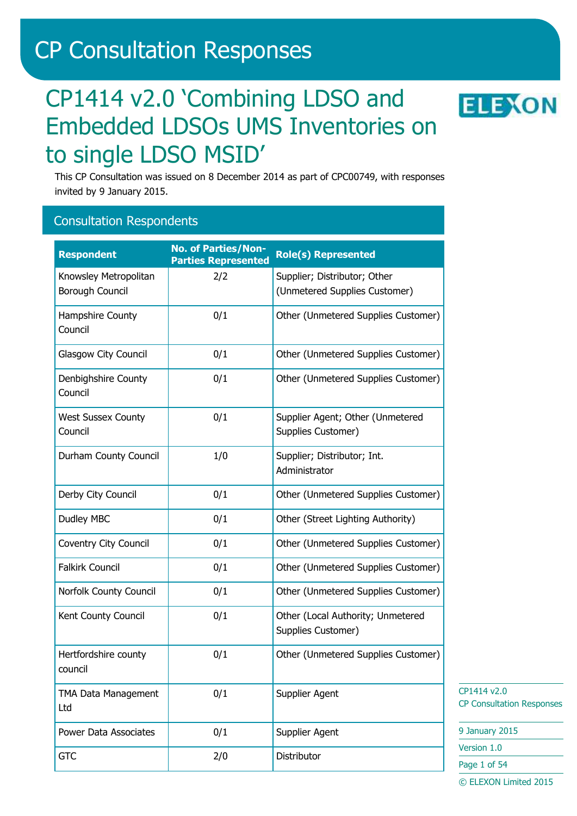# CP Consultation Responses

# CP1414 v2.0 'Combining LDSO and Embedded LDSOs UMS Inventories on to single LDSO MSID'



This CP Consultation was issued on 8 December 2014 as part of CPC00749, with responses invited by 9 January 2015.

## Consultation Respondents

| <b>Respondent</b>                        | <b>No. of Parties/Non-</b><br><b>Parties Represented</b> | <b>Role(s) Represented</b>                                    |
|------------------------------------------|----------------------------------------------------------|---------------------------------------------------------------|
| Knowsley Metropolitan<br>Borough Council | 2/2                                                      | Supplier; Distributor; Other<br>(Unmetered Supplies Customer) |
| Hampshire County<br>Council              | 0/1                                                      | Other (Unmetered Supplies Customer)                           |
| Glasgow City Council                     | 0/1                                                      | Other (Unmetered Supplies Customer)                           |
| Denbighshire County<br>Council           | 0/1                                                      | Other (Unmetered Supplies Customer)                           |
| <b>West Sussex County</b><br>Council     | 0/1                                                      | Supplier Agent; Other (Unmetered<br>Supplies Customer)        |
| Durham County Council                    | 1/0                                                      | Supplier; Distributor; Int.<br>Administrator                  |
| Derby City Council                       | 0/1                                                      | Other (Unmetered Supplies Customer)                           |
| Dudley MBC                               | 0/1                                                      | Other (Street Lighting Authority)                             |
| Coventry City Council                    | 0/1                                                      | Other (Unmetered Supplies Customer)                           |
| <b>Falkirk Council</b>                   | 0/1                                                      | Other (Unmetered Supplies Customer)                           |
| Norfolk County Council                   | 0/1                                                      | Other (Unmetered Supplies Customer)                           |
| Kent County Council                      | 0/1                                                      | Other (Local Authority; Unmetered<br>Supplies Customer)       |
| Hertfordshire county<br>council          | 0/1                                                      | Other (Unmetered Supplies Customer)                           |
| TMA Data Management<br>Ltd               | 0/1                                                      | <b>Supplier Agent</b>                                         |
| <b>Power Data Associates</b>             | 0/1                                                      | <b>Supplier Agent</b>                                         |
| <b>GTC</b>                               | 2/0                                                      | Distributor                                                   |

CP1414 v2.0 CP Consultation Responses

9 January 2015

Version 1.0

Page 1 of 54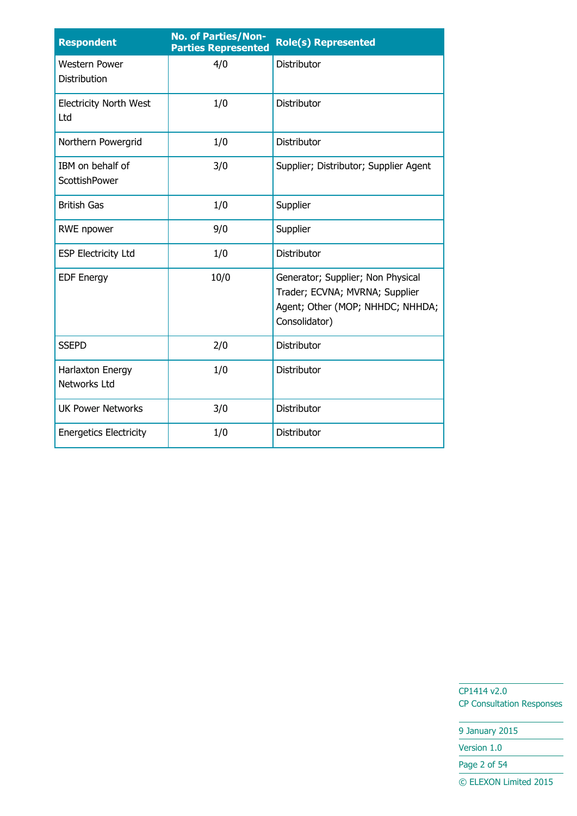| <b>Respondent</b>                    | <b>No. of Parties/Non-</b><br><b>Parties Represented</b> | <b>Role(s) Represented</b>                                                                                               |
|--------------------------------------|----------------------------------------------------------|--------------------------------------------------------------------------------------------------------------------------|
| <b>Western Power</b><br>Distribution | 4/0                                                      | Distributor                                                                                                              |
| <b>Electricity North West</b><br>Ltd | 1/0                                                      | Distributor                                                                                                              |
| Northern Powergrid                   | 1/0                                                      | Distributor                                                                                                              |
| IBM on behalf of<br>ScottishPower    | 3/0                                                      | Supplier; Distributor; Supplier Agent                                                                                    |
| <b>British Gas</b>                   | 1/0                                                      | Supplier                                                                                                                 |
| RWE npower                           | 9/0                                                      | Supplier                                                                                                                 |
| <b>ESP Electricity Ltd</b>           | 1/0                                                      | Distributor                                                                                                              |
| <b>EDF Energy</b>                    | 10/0                                                     | Generator; Supplier; Non Physical<br>Trader; ECVNA; MVRNA; Supplier<br>Agent; Other (MOP; NHHDC; NHHDA;<br>Consolidator) |
| <b>SSEPD</b>                         | 2/0                                                      | Distributor                                                                                                              |
| Harlaxton Energy<br>Networks Ltd     | 1/0                                                      | Distributor                                                                                                              |
| <b>UK Power Networks</b>             | 3/0                                                      | Distributor                                                                                                              |
| <b>Energetics Electricity</b>        | 1/0                                                      | Distributor                                                                                                              |

9 January 2015

Version 1.0

Page 2 of 54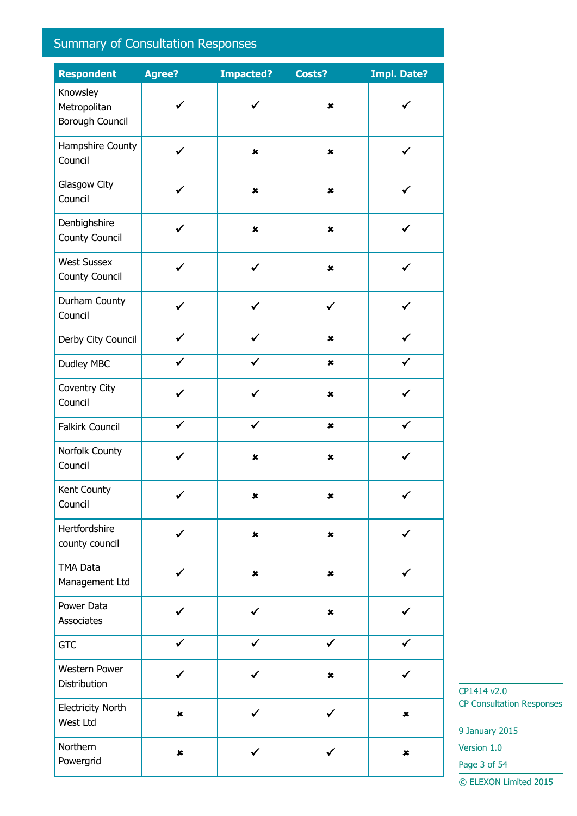# Summary of Consultation Responses

| <b>Respondent</b>                           | Agree?         | <b>Impacted?</b> | Costs?         | <b>Impl. Date?</b> |
|---------------------------------------------|----------------|------------------|----------------|--------------------|
| Knowsley<br>Metropolitan<br>Borough Council | ✔              | $\checkmark$     | $\pmb{\times}$ | ✓                  |
| Hampshire County<br>Council                 | $\checkmark$   | $\pmb{\times}$   | $\pmb{\times}$ | $\checkmark$       |
| Glasgow City<br>Council                     | ✔              | $\pmb{\times}$   | $\pmb{\times}$ |                    |
| Denbighshire<br>County Council              | ✓              | $\pmb{\times}$   | $\pmb{\times}$ |                    |
| <b>West Sussex</b><br><b>County Council</b> | ✔              | $\checkmark$     | $\pmb{\times}$ | ✓                  |
| Durham County<br>Council                    | ✓              | ✓                | ✔              |                    |
| Derby City Council                          | ✔              | $\checkmark$     | $\pmb{\times}$ | ✔                  |
| Dudley MBC                                  |                |                  | $\pmb{\times}$ |                    |
| Coventry City<br>Council                    | ✓              | ✓                | $\pmb{\times}$ |                    |
| <b>Falkirk Council</b>                      | $\checkmark$   | $\checkmark$     | $\pmb{\times}$ |                    |
| Norfolk County<br>Council                   | ✓              | $\pmb{\times}$   | $\pmb{\times}$ |                    |
| Kent County<br>Council                      |                | ×                | ×              |                    |
| Hertfordshire<br>county council             | ✔              | $\pmb{\times}$   | $\pmb{\times}$ | ✓                  |
| TMA Data<br>Management Ltd                  | ✓              | $\pmb{\times}$   | $\pmb{\times}$ |                    |
| Power Data<br>Associates                    |                | ✓                | $\pmb{\times}$ |                    |
| <b>GTC</b>                                  | $\checkmark$   | $\checkmark$     | $\checkmark$   | $\checkmark$       |
| Western Power<br>Distribution               | ✓              |                  | $\pmb{\times}$ |                    |
| <b>Electricity North</b><br>West Ltd        | $\pmb{\times}$ | ✓                | ✓              | $\pmb{\times}$     |
| Northern<br>Powergrid                       | $\pmb{\times}$ | ✓                |                | $\pmb{\times}$     |

CP1414 v2.0 CP Consultation Responses

9 January 2015

Version 1.0

Page 3 of 54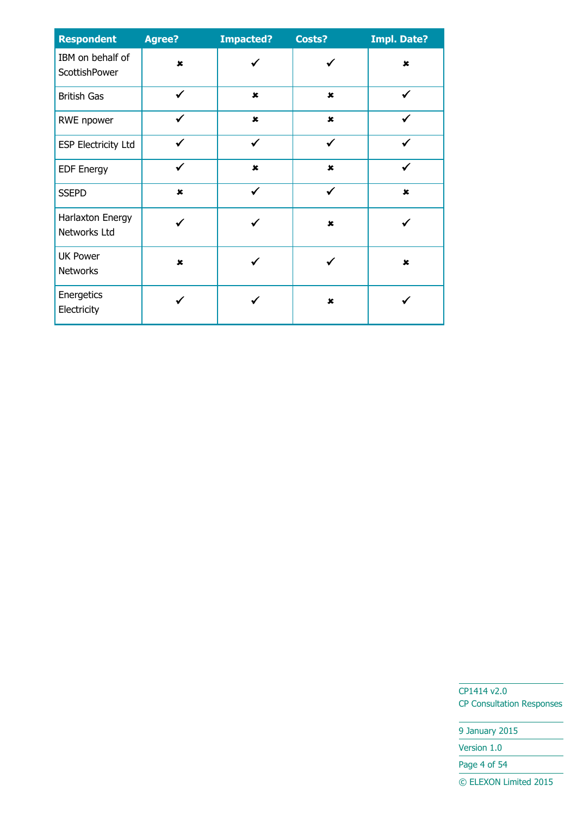| <b>Respondent</b>                  | <b>Agree?</b>  | <b>Impacted?</b> | Costs?         | <b>Impl. Date?</b> |
|------------------------------------|----------------|------------------|----------------|--------------------|
| IBM on behalf of<br>ScottishPower  | $\pmb{\times}$ | ✓                |                | $\mathbf x$        |
| <b>British Gas</b>                 | $\checkmark$   | $\pmb{x}$        | $\mathbf x$    | $\checkmark$       |
| RWE npower                         | ✓              | $\pmb{\times}$   | $\pmb{\times}$ | ✓                  |
| <b>ESP Electricity Ltd</b>         | ✓              | $\checkmark$     | $\checkmark$   | ✓                  |
| <b>EDF Energy</b>                  | $\checkmark$   | $\pmb{\times}$   | $\mathbf x$    | ✓                  |
| <b>SSEPD</b>                       | $\mathbf x$    | ✓                | ✔              | $\mathbf x$        |
| Harlaxton Energy<br>Networks Ltd   |                |                  | $\pmb{\times}$ |                    |
| <b>UK Power</b><br><b>Networks</b> | ×              |                  |                | $\mathbf x$        |
| Energetics<br>Electricity          |                |                  | ×              |                    |

9 January 2015

Version 1.0

Page 4 of 54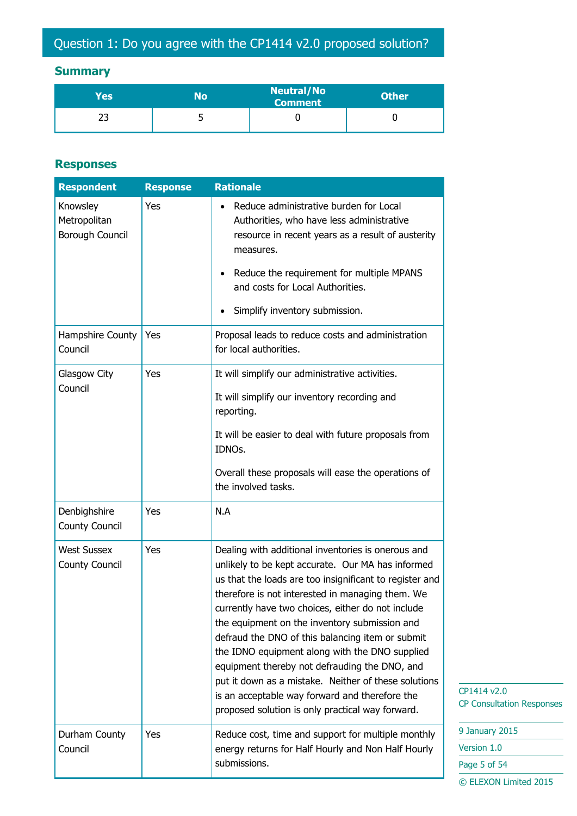# Question 1: Do you agree with the CP1414 v2.0 proposed solution?

## **Summary**

| Yes' | No | <b>Neutral/No</b><br><b>Comment</b> | <b>Other</b> |
|------|----|-------------------------------------|--------------|
| ت    | ັ  |                                     |              |

#### **Responses**

| <b>Respondent</b>                           | <b>Response</b> | <b>Rationale</b>                                                                                                                                                                                                                                                                                                                                                                                                                                                                                                                            |                                               |
|---------------------------------------------|-----------------|---------------------------------------------------------------------------------------------------------------------------------------------------------------------------------------------------------------------------------------------------------------------------------------------------------------------------------------------------------------------------------------------------------------------------------------------------------------------------------------------------------------------------------------------|-----------------------------------------------|
| Knowsley<br>Metropolitan<br>Borough Council | Yes             | Reduce administrative burden for Local<br>٠<br>Authorities, who have less administrative<br>resource in recent years as a result of austerity<br>measures.                                                                                                                                                                                                                                                                                                                                                                                  |                                               |
|                                             |                 | Reduce the requirement for multiple MPANS<br>$\bullet$<br>and costs for Local Authorities.<br>Simplify inventory submission.                                                                                                                                                                                                                                                                                                                                                                                                                |                                               |
| Hampshire County<br>Council                 | Yes             | Proposal leads to reduce costs and administration<br>for local authorities.                                                                                                                                                                                                                                                                                                                                                                                                                                                                 |                                               |
| Glasgow City<br>Council                     | Yes             | It will simplify our administrative activities.<br>It will simplify our inventory recording and<br>reporting.                                                                                                                                                                                                                                                                                                                                                                                                                               |                                               |
|                                             |                 | It will be easier to deal with future proposals from<br>IDNOs.                                                                                                                                                                                                                                                                                                                                                                                                                                                                              |                                               |
|                                             |                 | Overall these proposals will ease the operations of<br>the involved tasks.                                                                                                                                                                                                                                                                                                                                                                                                                                                                  |                                               |
| Denbighshire<br>County Council              | Yes             | N.A                                                                                                                                                                                                                                                                                                                                                                                                                                                                                                                                         |                                               |
| <b>West Sussex</b><br>County Council        | Yes             | Dealing with additional inventories is onerous and<br>unlikely to be kept accurate. Our MA has informed<br>us that the loads are too insignificant to register and<br>therefore is not interested in managing them. We<br>currently have two choices, either do not include<br>the equipment on the inventory submission and<br>defraud the DNO of this balancing item or submit<br>the IDNO equipment along with the DNO supplied<br>equipment thereby not defrauding the DNO, and<br>put it down as a mistake. Neither of these solutions |                                               |
|                                             |                 | is an acceptable way forward and therefore the<br>proposed solution is only practical way forward.                                                                                                                                                                                                                                                                                                                                                                                                                                          | CP1414 v2.0<br><b>CP Consultation Respons</b> |
| Durham County                               | Yes             | Reduce cost, time and support for multiple monthly                                                                                                                                                                                                                                                                                                                                                                                                                                                                                          | 9 January 2015                                |
| Council                                     |                 | energy returns for Half Hourly and Non Half Hourly                                                                                                                                                                                                                                                                                                                                                                                                                                                                                          | Version 1.0                                   |
|                                             |                 | submissions.                                                                                                                                                                                                                                                                                                                                                                                                                                                                                                                                | Page 5 of 54<br>© ELEXON Limited 2015         |

 $14 v2.0$ onsultation Responses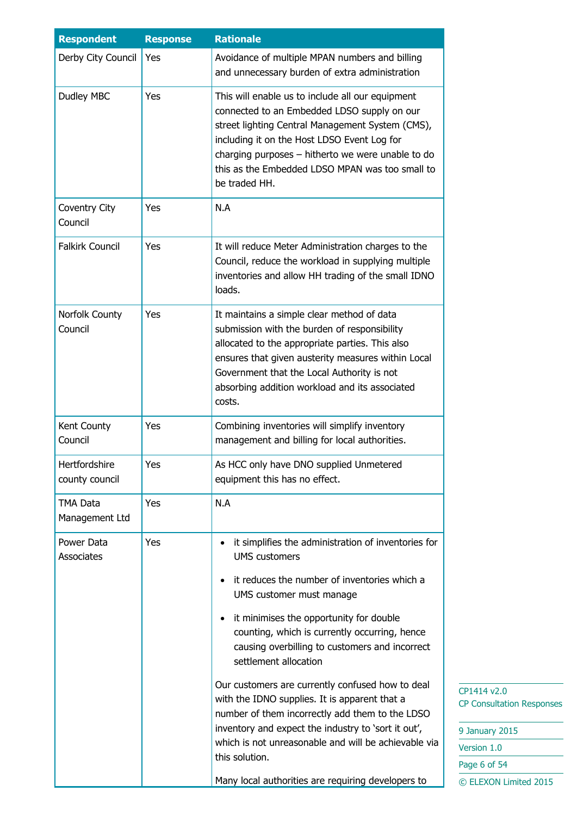| <b>Respondent</b>               | <b>Response</b> | <b>Rationale</b>                                                                                                                                                                                                                                                                                                                                                                                                                                                                                                                                                                                                                                                                           |  |
|---------------------------------|-----------------|--------------------------------------------------------------------------------------------------------------------------------------------------------------------------------------------------------------------------------------------------------------------------------------------------------------------------------------------------------------------------------------------------------------------------------------------------------------------------------------------------------------------------------------------------------------------------------------------------------------------------------------------------------------------------------------------|--|
| Derby City Council              | Yes             | Avoidance of multiple MPAN numbers and billing<br>and unnecessary burden of extra administration                                                                                                                                                                                                                                                                                                                                                                                                                                                                                                                                                                                           |  |
| Dudley MBC                      | Yes             | This will enable us to include all our equipment<br>connected to an Embedded LDSO supply on our<br>street lighting Central Management System (CMS),<br>including it on the Host LDSO Event Log for<br>charging purposes - hitherto we were unable to do<br>this as the Embedded LDSO MPAN was too small to<br>be traded HH.                                                                                                                                                                                                                                                                                                                                                                |  |
| Coventry City<br>Council        | Yes             | N.A                                                                                                                                                                                                                                                                                                                                                                                                                                                                                                                                                                                                                                                                                        |  |
| <b>Falkirk Council</b>          | Yes             | It will reduce Meter Administration charges to the<br>Council, reduce the workload in supplying multiple<br>inventories and allow HH trading of the small IDNO<br>loads.                                                                                                                                                                                                                                                                                                                                                                                                                                                                                                                   |  |
| Norfolk County<br>Council       | Yes             | It maintains a simple clear method of data<br>submission with the burden of responsibility<br>allocated to the appropriate parties. This also<br>ensures that given austerity measures within Local<br>Government that the Local Authority is not<br>absorbing addition workload and its associated<br>costs.                                                                                                                                                                                                                                                                                                                                                                              |  |
| Kent County<br>Council          | Yes             | Combining inventories will simplify inventory<br>management and billing for local authorities.                                                                                                                                                                                                                                                                                                                                                                                                                                                                                                                                                                                             |  |
| Hertfordshire<br>county council | Yes             | As HCC only have DNO supplied Unmetered<br>equipment this has no effect.                                                                                                                                                                                                                                                                                                                                                                                                                                                                                                                                                                                                                   |  |
| TMA Data<br>Management Ltd      | Yes             | N.A                                                                                                                                                                                                                                                                                                                                                                                                                                                                                                                                                                                                                                                                                        |  |
| Power Data<br><b>Associates</b> | Yes             | it simplifies the administration of inventories for<br><b>UMS</b> customers<br>it reduces the number of inventories which a<br>UMS customer must manage<br>it minimises the opportunity for double<br>$\bullet$<br>counting, which is currently occurring, hence<br>causing overbilling to customers and incorrect<br>settlement allocation<br>Our customers are currently confused how to deal<br>with the IDNO supplies. It is apparent that a<br>number of them incorrectly add them to the LDSO<br>inventory and expect the industry to 'sort it out',<br>which is not unreasonable and will be achievable via<br>this solution.<br>Many local authorities are requiring developers to |  |

| 9 January 2015        |
|-----------------------|
| Version 1.0           |
| Page 6 of 54          |
| © ELEXON Limited 2015 |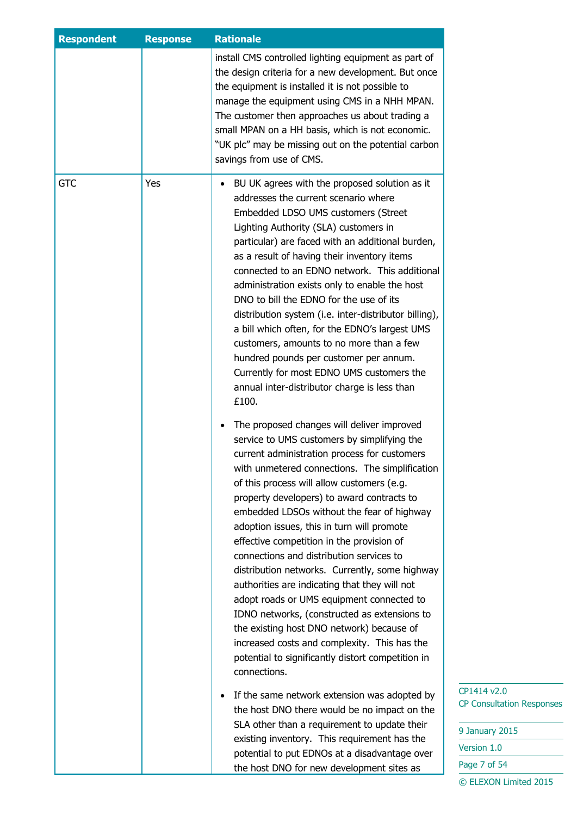| <b>Respondent</b> | <b>Response</b> | <b>Rationale</b>                                                                                                                                                                                                                                                                                                                                                                                                                                                                                                                                                                                                                                                                                                                                                                                                                                                                                                                                                                                                                                                                                                                                                                                                                                                                                                                                                                                                                                                                                                                                                                                                                                                                                                                                                                                                                                                                                       |
|-------------------|-----------------|--------------------------------------------------------------------------------------------------------------------------------------------------------------------------------------------------------------------------------------------------------------------------------------------------------------------------------------------------------------------------------------------------------------------------------------------------------------------------------------------------------------------------------------------------------------------------------------------------------------------------------------------------------------------------------------------------------------------------------------------------------------------------------------------------------------------------------------------------------------------------------------------------------------------------------------------------------------------------------------------------------------------------------------------------------------------------------------------------------------------------------------------------------------------------------------------------------------------------------------------------------------------------------------------------------------------------------------------------------------------------------------------------------------------------------------------------------------------------------------------------------------------------------------------------------------------------------------------------------------------------------------------------------------------------------------------------------------------------------------------------------------------------------------------------------------------------------------------------------------------------------------------------------|
|                   |                 | install CMS controlled lighting equipment as part of<br>the design criteria for a new development. But once<br>the equipment is installed it is not possible to<br>manage the equipment using CMS in a NHH MPAN.<br>The customer then approaches us about trading a<br>small MPAN on a HH basis, which is not economic.<br>"UK plc" may be missing out on the potential carbon<br>savings from use of CMS.                                                                                                                                                                                                                                                                                                                                                                                                                                                                                                                                                                                                                                                                                                                                                                                                                                                                                                                                                                                                                                                                                                                                                                                                                                                                                                                                                                                                                                                                                             |
| <b>GTC</b>        | Yes             | BU UK agrees with the proposed solution as it<br>$\bullet$<br>addresses the current scenario where<br>Embedded LDSO UMS customers (Street<br>Lighting Authority (SLA) customers in<br>particular) are faced with an additional burden,<br>as a result of having their inventory items<br>connected to an EDNO network. This additional<br>administration exists only to enable the host<br>DNO to bill the EDNO for the use of its<br>distribution system (i.e. inter-distributor billing),<br>a bill which often, for the EDNO's largest UMS<br>customers, amounts to no more than a few<br>hundred pounds per customer per annum.<br>Currently for most EDNO UMS customers the<br>annual inter-distributor charge is less than<br>£100.<br>The proposed changes will deliver improved<br>service to UMS customers by simplifying the<br>current administration process for customers<br>with unmetered connections. The simplification<br>of this process will allow customers (e.g.<br>property developers) to award contracts to<br>embedded LDSOs without the fear of highway<br>adoption issues, this in turn will promote<br>effective competition in the provision of<br>connections and distribution services to<br>distribution networks. Currently, some highway<br>authorities are indicating that they will not<br>adopt roads or UMS equipment connected to<br>IDNO networks, (constructed as extensions to<br>the existing host DNO network) because of<br>increased costs and complexity. This has the<br>potential to significantly distort competition in<br>connections.<br>If the same network extension was adopted by<br>$\bullet$<br>the host DNO there would be no impact on the<br>SLA other than a requirement to update their<br>existing inventory. This requirement has the<br>potential to put EDNOs at a disadvantage over<br>the host DNO for new development sites as |

| 9 January 2015        |
|-----------------------|
| Version 1.0           |
| Page 7 of 54          |
| © ELEXON Limited 2015 |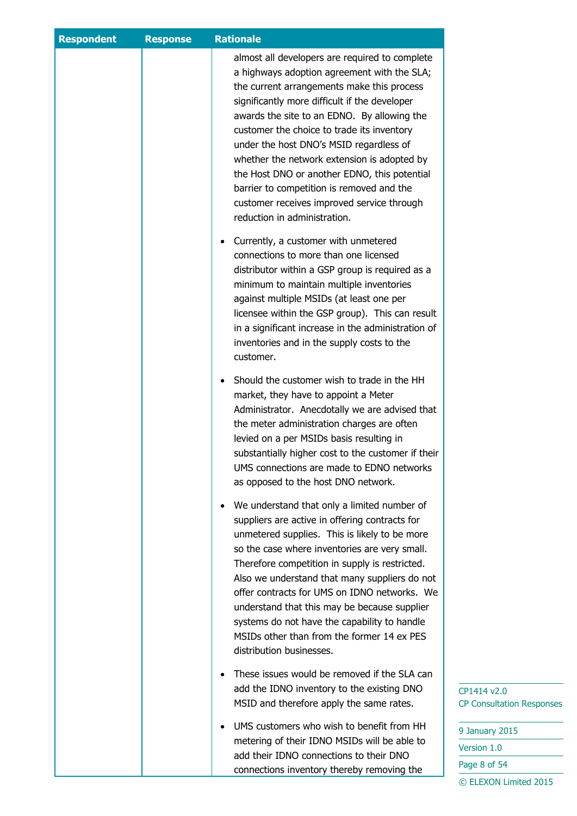| <b>Respondent</b> | <b>Response</b> | <b>Rationale</b>                                                                                                                                                                                                                                                                                                                                                                                                                                                                                                                                                                                                                                                                                                                                                                                                                                                                                                                                               |                                                                        |
|-------------------|-----------------|----------------------------------------------------------------------------------------------------------------------------------------------------------------------------------------------------------------------------------------------------------------------------------------------------------------------------------------------------------------------------------------------------------------------------------------------------------------------------------------------------------------------------------------------------------------------------------------------------------------------------------------------------------------------------------------------------------------------------------------------------------------------------------------------------------------------------------------------------------------------------------------------------------------------------------------------------------------|------------------------------------------------------------------------|
|                   |                 | almost all developers are required to complete<br>a highways adoption agreement with the SLA;<br>the current arrangements make this process<br>significantly more difficult if the developer<br>awards the site to an EDNO. By allowing the<br>customer the choice to trade its inventory<br>under the host DNO's MSID regardless of<br>whether the network extension is adopted by<br>the Host DNO or another EDNO, this potential<br>barrier to competition is removed and the<br>customer receives improved service through<br>reduction in administration.<br>Currently, a customer with unmetered<br>connections to more than one licensed<br>distributor within a GSP group is required as a<br>minimum to maintain multiple inventories<br>against multiple MSIDs (at least one per<br>licensee within the GSP group). This can result<br>in a significant increase in the administration of<br>inventories and in the supply costs to the<br>customer. |                                                                        |
|                   |                 | Should the customer wish to trade in the HH<br>market, they have to appoint a Meter<br>Administrator. Anecdotally we are advised that<br>the meter administration charges are often<br>levied on a per MSIDs basis resulting in<br>substantially higher cost to the customer if their<br>UMS connections are made to EDNO networks<br>as opposed to the host DNO network.                                                                                                                                                                                                                                                                                                                                                                                                                                                                                                                                                                                      |                                                                        |
|                   |                 | We understand that only a limited number of<br>suppliers are active in offering contracts for<br>unmetered supplies. This is likely to be more<br>so the case where inventories are very small.<br>Therefore competition in supply is restricted.<br>Also we understand that many suppliers do not<br>offer contracts for UMS on IDNO networks. We<br>understand that this may be because supplier<br>systems do not have the capability to handle<br>MSIDs other than from the former 14 ex PES<br>distribution businesses.                                                                                                                                                                                                                                                                                                                                                                                                                                   |                                                                        |
|                   |                 | These issues would be removed if the SLA can<br>add the IDNO inventory to the existing DNO<br>MSID and therefore apply the same rates.                                                                                                                                                                                                                                                                                                                                                                                                                                                                                                                                                                                                                                                                                                                                                                                                                         | CP1414 v2.0<br><b>CP Consultation Responses</b>                        |
|                   |                 | UMS customers who wish to benefit from HH<br>metering of their IDNO MSIDs will be able to<br>add their IDNO connections to their DNO<br>connections inventory thereby removing the                                                                                                                                                                                                                                                                                                                                                                                                                                                                                                                                                                                                                                                                                                                                                                             | 9 January 2015<br>Version 1.0<br>Page 8 of 54<br>© ELEXON Limited 2015 |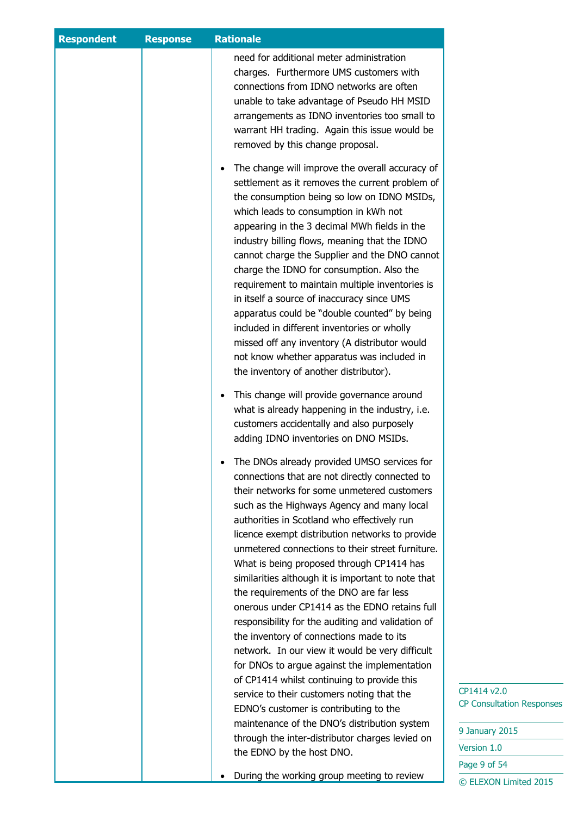| <b>Respondent</b> | <b>Response</b> | <b>Rationale</b>                                                                                                                                                                                                                                                                                                                                                                                                                                                                                                                                                                                                                                                                                                                                                                                    |                                  |
|-------------------|-----------------|-----------------------------------------------------------------------------------------------------------------------------------------------------------------------------------------------------------------------------------------------------------------------------------------------------------------------------------------------------------------------------------------------------------------------------------------------------------------------------------------------------------------------------------------------------------------------------------------------------------------------------------------------------------------------------------------------------------------------------------------------------------------------------------------------------|----------------------------------|
|                   |                 | need for additional meter administration<br>charges. Furthermore UMS customers with<br>connections from IDNO networks are often<br>unable to take advantage of Pseudo HH MSID<br>arrangements as IDNO inventories too small to<br>warrant HH trading. Again this issue would be<br>removed by this change proposal.                                                                                                                                                                                                                                                                                                                                                                                                                                                                                 |                                  |
|                   |                 | The change will improve the overall accuracy of<br>$\bullet$<br>settlement as it removes the current problem of<br>the consumption being so low on IDNO MSIDs,<br>which leads to consumption in kWh not<br>appearing in the 3 decimal MWh fields in the<br>industry billing flows, meaning that the IDNO<br>cannot charge the Supplier and the DNO cannot<br>charge the IDNO for consumption. Also the<br>requirement to maintain multiple inventories is<br>in itself a source of inaccuracy since UMS<br>apparatus could be "double counted" by being<br>included in different inventories or wholly<br>missed off any inventory (A distributor would<br>not know whether apparatus was included in<br>the inventory of another distributor).                                                     |                                  |
|                   |                 | This change will provide governance around<br>$\bullet$<br>what is already happening in the industry, i.e.<br>customers accidentally and also purposely<br>adding IDNO inventories on DNO MSIDs.                                                                                                                                                                                                                                                                                                                                                                                                                                                                                                                                                                                                    |                                  |
|                   |                 | The DNOs already provided UMSO services for<br>connections that are not directly connected to<br>their networks for some unmetered customers<br>such as the Highways Agency and many local<br>authorities in Scotland who effectively run<br>licence exempt distribution networks to provide<br>unmetered connections to their street furniture.<br>What is being proposed through CP1414 has<br>similarities although it is important to note that<br>the requirements of the DNO are far less<br>onerous under CP1414 as the EDNO retains full<br>responsibility for the auditing and validation of<br>the inventory of connections made to its<br>network. In our view it would be very difficult<br>for DNOs to argue against the implementation<br>of CP1414 whilst continuing to provide this | CP1414 v2.0                      |
|                   |                 | service to their customers noting that the<br>EDNO's customer is contributing to the<br>maintenance of the DNO's distribution system                                                                                                                                                                                                                                                                                                                                                                                                                                                                                                                                                                                                                                                                | <b>CP Consultation Responses</b> |
|                   |                 | through the inter-distributor charges levied on                                                                                                                                                                                                                                                                                                                                                                                                                                                                                                                                                                                                                                                                                                                                                     | 9 January 2015                   |
|                   |                 | the EDNO by the host DNO.                                                                                                                                                                                                                                                                                                                                                                                                                                                                                                                                                                                                                                                                                                                                                                           | Version 1.0                      |
|                   |                 | During the working group meeting to review                                                                                                                                                                                                                                                                                                                                                                                                                                                                                                                                                                                                                                                                                                                                                          | Page 9 of 54                     |
|                   |                 |                                                                                                                                                                                                                                                                                                                                                                                                                                                                                                                                                                                                                                                                                                                                                                                                     | © ELEXON Limited 2015            |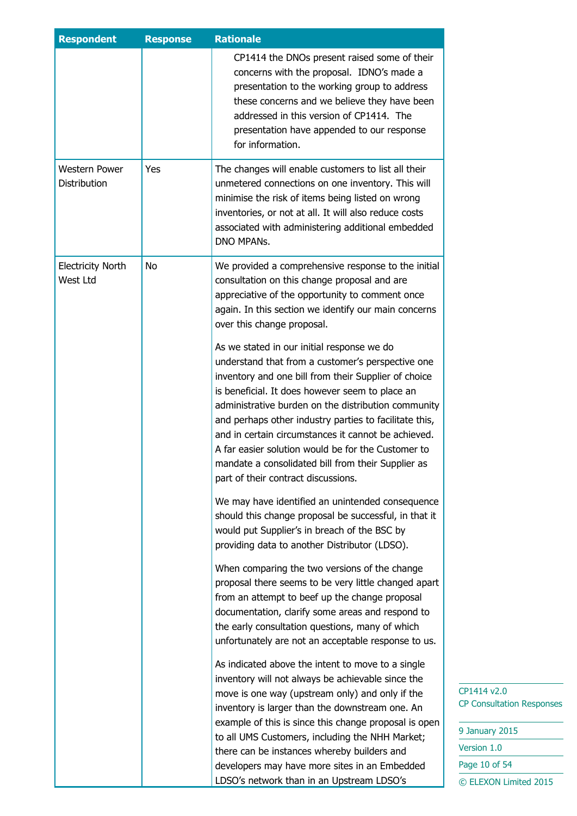| <b>Respondent</b>                    | <b>Response</b> | <b>Rationale</b>                                                                                                                                                                                                                                                                                                                                                                                                                                                                                                                      |  |
|--------------------------------------|-----------------|---------------------------------------------------------------------------------------------------------------------------------------------------------------------------------------------------------------------------------------------------------------------------------------------------------------------------------------------------------------------------------------------------------------------------------------------------------------------------------------------------------------------------------------|--|
|                                      |                 | CP1414 the DNOs present raised some of their<br>concerns with the proposal. IDNO's made a<br>presentation to the working group to address<br>these concerns and we believe they have been<br>addressed in this version of CP1414. The<br>presentation have appended to our response<br>for information.                                                                                                                                                                                                                               |  |
| <b>Western Power</b><br>Distribution | Yes             | The changes will enable customers to list all their<br>unmetered connections on one inventory. This will<br>minimise the risk of items being listed on wrong<br>inventories, or not at all. It will also reduce costs<br>associated with administering additional embedded<br><b>DNO MPANS.</b>                                                                                                                                                                                                                                       |  |
| <b>Electricity North</b><br>West Ltd | No              | We provided a comprehensive response to the initial<br>consultation on this change proposal and are<br>appreciative of the opportunity to comment once<br>again. In this section we identify our main concerns<br>over this change proposal.                                                                                                                                                                                                                                                                                          |  |
|                                      |                 | As we stated in our initial response we do<br>understand that from a customer's perspective one<br>inventory and one bill from their Supplier of choice<br>is beneficial. It does however seem to place an<br>administrative burden on the distribution community<br>and perhaps other industry parties to facilitate this,<br>and in certain circumstances it cannot be achieved.<br>A far easier solution would be for the Customer to<br>mandate a consolidated bill from their Supplier as<br>part of their contract discussions. |  |
|                                      |                 | We may have identified an unintended consequence<br>should this change proposal be successful, in that it<br>would put Supplier's in breach of the BSC by<br>providing data to another Distributor (LDSO).                                                                                                                                                                                                                                                                                                                            |  |
|                                      |                 | When comparing the two versions of the change<br>proposal there seems to be very little changed apart<br>from an attempt to beef up the change proposal<br>documentation, clarify some areas and respond to<br>the early consultation questions, many of which<br>unfortunately are not an acceptable response to us.                                                                                                                                                                                                                 |  |
|                                      |                 | As indicated above the intent to move to a single<br>inventory will not always be achievable since the<br>move is one way (upstream only) and only if the<br>inventory is larger than the downstream one. An<br>example of this is since this change proposal is open<br>to all UMS Customers, including the NHH Market;<br>there can be instances whereby builders and<br>developers may have more sites in an Embedded<br>LDSO's network than in an Upstream LDSO's                                                                 |  |

| 9 January 2015        |  |  |
|-----------------------|--|--|
| Version 1.0           |  |  |
| Page 10 of 54         |  |  |
| © ELEXON Limited 2015 |  |  |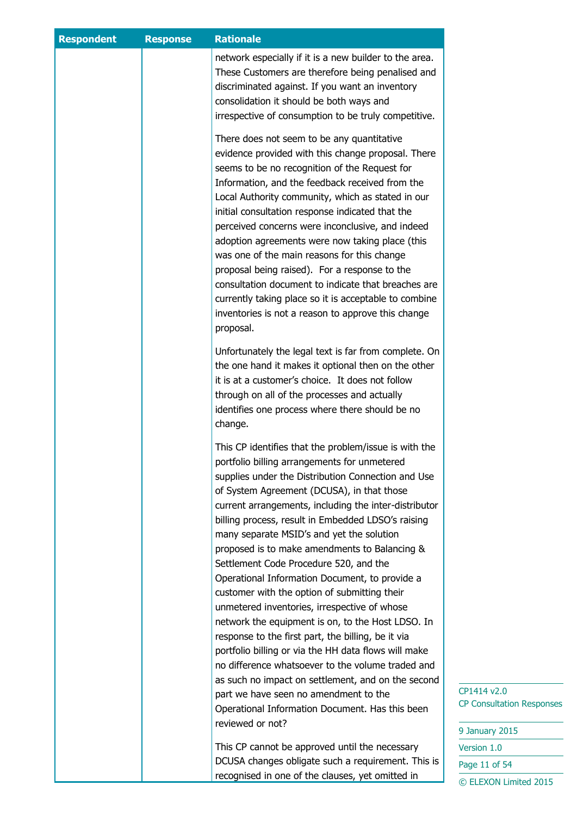| <b>Respondent</b> | <b>Response</b> | <b>Rationale</b>                                                                                                                                                                                                                                                                                                                                                                                                                                                                                                                                                                                                                                                                                        |                                                                   |
|-------------------|-----------------|---------------------------------------------------------------------------------------------------------------------------------------------------------------------------------------------------------------------------------------------------------------------------------------------------------------------------------------------------------------------------------------------------------------------------------------------------------------------------------------------------------------------------------------------------------------------------------------------------------------------------------------------------------------------------------------------------------|-------------------------------------------------------------------|
|                   |                 | network especially if it is a new builder to the area.<br>These Customers are therefore being penalised and<br>discriminated against. If you want an inventory<br>consolidation it should be both ways and<br>irrespective of consumption to be truly competitive.                                                                                                                                                                                                                                                                                                                                                                                                                                      |                                                                   |
|                   |                 | There does not seem to be any quantitative<br>evidence provided with this change proposal. There<br>seems to be no recognition of the Request for<br>Information, and the feedback received from the<br>Local Authority community, which as stated in our<br>initial consultation response indicated that the<br>perceived concerns were inconclusive, and indeed<br>adoption agreements were now taking place (this<br>was one of the main reasons for this change<br>proposal being raised). For a response to the<br>consultation document to indicate that breaches are<br>currently taking place so it is acceptable to combine<br>inventories is not a reason to approve this change<br>proposal. |                                                                   |
|                   |                 | Unfortunately the legal text is far from complete. On<br>the one hand it makes it optional then on the other<br>it is at a customer's choice. It does not follow<br>through on all of the processes and actually<br>identifies one process where there should be no<br>change.                                                                                                                                                                                                                                                                                                                                                                                                                          |                                                                   |
|                   |                 | This CP identifies that the problem/issue is with the<br>portfolio billing arrangements for unmetered<br>supplies under the Distribution Connection and Use<br>of System Agreement (DCUSA), in that those<br>current arrangements, including the inter-distributor<br>billing process, result in Embedded LDSO's raising<br>many separate MSID's and yet the solution<br>proposed is to make amendments to Balancing &<br>Settlement Code Procedure 520, and the<br>Operational Information Document, to provide a<br>customer with the option of submitting their                                                                                                                                      |                                                                   |
|                   |                 | unmetered inventories, irrespective of whose<br>network the equipment is on, to the Host LDSO. In<br>response to the first part, the billing, be it via<br>portfolio billing or via the HH data flows will make<br>no difference whatsoever to the volume traded and<br>as such no impact on settlement, and on the second<br>part we have seen no amendment to the<br>Operational Information Document. Has this been<br>reviewed or not?                                                                                                                                                                                                                                                              | CP1414 v2.0<br><b>CP Consultation Responses</b><br>9 January 2015 |
|                   |                 | This CP cannot be approved until the necessary<br>DCUSA changes obligate such a requirement. This is                                                                                                                                                                                                                                                                                                                                                                                                                                                                                                                                                                                                    | Version 1.0<br>Page 11 of 54                                      |
|                   |                 | recognised in one of the clauses, yet omitted in                                                                                                                                                                                                                                                                                                                                                                                                                                                                                                                                                                                                                                                        | © ELEXON Limited 2015                                             |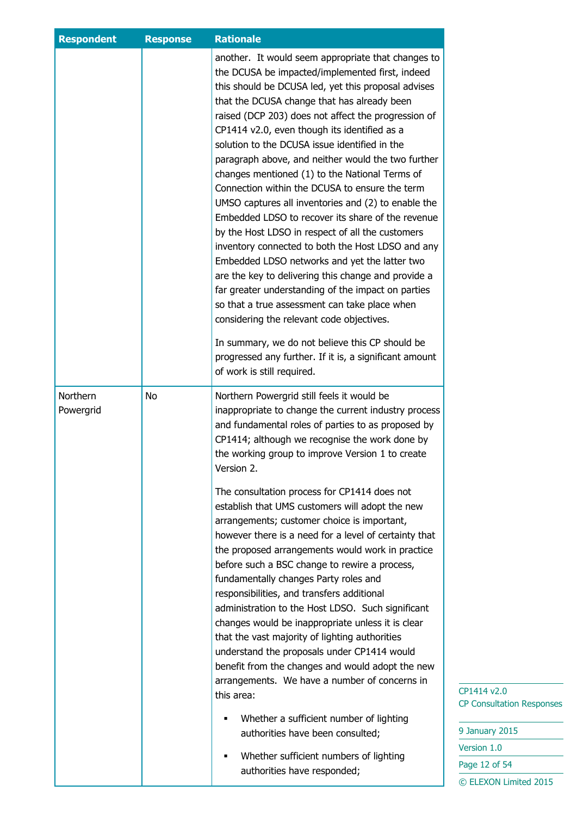| <b>Respondent</b>     | <b>Response</b> | <b>Rationale</b>                                                                                                                                                                                                                                                                                                                                                                                                                                                                                                                                                                                                                                                                                                                                                                                                                                                                                                                                                                                                                                                                                 |
|-----------------------|-----------------|--------------------------------------------------------------------------------------------------------------------------------------------------------------------------------------------------------------------------------------------------------------------------------------------------------------------------------------------------------------------------------------------------------------------------------------------------------------------------------------------------------------------------------------------------------------------------------------------------------------------------------------------------------------------------------------------------------------------------------------------------------------------------------------------------------------------------------------------------------------------------------------------------------------------------------------------------------------------------------------------------------------------------------------------------------------------------------------------------|
|                       |                 | another. It would seem appropriate that changes to<br>the DCUSA be impacted/implemented first, indeed<br>this should be DCUSA led, yet this proposal advises<br>that the DCUSA change that has already been<br>raised (DCP 203) does not affect the progression of<br>CP1414 v2.0, even though its identified as a<br>solution to the DCUSA issue identified in the<br>paragraph above, and neither would the two further<br>changes mentioned (1) to the National Terms of<br>Connection within the DCUSA to ensure the term<br>UMSO captures all inventories and (2) to enable the<br>Embedded LDSO to recover its share of the revenue<br>by the Host LDSO in respect of all the customers<br>inventory connected to both the Host LDSO and any<br>Embedded LDSO networks and yet the latter two<br>are the key to delivering this change and provide a<br>far greater understanding of the impact on parties<br>so that a true assessment can take place when<br>considering the relevant code objectives.<br>In summary, we do not believe this CP should be                                |
|                       |                 | progressed any further. If it is, a significant amount<br>of work is still required.                                                                                                                                                                                                                                                                                                                                                                                                                                                                                                                                                                                                                                                                                                                                                                                                                                                                                                                                                                                                             |
| Northern<br>Powergrid | No              | Northern Powergrid still feels it would be<br>inappropriate to change the current industry process<br>and fundamental roles of parties to as proposed by<br>CP1414; although we recognise the work done by<br>the working group to improve Version 1 to create<br>Version 2.<br>The consultation process for CP1414 does not<br>establish that UMS customers will adopt the new<br>arrangements; customer choice is important,<br>however there is a need for a level of certainty that<br>the proposed arrangements would work in practice<br>before such a BSC change to rewire a process,<br>fundamentally changes Party roles and<br>responsibilities, and transfers additional<br>administration to the Host LDSO. Such significant<br>changes would be inappropriate unless it is clear<br>that the vast majority of lighting authorities<br>understand the proposals under CP1414 would<br>benefit from the changes and would adopt the new<br>arrangements. We have a number of concerns in<br>this area:<br>Whether a sufficient number of lighting<br>authorities have been consulted; |
|                       |                 | Whether sufficient numbers of lighting<br>authorities have responded;                                                                                                                                                                                                                                                                                                                                                                                                                                                                                                                                                                                                                                                                                                                                                                                                                                                                                                                                                                                                                            |

 $\sqrt{2.0}$ sultation Responses

 $\frac{1}{2}$  2015  $1.0$  $2$  of 54 ON Limited 2015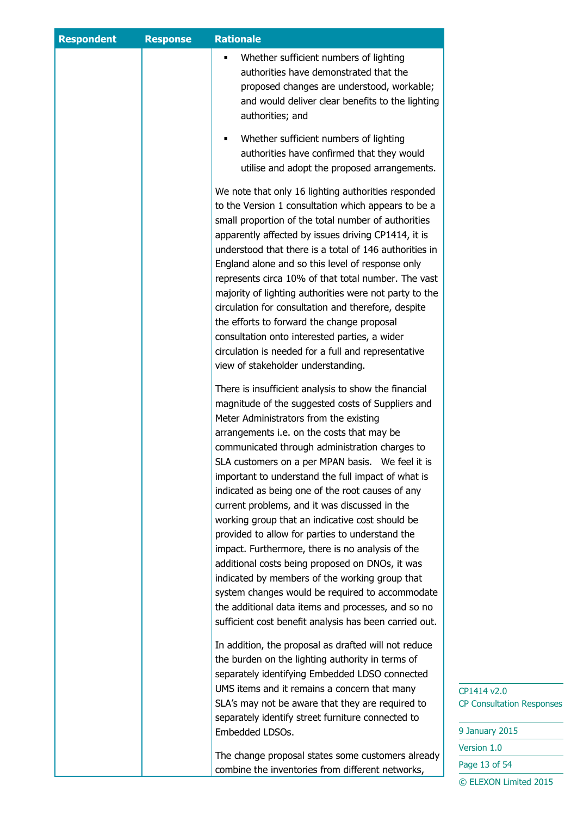| <b>Respondent</b> | <b>Response</b> | <b>Rationale</b>                                                                                                                                                                                                                                                                                                                                                                                                                                                                                                                                                                                                                                                                                                                                                                                                                                                                                     |                                                                   |
|-------------------|-----------------|------------------------------------------------------------------------------------------------------------------------------------------------------------------------------------------------------------------------------------------------------------------------------------------------------------------------------------------------------------------------------------------------------------------------------------------------------------------------------------------------------------------------------------------------------------------------------------------------------------------------------------------------------------------------------------------------------------------------------------------------------------------------------------------------------------------------------------------------------------------------------------------------------|-------------------------------------------------------------------|
|                   |                 | Whether sufficient numbers of lighting<br>٠<br>authorities have demonstrated that the<br>proposed changes are understood, workable;<br>and would deliver clear benefits to the lighting<br>authorities; and                                                                                                                                                                                                                                                                                                                                                                                                                                                                                                                                                                                                                                                                                          |                                                                   |
|                   |                 | Whether sufficient numbers of lighting<br>٠<br>authorities have confirmed that they would<br>utilise and adopt the proposed arrangements.                                                                                                                                                                                                                                                                                                                                                                                                                                                                                                                                                                                                                                                                                                                                                            |                                                                   |
|                   |                 | We note that only 16 lighting authorities responded<br>to the Version 1 consultation which appears to be a<br>small proportion of the total number of authorities<br>apparently affected by issues driving CP1414, it is<br>understood that there is a total of 146 authorities in<br>England alone and so this level of response only<br>represents circa 10% of that total number. The vast<br>majority of lighting authorities were not party to the<br>circulation for consultation and therefore, despite<br>the efforts to forward the change proposal<br>consultation onto interested parties, a wider<br>circulation is needed for a full and representative<br>view of stakeholder understanding.                                                                                                                                                                                           |                                                                   |
|                   |                 | There is insufficient analysis to show the financial<br>magnitude of the suggested costs of Suppliers and<br>Meter Administrators from the existing<br>arrangements i.e. on the costs that may be<br>communicated through administration charges to<br>SLA customers on a per MPAN basis. We feel it is<br>important to understand the full impact of what is<br>indicated as being one of the root causes of any<br>current problems, and it was discussed in the<br>working group that an indicative cost should be<br>provided to allow for parties to understand the<br>impact. Furthermore, there is no analysis of the<br>additional costs being proposed on DNOs, it was<br>indicated by members of the working group that<br>system changes would be required to accommodate<br>the additional data items and processes, and so no<br>sufficient cost benefit analysis has been carried out. |                                                                   |
|                   |                 | In addition, the proposal as drafted will not reduce<br>the burden on the lighting authority in terms of<br>separately identifying Embedded LDSO connected<br>UMS items and it remains a concern that many<br>SLA's may not be aware that they are required to<br>separately identify street furniture connected to<br>Embedded LDSOs.                                                                                                                                                                                                                                                                                                                                                                                                                                                                                                                                                               | CP1414 v2.0<br><b>CP Consultation Responses</b><br>9 January 2015 |
|                   |                 |                                                                                                                                                                                                                                                                                                                                                                                                                                                                                                                                                                                                                                                                                                                                                                                                                                                                                                      | Version 1.0                                                       |
|                   |                 | The change proposal states some customers already<br>combine the inventories from different networks,                                                                                                                                                                                                                                                                                                                                                                                                                                                                                                                                                                                                                                                                                                                                                                                                | Page 13 of 54                                                     |
|                   |                 |                                                                                                                                                                                                                                                                                                                                                                                                                                                                                                                                                                                                                                                                                                                                                                                                                                                                                                      | © ELEXON Limited 2015                                             |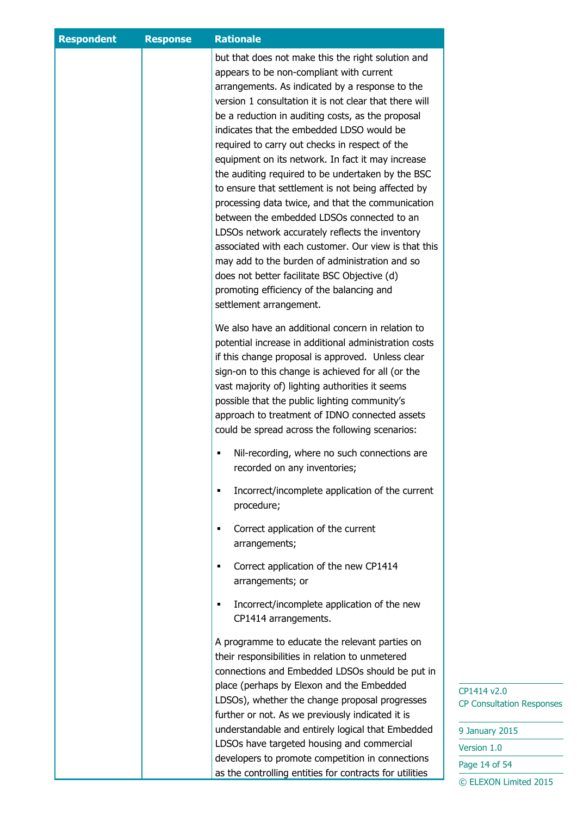| <b>Respondent</b> | <b>Response</b> | <b>Rationale</b>                                                                                                                                                                                                                                                                                                                                                                                                                                                                                                                                                                                                                                                                                                                                                                                                                                                                             |                                                 |
|-------------------|-----------------|----------------------------------------------------------------------------------------------------------------------------------------------------------------------------------------------------------------------------------------------------------------------------------------------------------------------------------------------------------------------------------------------------------------------------------------------------------------------------------------------------------------------------------------------------------------------------------------------------------------------------------------------------------------------------------------------------------------------------------------------------------------------------------------------------------------------------------------------------------------------------------------------|-------------------------------------------------|
|                   |                 | but that does not make this the right solution and<br>appears to be non-compliant with current<br>arrangements. As indicated by a response to the<br>version 1 consultation it is not clear that there will<br>be a reduction in auditing costs, as the proposal<br>indicates that the embedded LDSO would be<br>required to carry out checks in respect of the<br>equipment on its network. In fact it may increase<br>the auditing required to be undertaken by the BSC<br>to ensure that settlement is not being affected by<br>processing data twice, and that the communication<br>between the embedded LDSOs connected to an<br>LDSOs network accurately reflects the inventory<br>associated with each customer. Our view is that this<br>may add to the burden of administration and so<br>does not better facilitate BSC Objective (d)<br>promoting efficiency of the balancing and |                                                 |
|                   |                 | settlement arrangement.<br>We also have an additional concern in relation to<br>potential increase in additional administration costs<br>if this change proposal is approved. Unless clear<br>sign-on to this change is achieved for all (or the<br>vast majority of) lighting authorities it seems<br>possible that the public lighting community's<br>approach to treatment of IDNO connected assets<br>could be spread across the following scenarios:                                                                                                                                                                                                                                                                                                                                                                                                                                    |                                                 |
|                   |                 | Nil-recording, where no such connections are<br>recorded on any inventories;<br>Incorrect/incomplete application of the current<br>٠<br>procedure;                                                                                                                                                                                                                                                                                                                                                                                                                                                                                                                                                                                                                                                                                                                                           |                                                 |
|                   |                 | Correct application of the current<br>٠<br>arrangements;                                                                                                                                                                                                                                                                                                                                                                                                                                                                                                                                                                                                                                                                                                                                                                                                                                     |                                                 |
|                   |                 | Correct application of the new CP1414<br>٠<br>arrangements; or                                                                                                                                                                                                                                                                                                                                                                                                                                                                                                                                                                                                                                                                                                                                                                                                                               |                                                 |
|                   |                 | Incorrect/incomplete application of the new<br>٠<br>CP1414 arrangements.                                                                                                                                                                                                                                                                                                                                                                                                                                                                                                                                                                                                                                                                                                                                                                                                                     |                                                 |
|                   |                 | A programme to educate the relevant parties on<br>their responsibilities in relation to unmetered<br>connections and Embedded LDSOs should be put in<br>place (perhaps by Elexon and the Embedded                                                                                                                                                                                                                                                                                                                                                                                                                                                                                                                                                                                                                                                                                            |                                                 |
|                   |                 | LDSOs), whether the change proposal progresses<br>further or not. As we previously indicated it is                                                                                                                                                                                                                                                                                                                                                                                                                                                                                                                                                                                                                                                                                                                                                                                           | CP1414 v2.0<br><b>CP Consultation Responses</b> |
|                   |                 | understandable and entirely logical that Embedded<br>LDSOs have targeted housing and commercial                                                                                                                                                                                                                                                                                                                                                                                                                                                                                                                                                                                                                                                                                                                                                                                              | 9 January 2015                                  |
|                   |                 |                                                                                                                                                                                                                                                                                                                                                                                                                                                                                                                                                                                                                                                                                                                                                                                                                                                                                              | Version 1.0                                     |
|                   |                 | developers to promote competition in connections                                                                                                                                                                                                                                                                                                                                                                                                                                                                                                                                                                                                                                                                                                                                                                                                                                             | Page 14 of 54                                   |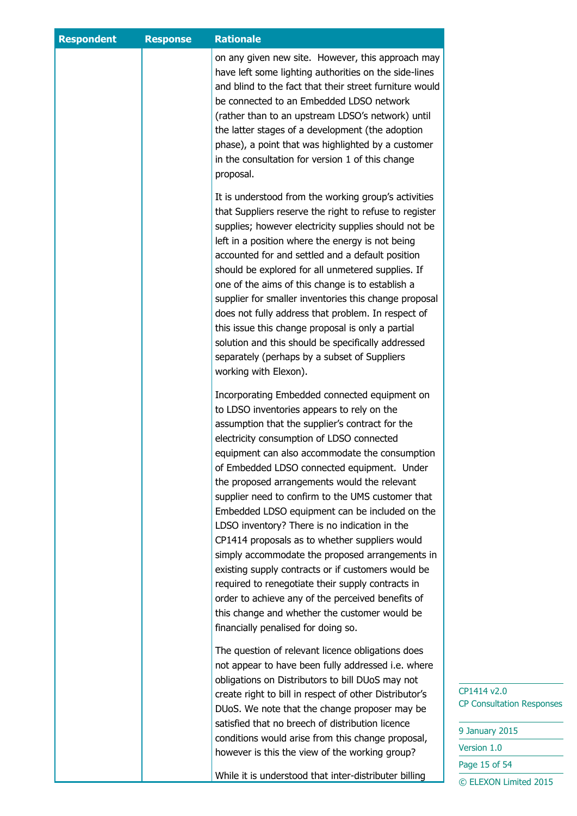| <b>Respondent</b> | <b>Response</b> | <b>Rationale</b>                                                                                                                                                                                                                                                                                                                                                                                                                                                                                                                                                                                                                                                                                                                                                                                                                                                  |                                                                                                                            |
|-------------------|-----------------|-------------------------------------------------------------------------------------------------------------------------------------------------------------------------------------------------------------------------------------------------------------------------------------------------------------------------------------------------------------------------------------------------------------------------------------------------------------------------------------------------------------------------------------------------------------------------------------------------------------------------------------------------------------------------------------------------------------------------------------------------------------------------------------------------------------------------------------------------------------------|----------------------------------------------------------------------------------------------------------------------------|
|                   |                 | on any given new site. However, this approach may<br>have left some lighting authorities on the side-lines<br>and blind to the fact that their street furniture would<br>be connected to an Embedded LDSO network<br>(rather than to an upstream LDSO's network) until<br>the latter stages of a development (the adoption<br>phase), a point that was highlighted by a customer<br>in the consultation for version 1 of this change<br>proposal.                                                                                                                                                                                                                                                                                                                                                                                                                 |                                                                                                                            |
|                   |                 | It is understood from the working group's activities<br>that Suppliers reserve the right to refuse to register<br>supplies; however electricity supplies should not be<br>left in a position where the energy is not being<br>accounted for and settled and a default position<br>should be explored for all unmetered supplies. If<br>one of the aims of this change is to establish a<br>supplier for smaller inventories this change proposal<br>does not fully address that problem. In respect of<br>this issue this change proposal is only a partial<br>solution and this should be specifically addressed<br>separately (perhaps by a subset of Suppliers<br>working with Elexon).                                                                                                                                                                        |                                                                                                                            |
|                   |                 | Incorporating Embedded connected equipment on<br>to LDSO inventories appears to rely on the<br>assumption that the supplier's contract for the<br>electricity consumption of LDSO connected<br>equipment can also accommodate the consumption<br>of Embedded LDSO connected equipment. Under<br>the proposed arrangements would the relevant<br>supplier need to confirm to the UMS customer that<br>Embedded LDSO equipment can be included on the<br>LDSO inventory? There is no indication in the<br>CP1414 proposals as to whether suppliers would<br>simply accommodate the proposed arrangements in<br>existing supply contracts or if customers would be<br>required to renegotiate their supply contracts in<br>order to achieve any of the perceived benefits of<br>this change and whether the customer would be<br>financially penalised for doing so. |                                                                                                                            |
|                   |                 | The question of relevant licence obligations does<br>not appear to have been fully addressed i.e. where<br>obligations on Distributors to bill DUoS may not<br>create right to bill in respect of other Distributor's<br>DUoS. We note that the change proposer may be<br>satisfied that no breech of distribution licence<br>conditions would arise from this change proposal,<br>however is this the view of the working group?<br>While it is understood that inter-distributer billing                                                                                                                                                                                                                                                                                                                                                                        | CP1414 v2.0<br><b>CP Consultation Responses</b><br>9 January 2015<br>Version 1.0<br>Page 15 of 54<br>© ELEXON Limited 2015 |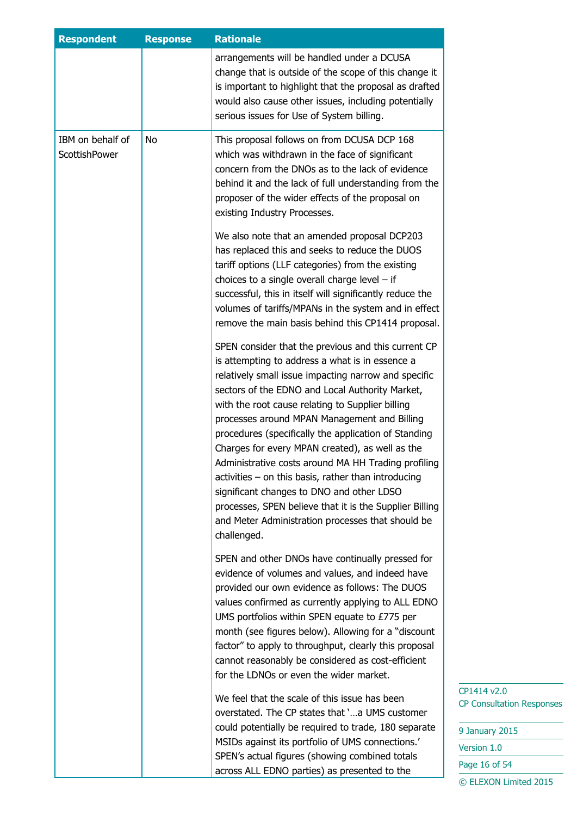| <b>Respondent</b>                 | <b>Response</b> | <b>Rationale</b>                                                                                                                                                                                                                                                                                                                                                                                                                                                                                                                                                                                                                                                                                                             |
|-----------------------------------|-----------------|------------------------------------------------------------------------------------------------------------------------------------------------------------------------------------------------------------------------------------------------------------------------------------------------------------------------------------------------------------------------------------------------------------------------------------------------------------------------------------------------------------------------------------------------------------------------------------------------------------------------------------------------------------------------------------------------------------------------------|
|                                   |                 | arrangements will be handled under a DCUSA<br>change that is outside of the scope of this change it<br>is important to highlight that the proposal as drafted<br>would also cause other issues, including potentially<br>serious issues for Use of System billing.                                                                                                                                                                                                                                                                                                                                                                                                                                                           |
| IBM on behalf of<br>ScottishPower | No              | This proposal follows on from DCUSA DCP 168<br>which was withdrawn in the face of significant<br>concern from the DNOs as to the lack of evidence<br>behind it and the lack of full understanding from the<br>proposer of the wider effects of the proposal on<br>existing Industry Processes.                                                                                                                                                                                                                                                                                                                                                                                                                               |
|                                   |                 | We also note that an amended proposal DCP203<br>has replaced this and seeks to reduce the DUOS<br>tariff options (LLF categories) from the existing<br>choices to a single overall charge level $-$ if<br>successful, this in itself will significantly reduce the<br>volumes of tariffs/MPANs in the system and in effect<br>remove the main basis behind this CP1414 proposal.                                                                                                                                                                                                                                                                                                                                             |
|                                   |                 | SPEN consider that the previous and this current CP<br>is attempting to address a what is in essence a<br>relatively small issue impacting narrow and specific<br>sectors of the EDNO and Local Authority Market,<br>with the root cause relating to Supplier billing<br>processes around MPAN Management and Billing<br>procedures (specifically the application of Standing<br>Charges for every MPAN created), as well as the<br>Administrative costs around MA HH Trading profiling<br>$activities - on this basis, rather than introducing$<br>significant changes to DNO and other LDSO<br>processes, SPEN believe that it is the Supplier Billing<br>and Meter Administration processes that should be<br>challenged. |
|                                   |                 | SPEN and other DNOs have continually pressed for<br>evidence of volumes and values, and indeed have<br>provided our own evidence as follows: The DUOS<br>values confirmed as currently applying to ALL EDNO<br>UMS portfolios within SPEN equate to £775 per<br>month (see figures below). Allowing for a "discount"<br>factor" to apply to throughput, clearly this proposal<br>cannot reasonably be considered as cost-efficient<br>for the LDNOs or even the wider market.                                                                                                                                                                                                                                                |
|                                   |                 | We feel that the scale of this issue has been<br>overstated. The CP states that 'a UMS customer<br>could potentially be required to trade, 180 separate<br>MSIDs against its portfolio of UMS connections.'<br>SPEN's actual figures (showing combined totals<br>across ALL EDNO parties) as presented to the                                                                                                                                                                                                                                                                                                                                                                                                                |

| 9 January 2015        |  |  |
|-----------------------|--|--|
| Version 1.0           |  |  |
| Page 16 of 54         |  |  |
| © ELEXON Limited 2015 |  |  |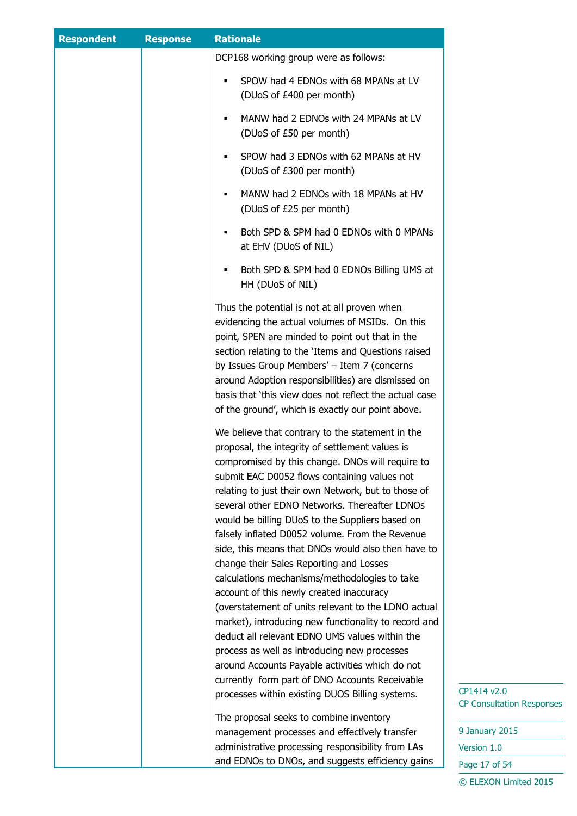| <b>Respondent</b> | <b>Response</b> | <b>Rationale</b>                                                                                                                                                                                                                                                                                                                                                                                                                                                                                                                                                                                                                                                                                                                                                                                                                                                                                                                          |                                                 |
|-------------------|-----------------|-------------------------------------------------------------------------------------------------------------------------------------------------------------------------------------------------------------------------------------------------------------------------------------------------------------------------------------------------------------------------------------------------------------------------------------------------------------------------------------------------------------------------------------------------------------------------------------------------------------------------------------------------------------------------------------------------------------------------------------------------------------------------------------------------------------------------------------------------------------------------------------------------------------------------------------------|-------------------------------------------------|
|                   |                 | DCP168 working group were as follows:                                                                                                                                                                                                                                                                                                                                                                                                                                                                                                                                                                                                                                                                                                                                                                                                                                                                                                     |                                                 |
|                   |                 | SPOW had 4 EDNOs with 68 MPANs at LV<br>(DUoS of £400 per month)                                                                                                                                                                                                                                                                                                                                                                                                                                                                                                                                                                                                                                                                                                                                                                                                                                                                          |                                                 |
|                   |                 | MANW had 2 EDNOs with 24 MPANs at LV<br>(DUoS of £50 per month)                                                                                                                                                                                                                                                                                                                                                                                                                                                                                                                                                                                                                                                                                                                                                                                                                                                                           |                                                 |
|                   |                 | SPOW had 3 EDNOs with 62 MPANs at HV<br>٠<br>(DUoS of £300 per month)                                                                                                                                                                                                                                                                                                                                                                                                                                                                                                                                                                                                                                                                                                                                                                                                                                                                     |                                                 |
|                   |                 | MANW had 2 EDNOs with 18 MPANs at HV<br>(DUoS of £25 per month)                                                                                                                                                                                                                                                                                                                                                                                                                                                                                                                                                                                                                                                                                                                                                                                                                                                                           |                                                 |
|                   |                 | Both SPD & SPM had 0 EDNOs with 0 MPANs<br>٠<br>at EHV (DUoS of NIL)                                                                                                                                                                                                                                                                                                                                                                                                                                                                                                                                                                                                                                                                                                                                                                                                                                                                      |                                                 |
|                   |                 | Both SPD & SPM had 0 EDNOs Billing UMS at<br>HH (DUoS of NIL)                                                                                                                                                                                                                                                                                                                                                                                                                                                                                                                                                                                                                                                                                                                                                                                                                                                                             |                                                 |
|                   |                 | Thus the potential is not at all proven when<br>evidencing the actual volumes of MSIDs. On this<br>point, SPEN are minded to point out that in the<br>section relating to the 'Items and Questions raised<br>by Issues Group Members' - Item 7 (concerns<br>around Adoption responsibilities) are dismissed on<br>basis that 'this view does not reflect the actual case<br>of the ground', which is exactly our point above.                                                                                                                                                                                                                                                                                                                                                                                                                                                                                                             |                                                 |
|                   |                 | We believe that contrary to the statement in the<br>proposal, the integrity of settlement values is<br>compromised by this change. DNOs will require to<br>submit EAC D0052 flows containing values not<br>relating to just their own Network, but to those of<br>several other EDNO Networks. Thereafter LDNOs<br>would be billing DUoS to the Suppliers based on<br>falsely inflated D0052 volume. From the Revenue<br>side, this means that DNOs would also then have to<br>change their Sales Reporting and Losses<br>calculations mechanisms/methodologies to take<br>account of this newly created inaccuracy<br>(overstatement of units relevant to the LDNO actual<br>market), introducing new functionality to record and<br>deduct all relevant EDNO UMS values within the<br>process as well as introducing new processes<br>around Accounts Payable activities which do not<br>currently form part of DNO Accounts Receivable |                                                 |
|                   |                 | processes within existing DUOS Billing systems.<br>The proposal seeks to combine inventory                                                                                                                                                                                                                                                                                                                                                                                                                                                                                                                                                                                                                                                                                                                                                                                                                                                | CP1414 v2.0<br><b>CP Consultation Responses</b> |
|                   |                 | management processes and effectively transfer                                                                                                                                                                                                                                                                                                                                                                                                                                                                                                                                                                                                                                                                                                                                                                                                                                                                                             | 9 January 2015                                  |
|                   |                 | administrative processing responsibility from LAs                                                                                                                                                                                                                                                                                                                                                                                                                                                                                                                                                                                                                                                                                                                                                                                                                                                                                         | Version 1.0                                     |
|                   |                 | and EDNOs to DNOs, and suggests efficiency gains                                                                                                                                                                                                                                                                                                                                                                                                                                                                                                                                                                                                                                                                                                                                                                                                                                                                                          | Page 17 of 54                                   |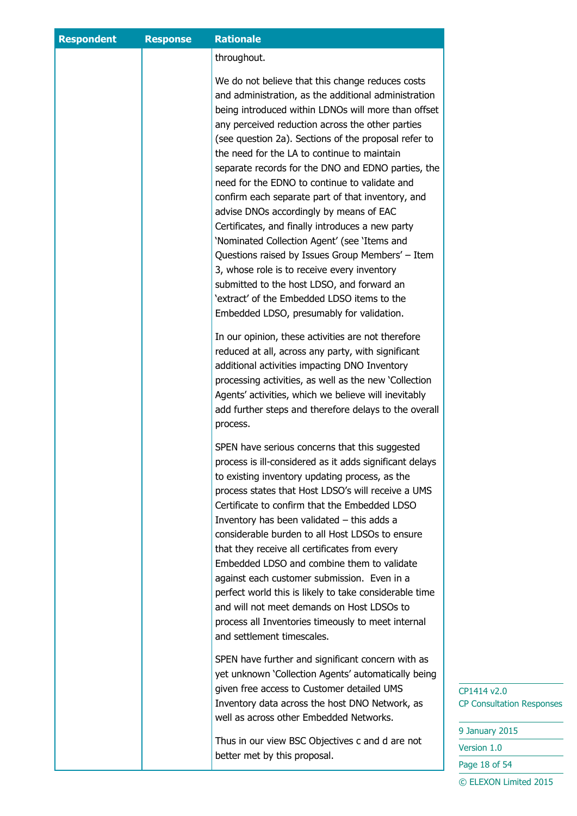| <b>Respondent</b> | <b>Response</b> | <b>Rationale</b>                                                                                                                                                                                                                                                                                                                                                                                                                                                                                                                                                                                                                                                                                                                                                                                                                      |                                                 |
|-------------------|-----------------|---------------------------------------------------------------------------------------------------------------------------------------------------------------------------------------------------------------------------------------------------------------------------------------------------------------------------------------------------------------------------------------------------------------------------------------------------------------------------------------------------------------------------------------------------------------------------------------------------------------------------------------------------------------------------------------------------------------------------------------------------------------------------------------------------------------------------------------|-------------------------------------------------|
|                   |                 | throughout.                                                                                                                                                                                                                                                                                                                                                                                                                                                                                                                                                                                                                                                                                                                                                                                                                           |                                                 |
|                   |                 | We do not believe that this change reduces costs<br>and administration, as the additional administration<br>being introduced within LDNOs will more than offset<br>any perceived reduction across the other parties<br>(see question 2a). Sections of the proposal refer to<br>the need for the LA to continue to maintain<br>separate records for the DNO and EDNO parties, the<br>need for the EDNO to continue to validate and<br>confirm each separate part of that inventory, and<br>advise DNOs accordingly by means of EAC<br>Certificates, and finally introduces a new party<br>'Nominated Collection Agent' (see 'Items and<br>Questions raised by Issues Group Members' - Item<br>3, whose role is to receive every inventory<br>submitted to the host LDSO, and forward an<br>'extract' of the Embedded LDSO items to the |                                                 |
|                   |                 | Embedded LDSO, presumably for validation.<br>In our opinion, these activities are not therefore<br>reduced at all, across any party, with significant<br>additional activities impacting DNO Inventory<br>processing activities, as well as the new 'Collection<br>Agents' activities, which we believe will inevitably<br>add further steps and therefore delays to the overall<br>process.                                                                                                                                                                                                                                                                                                                                                                                                                                          |                                                 |
|                   |                 | SPEN have serious concerns that this suggested<br>process is ill-considered as it adds significant delays<br>to existing inventory updating process, as the<br>process states that Host LDSO's will receive a UMS<br>Certificate to confirm that the Embedded LDSO<br>Inventory has been validated $-$ this adds a<br>considerable burden to all Host LDSOs to ensure<br>that they receive all certificates from every<br>Embedded LDSO and combine them to validate<br>against each customer submission. Even in a<br>perfect world this is likely to take considerable time<br>and will not meet demands on Host LDSOs to<br>process all Inventories timeously to meet internal<br>and settlement timescales.                                                                                                                       |                                                 |
|                   |                 | SPEN have further and significant concern with as<br>yet unknown 'Collection Agents' automatically being<br>given free access to Customer detailed UMS<br>Inventory data across the host DNO Network, as<br>well as across other Embedded Networks.                                                                                                                                                                                                                                                                                                                                                                                                                                                                                                                                                                                   | CP1414 v2.0<br><b>CP Consultation Responses</b> |
|                   |                 | Thus in our view BSC Objectives c and d are not                                                                                                                                                                                                                                                                                                                                                                                                                                                                                                                                                                                                                                                                                                                                                                                       | 9 January 2015                                  |
|                   |                 | better met by this proposal.                                                                                                                                                                                                                                                                                                                                                                                                                                                                                                                                                                                                                                                                                                                                                                                                          | Version 1.0                                     |
|                   |                 |                                                                                                                                                                                                                                                                                                                                                                                                                                                                                                                                                                                                                                                                                                                                                                                                                                       | Page 18 of 54                                   |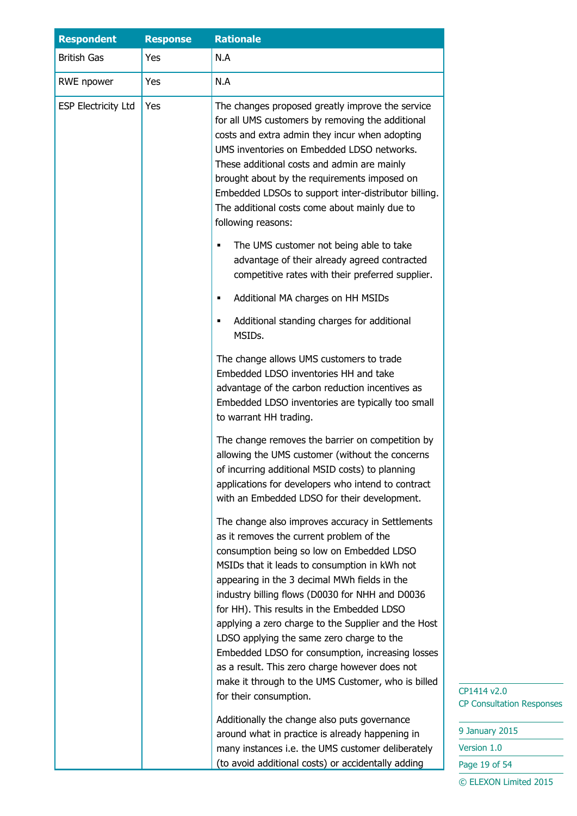| <b>Respondent</b>          | <b>Response</b> | <b>Rationale</b>                                                                                                                                                                                                                                                                                                                                                                                                                                                                                                                                                                                                                      |
|----------------------------|-----------------|---------------------------------------------------------------------------------------------------------------------------------------------------------------------------------------------------------------------------------------------------------------------------------------------------------------------------------------------------------------------------------------------------------------------------------------------------------------------------------------------------------------------------------------------------------------------------------------------------------------------------------------|
| <b>British Gas</b>         | Yes             | N.A                                                                                                                                                                                                                                                                                                                                                                                                                                                                                                                                                                                                                                   |
| RWE npower                 | Yes             | N.A                                                                                                                                                                                                                                                                                                                                                                                                                                                                                                                                                                                                                                   |
| <b>ESP Electricity Ltd</b> | Yes             | The changes proposed greatly improve the service<br>for all UMS customers by removing the additional<br>costs and extra admin they incur when adopting<br>UMS inventories on Embedded LDSO networks.<br>These additional costs and admin are mainly<br>brought about by the requirements imposed on<br>Embedded LDSOs to support inter-distributor billing.<br>The additional costs come about mainly due to<br>following reasons:                                                                                                                                                                                                    |
|                            |                 | The UMS customer not being able to take<br>٠<br>advantage of their already agreed contracted<br>competitive rates with their preferred supplier.                                                                                                                                                                                                                                                                                                                                                                                                                                                                                      |
|                            |                 | Additional MA charges on HH MSIDs                                                                                                                                                                                                                                                                                                                                                                                                                                                                                                                                                                                                     |
|                            |                 | Additional standing charges for additional<br>MSIDs.                                                                                                                                                                                                                                                                                                                                                                                                                                                                                                                                                                                  |
|                            |                 | The change allows UMS customers to trade<br>Embedded LDSO inventories HH and take<br>advantage of the carbon reduction incentives as<br>Embedded LDSO inventories are typically too small<br>to warrant HH trading.                                                                                                                                                                                                                                                                                                                                                                                                                   |
|                            |                 | The change removes the barrier on competition by<br>allowing the UMS customer (without the concerns<br>of incurring additional MSID costs) to planning<br>applications for developers who intend to contract<br>with an Embedded LDSO for their development.                                                                                                                                                                                                                                                                                                                                                                          |
|                            |                 | The change also improves accuracy in Settlements<br>as it removes the current problem of the<br>consumption being so low on Embedded LDSO<br>MSIDs that it leads to consumption in kWh not<br>appearing in the 3 decimal MWh fields in the<br>industry billing flows (D0030 for NHH and D0036<br>for HH). This results in the Embedded LDSO<br>applying a zero charge to the Supplier and the Host<br>LDSO applying the same zero charge to the<br>Embedded LDSO for consumption, increasing losses<br>as a result. This zero charge however does not<br>make it through to the UMS Customer, who is billed<br>for their consumption. |
|                            |                 | Additionally the change also puts governance<br>around what in practice is already happening in<br>many instances i.e. the UMS customer deliberately<br>(to avoid additional costs) or accidentally adding                                                                                                                                                                                                                                                                                                                                                                                                                            |

9 January 2015 Version 1.0 Page 19 of 54 © ELEXON Limited 2015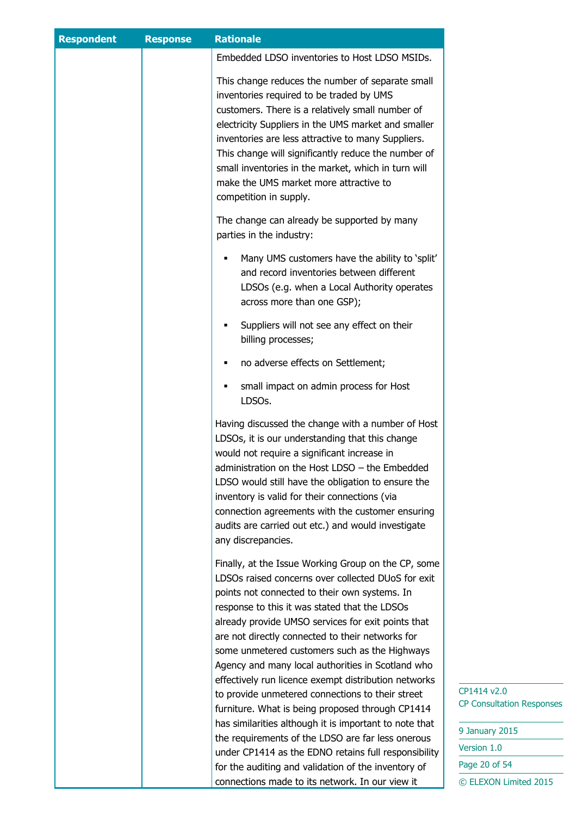| <b>Respondent</b> | <b>Response</b> | <b>Rationale</b>                                                                                                                                                                                                                                                                                                                                                                                                                                |                                                 |
|-------------------|-----------------|-------------------------------------------------------------------------------------------------------------------------------------------------------------------------------------------------------------------------------------------------------------------------------------------------------------------------------------------------------------------------------------------------------------------------------------------------|-------------------------------------------------|
|                   |                 | Embedded LDSO inventories to Host LDSO MSIDs.                                                                                                                                                                                                                                                                                                                                                                                                   |                                                 |
|                   |                 | This change reduces the number of separate small<br>inventories required to be traded by UMS<br>customers. There is a relatively small number of<br>electricity Suppliers in the UMS market and smaller<br>inventories are less attractive to many Suppliers.<br>This change will significantly reduce the number of<br>small inventories in the market, which in turn will<br>make the UMS market more attractive to<br>competition in supply. |                                                 |
|                   |                 | The change can already be supported by many<br>parties in the industry:                                                                                                                                                                                                                                                                                                                                                                         |                                                 |
|                   |                 | Many UMS customers have the ability to 'split'<br>and record inventories between different<br>LDSOs (e.g. when a Local Authority operates<br>across more than one GSP);                                                                                                                                                                                                                                                                         |                                                 |
|                   |                 | Suppliers will not see any effect on their<br>٠<br>billing processes;                                                                                                                                                                                                                                                                                                                                                                           |                                                 |
|                   |                 | no adverse effects on Settlement;<br>٠                                                                                                                                                                                                                                                                                                                                                                                                          |                                                 |
|                   |                 | small impact on admin process for Host<br>LDSOs.                                                                                                                                                                                                                                                                                                                                                                                                |                                                 |
|                   |                 | Having discussed the change with a number of Host<br>LDSOs, it is our understanding that this change<br>would not require a significant increase in<br>administration on the Host LDSO - the Embedded<br>LDSO would still have the obligation to ensure the<br>inventory is valid for their connections (via<br>connection agreements with the customer ensuring<br>audits are carried out etc.) and would investigate<br>any discrepancies.    |                                                 |
|                   |                 | Finally, at the Issue Working Group on the CP, some<br>LDSOs raised concerns over collected DUoS for exit<br>points not connected to their own systems. In<br>response to this it was stated that the LDSOs<br>already provide UMSO services for exit points that<br>are not directly connected to their networks for<br>some unmetered customers such as the Highways<br>Agency and many local authorities in Scotland who                     |                                                 |
|                   |                 | effectively run licence exempt distribution networks<br>to provide unmetered connections to their street<br>furniture. What is being proposed through CP1414<br>has similarities although it is important to note that                                                                                                                                                                                                                          | CP1414 v2.0<br><b>CP Consultation Responses</b> |
|                   |                 | the requirements of the LDSO are far less onerous                                                                                                                                                                                                                                                                                                                                                                                               | 9 January 2015<br>Version 1.0                   |
|                   |                 | under CP1414 as the EDNO retains full responsibility                                                                                                                                                                                                                                                                                                                                                                                            | Page 20 of 54                                   |
|                   |                 | for the auditing and validation of the inventory of<br>connections made to its network. In our view it                                                                                                                                                                                                                                                                                                                                          | © ELEXON Limited 2015                           |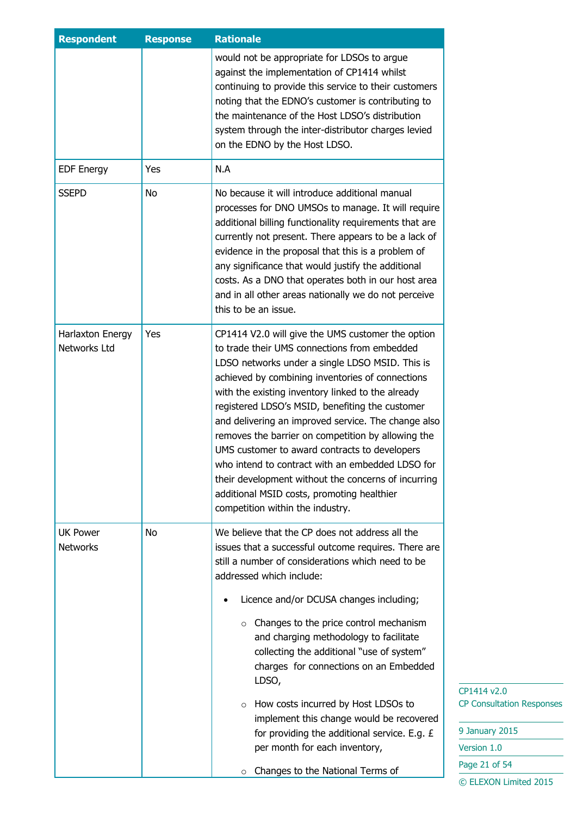| <b>Respondent</b>                  | <b>Response</b> | <b>Rationale</b>                                                                                                                                                                                                                                                                                                                                                                                                                                                                                                                                                                                                                                                            |
|------------------------------------|-----------------|-----------------------------------------------------------------------------------------------------------------------------------------------------------------------------------------------------------------------------------------------------------------------------------------------------------------------------------------------------------------------------------------------------------------------------------------------------------------------------------------------------------------------------------------------------------------------------------------------------------------------------------------------------------------------------|
|                                    |                 | would not be appropriate for LDSOs to argue<br>against the implementation of CP1414 whilst<br>continuing to provide this service to their customers<br>noting that the EDNO's customer is contributing to<br>the maintenance of the Host LDSO's distribution<br>system through the inter-distributor charges levied<br>on the EDNO by the Host LDSO.                                                                                                                                                                                                                                                                                                                        |
| <b>EDF Energy</b>                  | Yes             | N.A                                                                                                                                                                                                                                                                                                                                                                                                                                                                                                                                                                                                                                                                         |
| <b>SSEPD</b>                       | No              | No because it will introduce additional manual<br>processes for DNO UMSOs to manage. It will require<br>additional billing functionality requirements that are<br>currently not present. There appears to be a lack of<br>evidence in the proposal that this is a problem of<br>any significance that would justify the additional<br>costs. As a DNO that operates both in our host area<br>and in all other areas nationally we do not perceive<br>this to be an issue.                                                                                                                                                                                                   |
| Harlaxton Energy<br>Networks Ltd   | Yes             | CP1414 V2.0 will give the UMS customer the option<br>to trade their UMS connections from embedded<br>LDSO networks under a single LDSO MSID. This is<br>achieved by combining inventories of connections<br>with the existing inventory linked to the already<br>registered LDSO's MSID, benefiting the customer<br>and delivering an improved service. The change also<br>removes the barrier on competition by allowing the<br>UMS customer to award contracts to developers<br>who intend to contract with an embedded LDSO for<br>their development without the concerns of incurring<br>additional MSID costs, promoting healthier<br>competition within the industry. |
| <b>UK Power</b><br><b>Networks</b> | No              | We believe that the CP does not address all the<br>issues that a successful outcome requires. There are<br>still a number of considerations which need to be<br>addressed which include:<br>Licence and/or DCUSA changes including;                                                                                                                                                                                                                                                                                                                                                                                                                                         |
|                                    |                 | $\circ$ Changes to the price control mechanism<br>and charging methodology to facilitate<br>collecting the additional "use of system"<br>charges for connections on an Embedded<br>LDSO,                                                                                                                                                                                                                                                                                                                                                                                                                                                                                    |
|                                    |                 | How costs incurred by Host LDSOs to<br>$\circ$<br>implement this change would be recovered<br>for providing the additional service. E.g. £<br>per month for each inventory,                                                                                                                                                                                                                                                                                                                                                                                                                                                                                                 |
|                                    |                 | Changes to the National Terms of<br>$\circ$                                                                                                                                                                                                                                                                                                                                                                                                                                                                                                                                                                                                                                 |

 $14 v2.0$ nsultation Responses

Jary 2015  $\mathsf{on} \ 1.0$ 21 of 54 EXON Limited 2015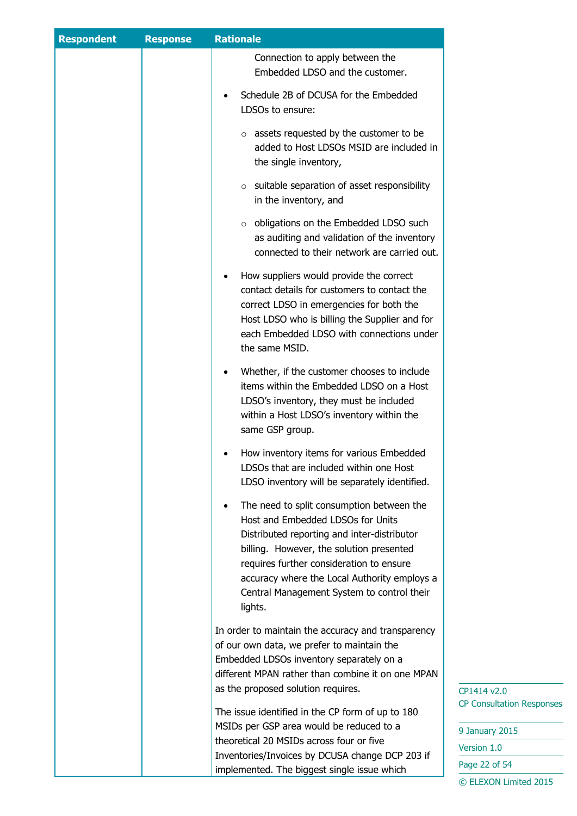| <b>Respondent</b> | <b>Response</b> | <b>Rationale</b>                                                                                                                                                                                                                                                                                                                            |                                                 |
|-------------------|-----------------|---------------------------------------------------------------------------------------------------------------------------------------------------------------------------------------------------------------------------------------------------------------------------------------------------------------------------------------------|-------------------------------------------------|
|                   |                 | Connection to apply between the<br>Embedded LDSO and the customer.                                                                                                                                                                                                                                                                          |                                                 |
|                   |                 | Schedule 2B of DCUSA for the Embedded<br>LDSOs to ensure:                                                                                                                                                                                                                                                                                   |                                                 |
|                   |                 | $\circ$ assets requested by the customer to be<br>added to Host LDSOs MSID are included in<br>the single inventory,                                                                                                                                                                                                                         |                                                 |
|                   |                 | $\circ$ suitable separation of asset responsibility<br>in the inventory, and                                                                                                                                                                                                                                                                |                                                 |
|                   |                 | obligations on the Embedded LDSO such<br>$\circ$<br>as auditing and validation of the inventory<br>connected to their network are carried out.                                                                                                                                                                                              |                                                 |
|                   |                 | How suppliers would provide the correct<br>contact details for customers to contact the<br>correct LDSO in emergencies for both the<br>Host LDSO who is billing the Supplier and for<br>each Embedded LDSO with connections under<br>the same MSID.                                                                                         |                                                 |
|                   |                 | Whether, if the customer chooses to include<br>items within the Embedded LDSO on a Host<br>LDSO's inventory, they must be included<br>within a Host LDSO's inventory within the<br>same GSP group.                                                                                                                                          |                                                 |
|                   |                 | How inventory items for various Embedded<br>LDSOs that are included within one Host<br>LDSO inventory will be separately identified.                                                                                                                                                                                                        |                                                 |
|                   |                 | The need to split consumption between the<br>$\bullet$<br>Host and Embedded LDSOs for Units<br>Distributed reporting and inter-distributor<br>billing. However, the solution presented<br>requires further consideration to ensure<br>accuracy where the Local Authority employs a<br>Central Management System to control their<br>lights. |                                                 |
|                   |                 | In order to maintain the accuracy and transparency<br>of our own data, we prefer to maintain the<br>Embedded LDSOs inventory separately on a<br>different MPAN rather than combine it on one MPAN                                                                                                                                           |                                                 |
|                   |                 | as the proposed solution requires.<br>The issue identified in the CP form of up to 180                                                                                                                                                                                                                                                      | CP1414 v2.0<br><b>CP Consultation Responses</b> |
|                   |                 | MSIDs per GSP area would be reduced to a<br>theoretical 20 MSIDs across four or five                                                                                                                                                                                                                                                        | 9 January 2015                                  |
|                   |                 | Inventories/Invoices by DCUSA change DCP 203 if                                                                                                                                                                                                                                                                                             | Version 1.0                                     |
|                   |                 | implemented. The biggest single issue which                                                                                                                                                                                                                                                                                                 | Page 22 of 54                                   |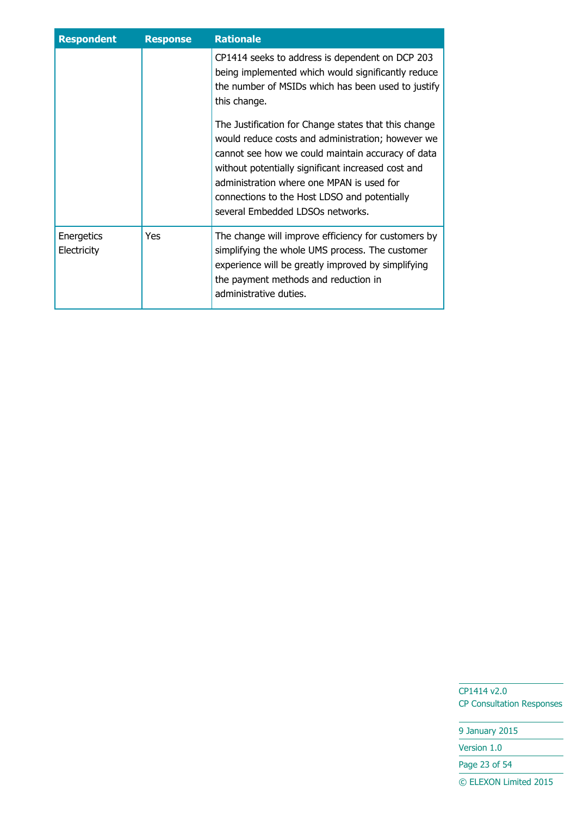| <b>Respondent</b>         | <b>Response</b> | <b>Rationale</b>                                                                                                                                                                                                                                                                                                                                      |
|---------------------------|-----------------|-------------------------------------------------------------------------------------------------------------------------------------------------------------------------------------------------------------------------------------------------------------------------------------------------------------------------------------------------------|
|                           |                 | CP1414 seeks to address is dependent on DCP 203<br>being implemented which would significantly reduce<br>the number of MSIDs which has been used to justify<br>this change.                                                                                                                                                                           |
|                           |                 | The Justification for Change states that this change<br>would reduce costs and administration; however we<br>cannot see how we could maintain accuracy of data<br>without potentially significant increased cost and<br>administration where one MPAN is used for<br>connections to the Host LDSO and potentially<br>several Embedded LDSOs networks. |
| Energetics<br>Electricity | Yes             | The change will improve efficiency for customers by<br>simplifying the whole UMS process. The customer<br>experience will be greatly improved by simplifying<br>the payment methods and reduction in<br>administrative duties.                                                                                                                        |

9 January 2015

Version 1.0

Page 23 of 54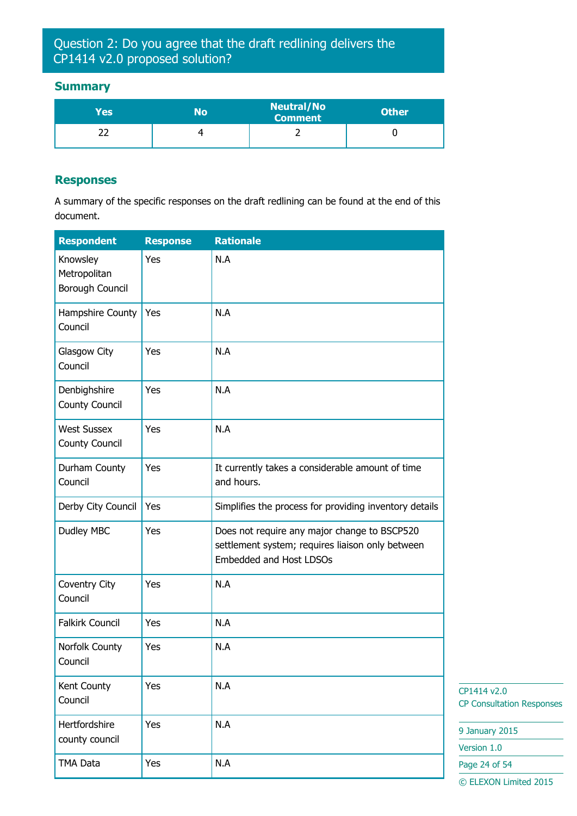## Question 2: Do you agree that the draft redlining delivers the CP1414 v2.0 proposed solution?

#### **Summary**

| Yes | ١o | <b>Neutral/No</b><br><b>Comment</b> | <b>Other</b> |
|-----|----|-------------------------------------|--------------|
|     |    |                                     |              |

#### **Responses**

A summary of the specific responses on the draft redlining can be found at the end of this document.

| <b>Respondent</b>                           | <b>Response</b> | <b>Rationale</b>                                                                                                            |
|---------------------------------------------|-----------------|-----------------------------------------------------------------------------------------------------------------------------|
| Knowsley<br>Metropolitan<br>Borough Council | Yes             | N.A                                                                                                                         |
| Hampshire County<br>Council                 | Yes             | N.A                                                                                                                         |
| Glasgow City<br>Council                     | Yes             | N.A                                                                                                                         |
| Denbighshire<br><b>County Council</b>       | Yes             | N.A                                                                                                                         |
| <b>West Sussex</b><br>County Council        | Yes             | N.A                                                                                                                         |
| Durham County<br>Council                    | Yes             | It currently takes a considerable amount of time<br>and hours.                                                              |
| Derby City Council                          | Yes             | Simplifies the process for providing inventory details                                                                      |
| Dudley MBC                                  | Yes             | Does not require any major change to BSCP520<br>settlement system; requires liaison only between<br>Embedded and Host LDSOs |
| Coventry City<br>Council                    | Yes             | N.A                                                                                                                         |
| <b>Falkirk Council</b>                      | Yes             | N.A                                                                                                                         |
| Norfolk County<br>Council                   | Yes             | N.A                                                                                                                         |
| Kent County<br>Council                      | Yes             | N.A                                                                                                                         |
| Hertfordshire<br>county council             | Yes             | N.A                                                                                                                         |
| TMA Data                                    | Yes             | N.A                                                                                                                         |

CP1414 v2.0 CP Consultation Responses

9 January 2015

Version 1.0

Page 24 of 54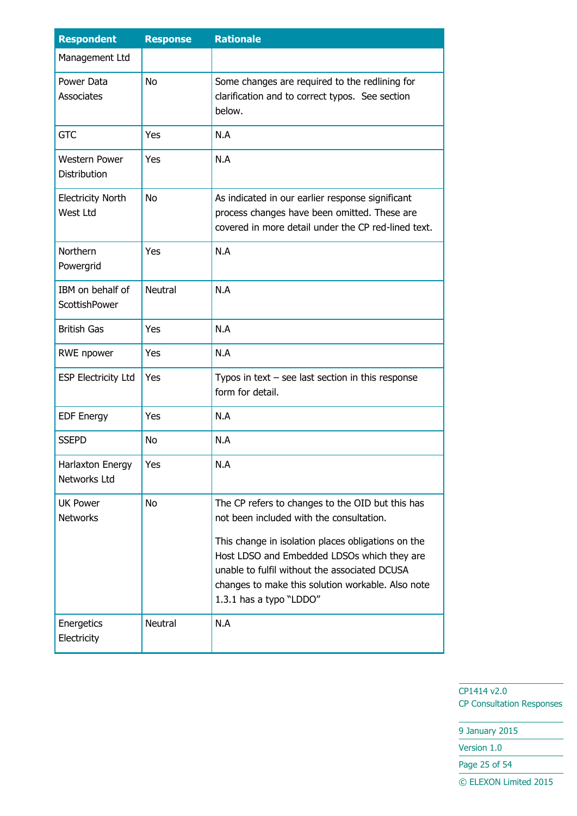| <b>Respondent</b>                    | <b>Response</b> | <b>Rationale</b>                                                                                                                                                                                                                                                                                                                   |
|--------------------------------------|-----------------|------------------------------------------------------------------------------------------------------------------------------------------------------------------------------------------------------------------------------------------------------------------------------------------------------------------------------------|
| Management Ltd                       |                 |                                                                                                                                                                                                                                                                                                                                    |
| Power Data<br>Associates             | <b>No</b>       | Some changes are required to the redlining for<br>clarification and to correct typos. See section<br>below.                                                                                                                                                                                                                        |
| <b>GTC</b>                           | Yes             | N.A                                                                                                                                                                                                                                                                                                                                |
| <b>Western Power</b><br>Distribution | Yes             | N.A                                                                                                                                                                                                                                                                                                                                |
| <b>Electricity North</b><br>West Ltd | <b>No</b>       | As indicated in our earlier response significant<br>process changes have been omitted. These are<br>covered in more detail under the CP red-lined text.                                                                                                                                                                            |
| Northern<br>Powergrid                | Yes             | N.A                                                                                                                                                                                                                                                                                                                                |
| IBM on behalf of<br>ScottishPower    | <b>Neutral</b>  | N.A                                                                                                                                                                                                                                                                                                                                |
| <b>British Gas</b>                   | Yes             | N.A                                                                                                                                                                                                                                                                                                                                |
| RWE npower                           | Yes             | N.A                                                                                                                                                                                                                                                                                                                                |
| <b>ESP Electricity Ltd</b>           | Yes             | Typos in text $-$ see last section in this response<br>form for detail.                                                                                                                                                                                                                                                            |
| <b>EDF Energy</b>                    | Yes             | N.A                                                                                                                                                                                                                                                                                                                                |
| <b>SSEPD</b>                         | <b>No</b>       | N.A                                                                                                                                                                                                                                                                                                                                |
| Harlaxton Energy<br>Networks Ltd     | Yes             | N.A                                                                                                                                                                                                                                                                                                                                |
| <b>UK Power</b><br><b>Networks</b>   | <b>No</b>       | The CP refers to changes to the OID but this has<br>not been included with the consultation.<br>This change in isolation places obligations on the<br>Host LDSO and Embedded LDSOs which they are<br>unable to fulfil without the associated DCUSA<br>changes to make this solution workable. Also note<br>1.3.1 has a typo "LDDO" |
| Energetics<br>Electricity            | Neutral         | N.A                                                                                                                                                                                                                                                                                                                                |

9 January 2015 Version 1.0

Page 25 of 54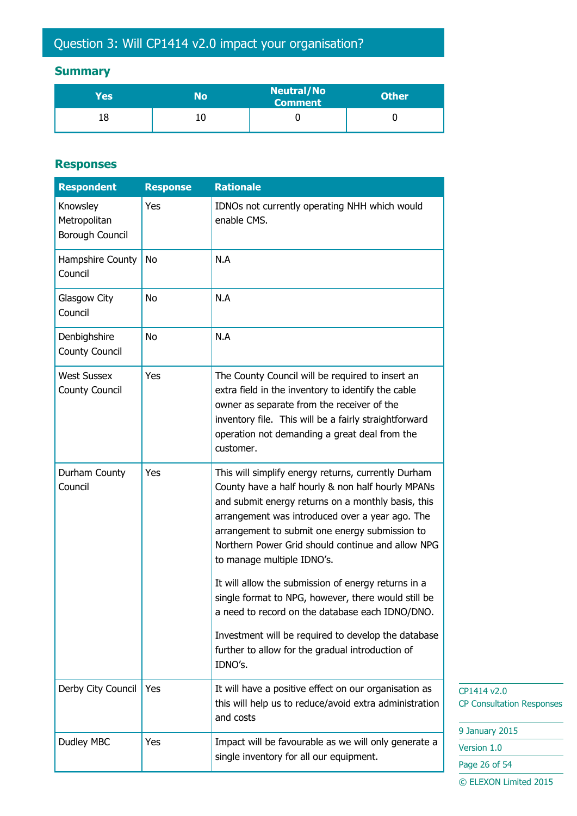# Question 3: Will CP1414 v2.0 impact your organisation?

## **Summary**

| Yes | No | <b>Neutral/No</b><br><b>Comment</b> | <b>Other</b> |
|-----|----|-------------------------------------|--------------|
|     | 10 |                                     |              |

### **Responses**

| <b>Respondent</b>                           | <b>Response</b> | <b>Rationale</b>                                                                                                                                                                                                                                                                                                                                       |                                                 |
|---------------------------------------------|-----------------|--------------------------------------------------------------------------------------------------------------------------------------------------------------------------------------------------------------------------------------------------------------------------------------------------------------------------------------------------------|-------------------------------------------------|
| Knowsley<br>Metropolitan<br>Borough Council | Yes             | IDNOs not currently operating NHH which would<br>enable CMS.                                                                                                                                                                                                                                                                                           |                                                 |
| Hampshire County<br>Council                 | <b>No</b>       | N.A                                                                                                                                                                                                                                                                                                                                                    |                                                 |
| Glasgow City<br>Council                     | <b>No</b>       | N.A                                                                                                                                                                                                                                                                                                                                                    |                                                 |
| Denbighshire<br>County Council              | No              | N.A                                                                                                                                                                                                                                                                                                                                                    |                                                 |
| <b>West Sussex</b><br>County Council        | Yes             | The County Council will be required to insert an<br>extra field in the inventory to identify the cable<br>owner as separate from the receiver of the<br>inventory file. This will be a fairly straightforward<br>operation not demanding a great deal from the<br>customer.                                                                            |                                                 |
| Durham County<br>Council                    | Yes             | This will simplify energy returns, currently Durham<br>County have a half hourly & non half hourly MPANs<br>and submit energy returns on a monthly basis, this<br>arrangement was introduced over a year ago. The<br>arrangement to submit one energy submission to<br>Northern Power Grid should continue and allow NPG<br>to manage multiple IDNO's. |                                                 |
|                                             |                 | It will allow the submission of energy returns in a<br>single format to NPG, however, there would still be<br>a need to record on the database each IDNO/DNO.                                                                                                                                                                                          |                                                 |
|                                             |                 | Investment will be required to develop the database<br>further to allow for the gradual introduction of<br>IDNO's.                                                                                                                                                                                                                                     |                                                 |
| Derby City Council                          | Yes             | It will have a positive effect on our organisation as<br>this will help us to reduce/avoid extra administration<br>and costs                                                                                                                                                                                                                           | CP1414 v2.0<br><b>CP Consultation Responses</b> |
| Dudley MBC                                  | Yes             | Impact will be favourable as we will only generate a                                                                                                                                                                                                                                                                                                   | 9 January 2015                                  |
|                                             |                 |                                                                                                                                                                                                                                                                                                                                                        | Version 1.0                                     |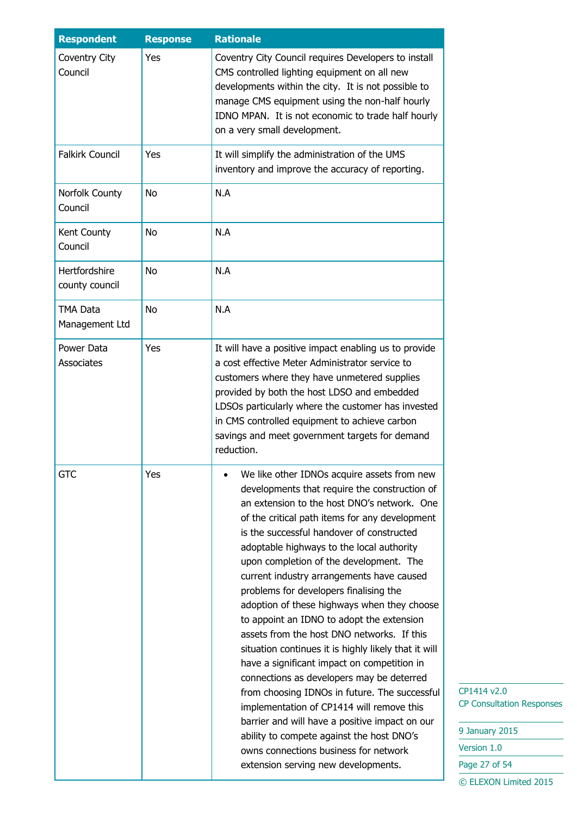| <b>Respondent</b>                 | <b>Response</b> | <b>Rationale</b>                                                                                                                                                                                                                                                                                                                                                                                                                                                                                                                                                                                                                                                                                                                                                                                                                                                                                                                                                                                     |
|-----------------------------------|-----------------|------------------------------------------------------------------------------------------------------------------------------------------------------------------------------------------------------------------------------------------------------------------------------------------------------------------------------------------------------------------------------------------------------------------------------------------------------------------------------------------------------------------------------------------------------------------------------------------------------------------------------------------------------------------------------------------------------------------------------------------------------------------------------------------------------------------------------------------------------------------------------------------------------------------------------------------------------------------------------------------------------|
| Coventry City<br>Council          | Yes             | Coventry City Council requires Developers to install<br>CMS controlled lighting equipment on all new<br>developments within the city. It is not possible to<br>manage CMS equipment using the non-half hourly<br>IDNO MPAN. It is not economic to trade half hourly<br>on a very small development.                                                                                                                                                                                                                                                                                                                                                                                                                                                                                                                                                                                                                                                                                                  |
| <b>Falkirk Council</b>            | Yes             | It will simplify the administration of the UMS<br>inventory and improve the accuracy of reporting.                                                                                                                                                                                                                                                                                                                                                                                                                                                                                                                                                                                                                                                                                                                                                                                                                                                                                                   |
| Norfolk County<br>Council         | <b>No</b>       | N.A                                                                                                                                                                                                                                                                                                                                                                                                                                                                                                                                                                                                                                                                                                                                                                                                                                                                                                                                                                                                  |
| Kent County<br>Council            | <b>No</b>       | N.A                                                                                                                                                                                                                                                                                                                                                                                                                                                                                                                                                                                                                                                                                                                                                                                                                                                                                                                                                                                                  |
| Hertfordshire<br>county council   | <b>No</b>       | N.A                                                                                                                                                                                                                                                                                                                                                                                                                                                                                                                                                                                                                                                                                                                                                                                                                                                                                                                                                                                                  |
| <b>TMA Data</b><br>Management Ltd | <b>No</b>       | N.A                                                                                                                                                                                                                                                                                                                                                                                                                                                                                                                                                                                                                                                                                                                                                                                                                                                                                                                                                                                                  |
| Power Data<br>Associates          | Yes             | It will have a positive impact enabling us to provide<br>a cost effective Meter Administrator service to<br>customers where they have unmetered supplies<br>provided by both the host LDSO and embedded<br>LDSOs particularly where the customer has invested<br>in CMS controlled equipment to achieve carbon<br>savings and meet government targets for demand<br>reduction.                                                                                                                                                                                                                                                                                                                                                                                                                                                                                                                                                                                                                       |
| <b>GTC</b>                        | Yes             | We like other IDNOs acquire assets from new<br>developments that require the construction of<br>an extension to the host DNO's network. One<br>of the critical path items for any development<br>is the successful handover of constructed<br>adoptable highways to the local authority<br>upon completion of the development. The<br>current industry arrangements have caused<br>problems for developers finalising the<br>adoption of these highways when they choose<br>to appoint an IDNO to adopt the extension<br>assets from the host DNO networks. If this<br>situation continues it is highly likely that it will<br>have a significant impact on competition in<br>connections as developers may be deterred<br>from choosing IDNOs in future. The successful<br>implementation of CP1414 will remove this<br>barrier and will have a positive impact on our<br>ability to compete against the host DNO's<br>owns connections business for network<br>extension serving new developments. |

| 9 January 2015        |
|-----------------------|
| Version 1.0           |
| Page 27 of 54         |
| © ELEXON Limited 2015 |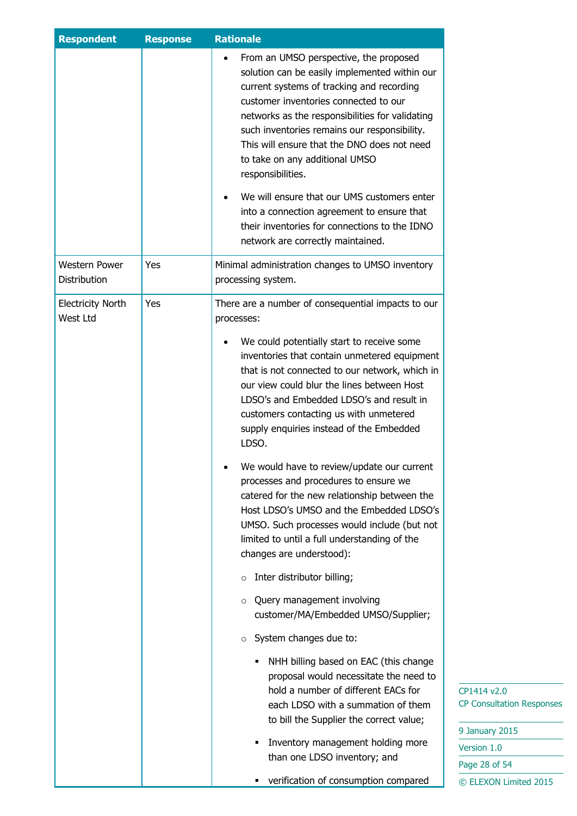| <b>Respondent</b>                    | <b>Response</b> | <b>Rationale</b>                                                                                                                                                                                                                                                                                                                                                                                                                                                                                                                                                          |
|--------------------------------------|-----------------|---------------------------------------------------------------------------------------------------------------------------------------------------------------------------------------------------------------------------------------------------------------------------------------------------------------------------------------------------------------------------------------------------------------------------------------------------------------------------------------------------------------------------------------------------------------------------|
|                                      |                 | From an UMSO perspective, the proposed<br>solution can be easily implemented within our<br>current systems of tracking and recording<br>customer inventories connected to our<br>networks as the responsibilities for validating<br>such inventories remains our responsibility.<br>This will ensure that the DNO does not need<br>to take on any additional UMSO<br>responsibilities.<br>We will ensure that our UMS customers enter<br>into a connection agreement to ensure that<br>their inventories for connections to the IDNO<br>network are correctly maintained. |
| <b>Western Power</b><br>Distribution | Yes             | Minimal administration changes to UMSO inventory<br>processing system.                                                                                                                                                                                                                                                                                                                                                                                                                                                                                                    |
| <b>Electricity North</b><br>West Ltd | Yes             | There are a number of consequential impacts to our<br>processes:                                                                                                                                                                                                                                                                                                                                                                                                                                                                                                          |
|                                      |                 | We could potentially start to receive some<br>inventories that contain unmetered equipment<br>that is not connected to our network, which in<br>our view could blur the lines between Host<br>LDSO's and Embedded LDSO's and result in<br>customers contacting us with unmetered<br>supply enquiries instead of the Embedded<br>LDSO.                                                                                                                                                                                                                                     |
|                                      |                 | We would have to review/update our current<br>processes and procedures to ensure we<br>catered for the new relationship between the<br>Host LDSO's UMSO and the Embedded LDSO's<br>UMSO. Such processes would include (but not<br>limited to until a full understanding of the<br>changes are understood):                                                                                                                                                                                                                                                                |
|                                      |                 | Inter distributor billing;<br>$\circ$<br>Query management involving<br>O<br>customer/MA/Embedded UMSO/Supplier;                                                                                                                                                                                                                                                                                                                                                                                                                                                           |
|                                      |                 | System changes due to:<br>$\circ$                                                                                                                                                                                                                                                                                                                                                                                                                                                                                                                                         |
|                                      |                 | NHH billing based on EAC (this change<br>proposal would necessitate the need to<br>hold a number of different EACs for<br>each LDSO with a summation of them<br>to bill the Supplier the correct value;<br>Inventory management holding more<br>than one LDSO inventory; and                                                                                                                                                                                                                                                                                              |
|                                      |                 | verification of consumption compared<br>٠                                                                                                                                                                                                                                                                                                                                                                                                                                                                                                                                 |

 $14 v2.0$ onsultation Responses

| 9 January 2015        |
|-----------------------|
| Version 1.0           |
| Page 28 of 54         |
| © ELEXON Limited 2015 |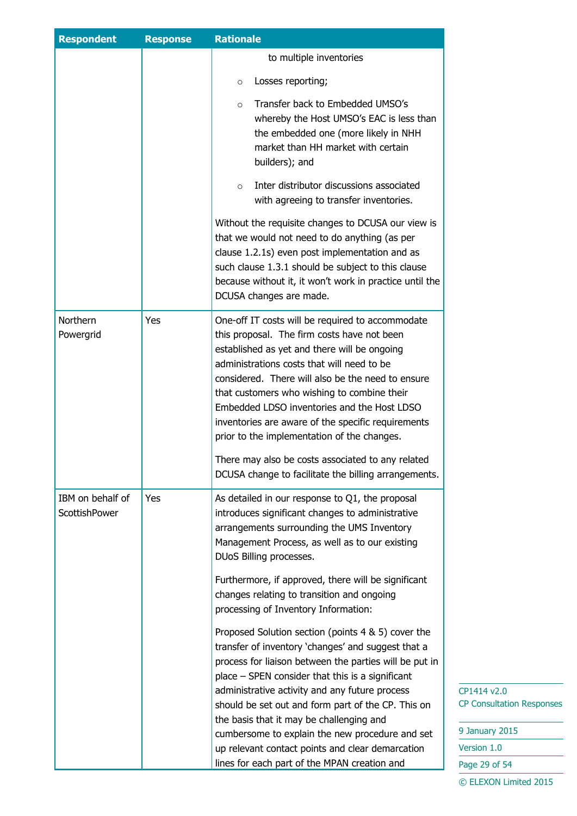| <b>Respondent</b>                        | <b>Response</b> | <b>Rationale</b>                                                                                                                                                                                                                                                                                                                                                                                                                                                                                                                    |
|------------------------------------------|-----------------|-------------------------------------------------------------------------------------------------------------------------------------------------------------------------------------------------------------------------------------------------------------------------------------------------------------------------------------------------------------------------------------------------------------------------------------------------------------------------------------------------------------------------------------|
|                                          |                 | to multiple inventories                                                                                                                                                                                                                                                                                                                                                                                                                                                                                                             |
|                                          |                 | Losses reporting;<br>$\circ$                                                                                                                                                                                                                                                                                                                                                                                                                                                                                                        |
|                                          |                 | Transfer back to Embedded UMSO's<br>$\circ$<br>whereby the Host UMSO's EAC is less than<br>the embedded one (more likely in NHH<br>market than HH market with certain<br>builders); and                                                                                                                                                                                                                                                                                                                                             |
|                                          |                 | Inter distributor discussions associated<br>$\circ$<br>with agreeing to transfer inventories.                                                                                                                                                                                                                                                                                                                                                                                                                                       |
|                                          |                 | Without the requisite changes to DCUSA our view is<br>that we would not need to do anything (as per<br>clause 1.2.1s) even post implementation and as<br>such clause 1.3.1 should be subject to this clause<br>because without it, it won't work in practice until the<br>DCUSA changes are made.                                                                                                                                                                                                                                   |
| <b>Northern</b><br>Powergrid             | Yes             | One-off IT costs will be required to accommodate<br>this proposal. The firm costs have not been<br>established as yet and there will be ongoing<br>administrations costs that will need to be<br>considered. There will also be the need to ensure<br>that customers who wishing to combine their<br>Embedded LDSO inventories and the Host LDSO<br>inventories are aware of the specific requirements<br>prior to the implementation of the changes.<br>There may also be costs associated to any related                          |
|                                          |                 | DCUSA change to facilitate the billing arrangements.                                                                                                                                                                                                                                                                                                                                                                                                                                                                                |
| IBM on behalf of<br><b>ScottishPower</b> | Yes             | As detailed in our response to Q1, the proposal<br>introduces significant changes to administrative<br>arrangements surrounding the UMS Inventory<br>Management Process, as well as to our existing<br>DUoS Billing processes.                                                                                                                                                                                                                                                                                                      |
|                                          |                 | Furthermore, if approved, there will be significant<br>changes relating to transition and ongoing<br>processing of Inventory Information:                                                                                                                                                                                                                                                                                                                                                                                           |
|                                          |                 | Proposed Solution section (points 4 & 5) cover the<br>transfer of inventory 'changes' and suggest that a<br>process for liaison between the parties will be put in<br>$place - SPEN consider that this is a significant$<br>administrative activity and any future process<br>should be set out and form part of the CP. This on<br>the basis that it may be challenging and<br>cumbersome to explain the new procedure and set<br>up relevant contact points and clear demarcation<br>lines for each part of the MPAN creation and |

| 9 January 2015        |
|-----------------------|
| Version 1.0           |
| Page 29 of 54         |
| © ELEXON Limited 2015 |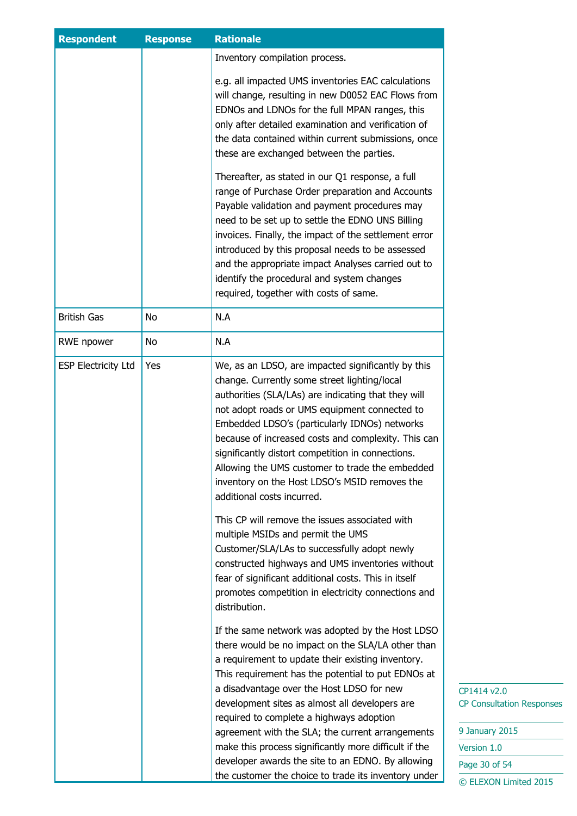| <b>Respondent</b>          | <b>Response</b> | <b>Rationale</b>                                                                                                                                                                                                                                                                                                                                                                                                                                                                                          |                                                                                  |
|----------------------------|-----------------|-----------------------------------------------------------------------------------------------------------------------------------------------------------------------------------------------------------------------------------------------------------------------------------------------------------------------------------------------------------------------------------------------------------------------------------------------------------------------------------------------------------|----------------------------------------------------------------------------------|
|                            |                 | Inventory compilation process.                                                                                                                                                                                                                                                                                                                                                                                                                                                                            |                                                                                  |
|                            |                 | e.g. all impacted UMS inventories EAC calculations<br>will change, resulting in new D0052 EAC Flows from<br>EDNOs and LDNOs for the full MPAN ranges, this<br>only after detailed examination and verification of<br>the data contained within current submissions, once<br>these are exchanged between the parties.                                                                                                                                                                                      |                                                                                  |
|                            |                 | Thereafter, as stated in our Q1 response, a full<br>range of Purchase Order preparation and Accounts<br>Payable validation and payment procedures may<br>need to be set up to settle the EDNO UNS Billing<br>invoices. Finally, the impact of the settlement error<br>introduced by this proposal needs to be assessed<br>and the appropriate impact Analyses carried out to<br>identify the procedural and system changes<br>required, together with costs of same.                                      |                                                                                  |
| <b>British Gas</b>         | No              | N.A                                                                                                                                                                                                                                                                                                                                                                                                                                                                                                       |                                                                                  |
| RWE npower                 | No              | N.A                                                                                                                                                                                                                                                                                                                                                                                                                                                                                                       |                                                                                  |
| <b>ESP Electricity Ltd</b> | Yes             | We, as an LDSO, are impacted significantly by this<br>change. Currently some street lighting/local<br>authorities (SLA/LAs) are indicating that they will<br>not adopt roads or UMS equipment connected to<br>Embedded LDSO's (particularly IDNOs) networks<br>because of increased costs and complexity. This can<br>significantly distort competition in connections.<br>Allowing the UMS customer to trade the embedded<br>inventory on the Host LDSO's MSID removes the<br>additional costs incurred. |                                                                                  |
|                            |                 | This CP will remove the issues associated with<br>multiple MSIDs and permit the UMS<br>Customer/SLA/LAs to successfully adopt newly<br>constructed highways and UMS inventories without<br>fear of significant additional costs. This in itself<br>promotes competition in electricity connections and<br>distribution.                                                                                                                                                                                   |                                                                                  |
|                            |                 | If the same network was adopted by the Host LDSO<br>there would be no impact on the SLA/LA other than<br>a requirement to update their existing inventory.<br>This requirement has the potential to put EDNOs at<br>a disadvantage over the Host LDSO for new<br>development sites as almost all developers are<br>required to complete a highways adoption<br>agreement with the SLA; the current arrangements<br>make this process significantly more difficult if the                                  | CP1414 v2.0<br><b>CP Consultation Responses</b><br>9 January 2015<br>Version 1.0 |
|                            |                 | developer awards the site to an EDNO. By allowing                                                                                                                                                                                                                                                                                                                                                                                                                                                         | Page 30 of 54                                                                    |
|                            |                 | the customer the choice to trade its inventory under                                                                                                                                                                                                                                                                                                                                                                                                                                                      | © ELEXON Limited 2015                                                            |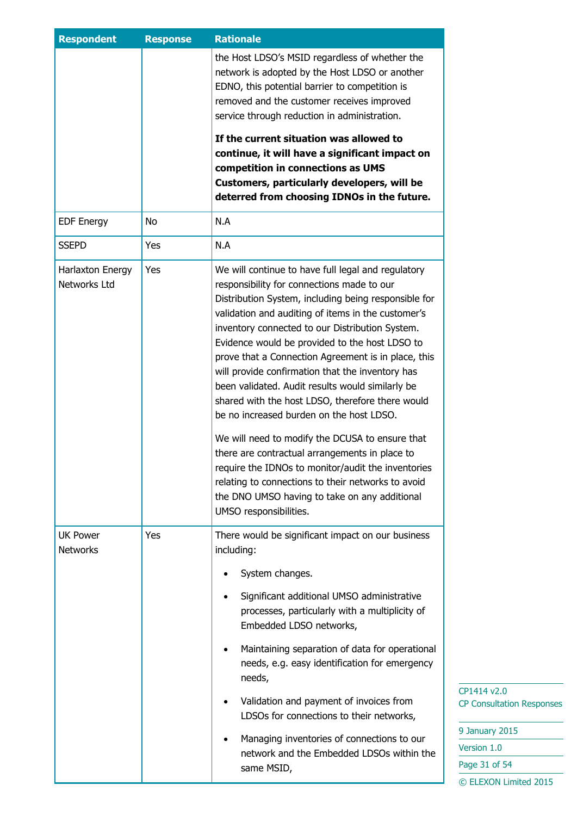| <b>Respondent</b>                  | <b>Response</b> | <b>Rationale</b>                                                                                                                                                                                                                                                                                                                                                                                                                                                                                                                                                                                                                                                                                                                              |
|------------------------------------|-----------------|-----------------------------------------------------------------------------------------------------------------------------------------------------------------------------------------------------------------------------------------------------------------------------------------------------------------------------------------------------------------------------------------------------------------------------------------------------------------------------------------------------------------------------------------------------------------------------------------------------------------------------------------------------------------------------------------------------------------------------------------------|
|                                    |                 | the Host LDSO's MSID regardless of whether the<br>network is adopted by the Host LDSO or another<br>EDNO, this potential barrier to competition is<br>removed and the customer receives improved<br>service through reduction in administration.                                                                                                                                                                                                                                                                                                                                                                                                                                                                                              |
|                                    |                 | If the current situation was allowed to<br>continue, it will have a significant impact on<br>competition in connections as UMS<br>Customers, particularly developers, will be<br>deterred from choosing IDNOs in the future.                                                                                                                                                                                                                                                                                                                                                                                                                                                                                                                  |
| <b>EDF Energy</b>                  | No              | N.A                                                                                                                                                                                                                                                                                                                                                                                                                                                                                                                                                                                                                                                                                                                                           |
| <b>SSEPD</b>                       | Yes             | N.A                                                                                                                                                                                                                                                                                                                                                                                                                                                                                                                                                                                                                                                                                                                                           |
| Harlaxton Energy<br>Networks Ltd   | Yes             | We will continue to have full legal and regulatory<br>responsibility for connections made to our<br>Distribution System, including being responsible for<br>validation and auditing of items in the customer's<br>inventory connected to our Distribution System.<br>Evidence would be provided to the host LDSO to<br>prove that a Connection Agreement is in place, this<br>will provide confirmation that the inventory has<br>been validated. Audit results would similarly be<br>shared with the host LDSO, therefore there would<br>be no increased burden on the host LDSO.<br>We will need to modify the DCUSA to ensure that<br>there are contractual arrangements in place to<br>require the IDNOs to monitor/audit the inventories |
|                                    |                 | relating to connections to their networks to avoid<br>the DNO UMSO having to take on any additional<br>UMSO responsibilities.                                                                                                                                                                                                                                                                                                                                                                                                                                                                                                                                                                                                                 |
| <b>UK Power</b><br><b>Networks</b> | Yes             | There would be significant impact on our business<br>including:                                                                                                                                                                                                                                                                                                                                                                                                                                                                                                                                                                                                                                                                               |
|                                    |                 | System changes.                                                                                                                                                                                                                                                                                                                                                                                                                                                                                                                                                                                                                                                                                                                               |
|                                    |                 | Significant additional UMSO administrative<br>processes, particularly with a multiplicity of<br>Embedded LDSO networks,                                                                                                                                                                                                                                                                                                                                                                                                                                                                                                                                                                                                                       |
|                                    |                 | Maintaining separation of data for operational<br>needs, e.g. easy identification for emergency<br>needs,                                                                                                                                                                                                                                                                                                                                                                                                                                                                                                                                                                                                                                     |
|                                    |                 | Validation and payment of invoices from<br>$\bullet$<br>LDSOs for connections to their networks,                                                                                                                                                                                                                                                                                                                                                                                                                                                                                                                                                                                                                                              |
|                                    |                 | Managing inventories of connections to our<br>$\bullet$<br>network and the Embedded LDSOs within the<br>same MSID,                                                                                                                                                                                                                                                                                                                                                                                                                                                                                                                                                                                                                            |
|                                    |                 |                                                                                                                                                                                                                                                                                                                                                                                                                                                                                                                                                                                                                                                                                                                                               |

 $14 v2.0$ onsultation Responses

on  $1.0$ 31 of 54 © ELEXON Limited 2015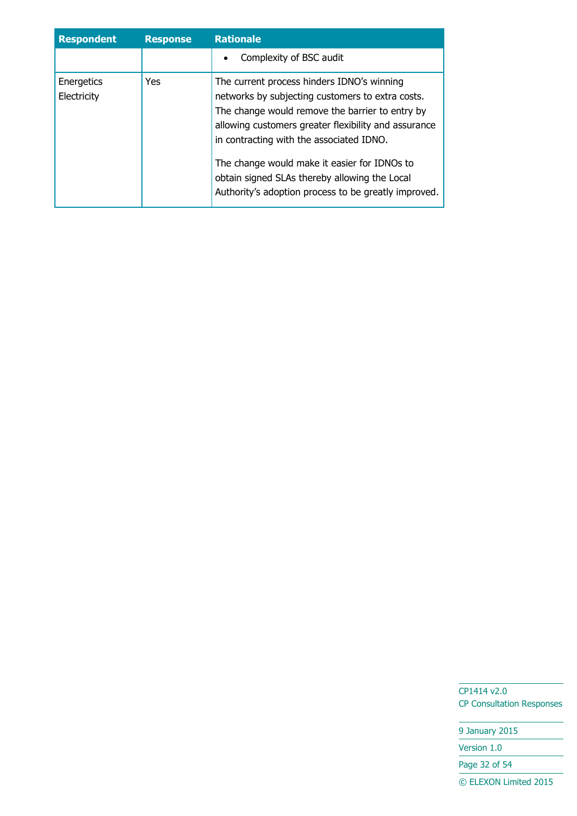| <b>Respondent</b>         | <b>Response</b> | <b>Rationale</b>                                                                                                                                                                                                                                                                                                                                                                                               |
|---------------------------|-----------------|----------------------------------------------------------------------------------------------------------------------------------------------------------------------------------------------------------------------------------------------------------------------------------------------------------------------------------------------------------------------------------------------------------------|
|                           |                 | Complexity of BSC audit                                                                                                                                                                                                                                                                                                                                                                                        |
| Energetics<br>Electricity | Yes             | The current process hinders IDNO's winning<br>networks by subjecting customers to extra costs.<br>The change would remove the barrier to entry by<br>allowing customers greater flexibility and assurance<br>in contracting with the associated IDNO.<br>The change would make it easier for IDNOs to<br>obtain signed SLAs thereby allowing the Local<br>Authority's adoption process to be greatly improved. |

9 January 2015

Version 1.0

Page 32 of 54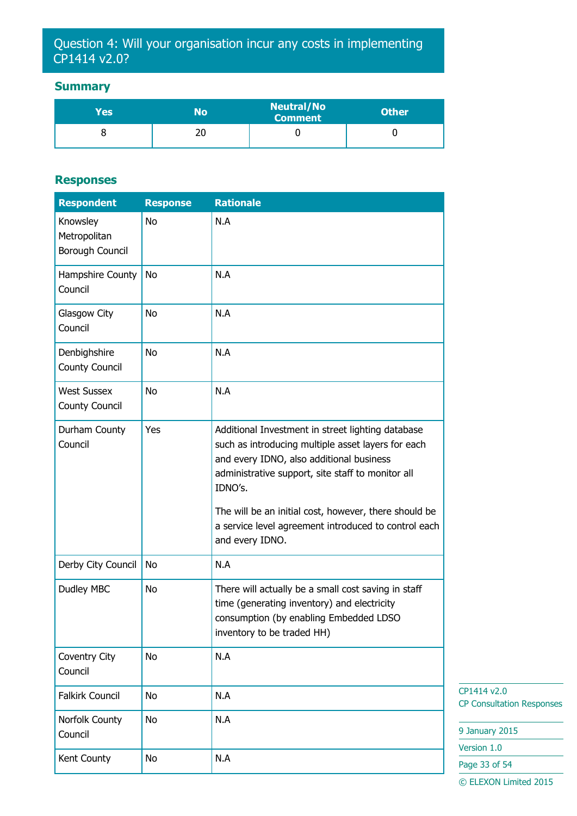## Question 4: Will your organisation incur any costs in implementing CP1414 v2.0?

### **Summary**

| Yes | No       | <b>Neutral/No</b><br><b>Comment</b> | <b>Other</b> |
|-----|----------|-------------------------------------|--------------|
|     | יי<br>۷J |                                     |              |

#### **Responses**

| <b>Respondent</b>                           | <b>Response</b> | <b>Rationale</b>                                                                                                                                                                                                                                                                                                                                        |
|---------------------------------------------|-----------------|---------------------------------------------------------------------------------------------------------------------------------------------------------------------------------------------------------------------------------------------------------------------------------------------------------------------------------------------------------|
| Knowsley<br>Metropolitan<br>Borough Council | <b>No</b>       | N.A                                                                                                                                                                                                                                                                                                                                                     |
| Hampshire County<br>Council                 | <b>No</b>       | N.A                                                                                                                                                                                                                                                                                                                                                     |
| Glasgow City<br>Council                     | No              | N.A                                                                                                                                                                                                                                                                                                                                                     |
| Denbighshire<br><b>County Council</b>       | <b>No</b>       | N.A                                                                                                                                                                                                                                                                                                                                                     |
| <b>West Sussex</b><br><b>County Council</b> | <b>No</b>       | N.A                                                                                                                                                                                                                                                                                                                                                     |
| Durham County<br>Council                    | Yes             | Additional Investment in street lighting database<br>such as introducing multiple asset layers for each<br>and every IDNO, also additional business<br>administrative support, site staff to monitor all<br>IDNO's.<br>The will be an initial cost, however, there should be<br>a service level agreement introduced to control each<br>and every IDNO. |
| Derby City Council                          | No              | N.A                                                                                                                                                                                                                                                                                                                                                     |
| Dudley MBC                                  | No              | There will actually be a small cost saving in staff<br>time (generating inventory) and electricity<br>consumption (by enabling Embedded LDSO<br>inventory to be traded HH)                                                                                                                                                                              |
| Coventry City<br>Council                    | <b>No</b>       | N.A                                                                                                                                                                                                                                                                                                                                                     |
| <b>Falkirk Council</b>                      | <b>No</b>       | N.A                                                                                                                                                                                                                                                                                                                                                     |
| Norfolk County<br>Council                   | <b>No</b>       | N.A                                                                                                                                                                                                                                                                                                                                                     |
| Kent County                                 | No              | N.A                                                                                                                                                                                                                                                                                                                                                     |

CP1414 v2.0 CP Consultation Responses

9 January 2015

Version 1.0

Page 33 of 54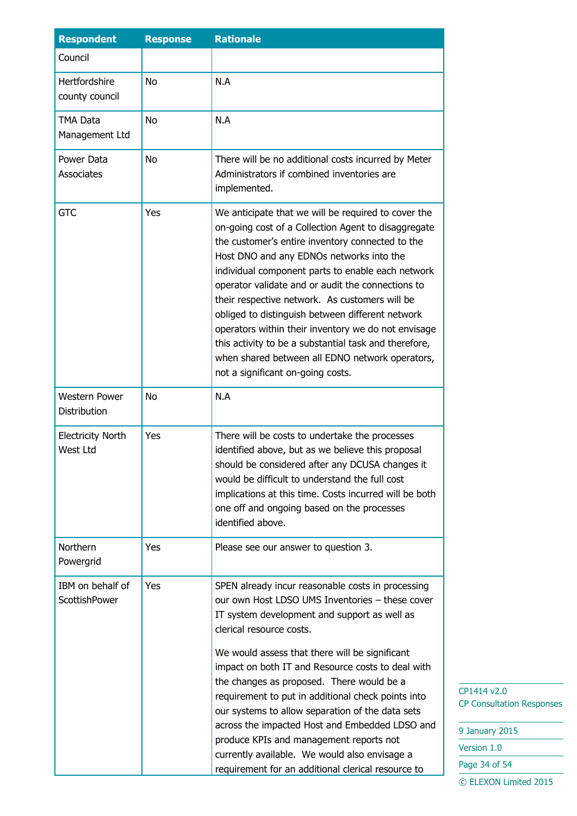| <b>Respondent</b>                    | <b>Response</b> | <b>Rationale</b>                                                                                                                                                                                                                                                                                                                                                                                                                                                                                                                                                                                                                                   |
|--------------------------------------|-----------------|----------------------------------------------------------------------------------------------------------------------------------------------------------------------------------------------------------------------------------------------------------------------------------------------------------------------------------------------------------------------------------------------------------------------------------------------------------------------------------------------------------------------------------------------------------------------------------------------------------------------------------------------------|
| Council                              |                 |                                                                                                                                                                                                                                                                                                                                                                                                                                                                                                                                                                                                                                                    |
| Hertfordshire<br>county council      | <b>No</b>       | N.A                                                                                                                                                                                                                                                                                                                                                                                                                                                                                                                                                                                                                                                |
| <b>TMA Data</b><br>Management Ltd    | <b>No</b>       | N.A                                                                                                                                                                                                                                                                                                                                                                                                                                                                                                                                                                                                                                                |
| Power Data<br>Associates             | <b>No</b>       | There will be no additional costs incurred by Meter<br>Administrators if combined inventories are<br>implemented.                                                                                                                                                                                                                                                                                                                                                                                                                                                                                                                                  |
| <b>GTC</b>                           | Yes             | We anticipate that we will be required to cover the<br>on-going cost of a Collection Agent to disaggregate<br>the customer's entire inventory connected to the<br>Host DNO and any EDNOs networks into the<br>individual component parts to enable each network<br>operator validate and or audit the connections to<br>their respective network. As customers will be<br>obliged to distinguish between different network<br>operators within their inventory we do not envisage<br>this activity to be a substantial task and therefore,<br>when shared between all EDNO network operators,<br>not a significant on-going costs.                 |
| <b>Western Power</b><br>Distribution | <b>No</b>       | N.A                                                                                                                                                                                                                                                                                                                                                                                                                                                                                                                                                                                                                                                |
| <b>Electricity North</b><br>West Ltd | Yes             | There will be costs to undertake the processes<br>identified above, but as we believe this proposal<br>should be considered after any DCUSA changes it<br>would be difficult to understand the full cost<br>implications at this time. Costs incurred will be both<br>one off and ongoing based on the processes<br>identified above.                                                                                                                                                                                                                                                                                                              |
| Northern<br>Powergrid                | Yes             | Please see our answer to question 3.                                                                                                                                                                                                                                                                                                                                                                                                                                                                                                                                                                                                               |
| IBM on behalf of<br>ScottishPower    | Yes             | SPEN already incur reasonable costs in processing<br>our own Host LDSO UMS Inventories - these cover<br>IT system development and support as well as<br>clerical resource costs.<br>We would assess that there will be significant<br>impact on both IT and Resource costs to deal with<br>the changes as proposed. There would be a<br>requirement to put in additional check points into<br>our systems to allow separation of the data sets<br>across the impacted Host and Embedded LDSO and<br>produce KPIs and management reports not<br>currently available. We would also envisage a<br>requirement for an additional clerical resource to |

| 9 January 2015        |
|-----------------------|
| Version 1.0           |
| Page 34 of 54         |
| © ELEXON Limited 2015 |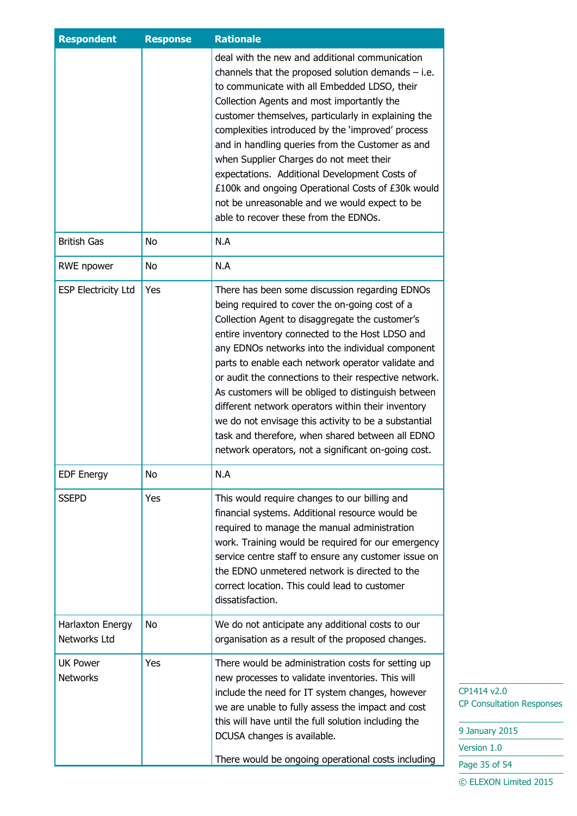| <b>Respondent</b>                  | <b>Response</b> | <b>Rationale</b>                                                                                                                                                                                                                                                                                                                                                                                                                                                                                                                                                                                                                                          |
|------------------------------------|-----------------|-----------------------------------------------------------------------------------------------------------------------------------------------------------------------------------------------------------------------------------------------------------------------------------------------------------------------------------------------------------------------------------------------------------------------------------------------------------------------------------------------------------------------------------------------------------------------------------------------------------------------------------------------------------|
|                                    |                 | deal with the new and additional communication<br>channels that the proposed solution demands $-$ i.e.<br>to communicate with all Embedded LDSO, their<br>Collection Agents and most importantly the<br>customer themselves, particularly in explaining the<br>complexities introduced by the 'improved' process<br>and in handling queries from the Customer as and<br>when Supplier Charges do not meet their<br>expectations. Additional Development Costs of<br>£100k and ongoing Operational Costs of £30k would<br>not be unreasonable and we would expect to be<br>able to recover these from the EDNOs.                                           |
| <b>British Gas</b>                 | No              | N.A                                                                                                                                                                                                                                                                                                                                                                                                                                                                                                                                                                                                                                                       |
| RWE npower                         | No              | N.A                                                                                                                                                                                                                                                                                                                                                                                                                                                                                                                                                                                                                                                       |
| <b>ESP Electricity Ltd</b>         | Yes             | There has been some discussion regarding EDNOs<br>being required to cover the on-going cost of a<br>Collection Agent to disaggregate the customer's<br>entire inventory connected to the Host LDSO and<br>any EDNOs networks into the individual component<br>parts to enable each network operator validate and<br>or audit the connections to their respective network.<br>As customers will be obliged to distinguish between<br>different network operators within their inventory<br>we do not envisage this activity to be a substantial<br>task and therefore, when shared between all EDNO<br>network operators, not a significant on-going cost. |
| <b>EDF Energy</b>                  | No              | N.A                                                                                                                                                                                                                                                                                                                                                                                                                                                                                                                                                                                                                                                       |
| <b>SSEPD</b>                       | Yes             | This would require changes to our billing and<br>financial systems. Additional resource would be<br>required to manage the manual administration<br>work. Training would be required for our emergency<br>service centre staff to ensure any customer issue on<br>the EDNO unmetered network is directed to the<br>correct location. This could lead to customer<br>dissatisfaction.                                                                                                                                                                                                                                                                      |
| Harlaxton Energy<br>Networks Ltd   | No              | We do not anticipate any additional costs to our<br>organisation as a result of the proposed changes.                                                                                                                                                                                                                                                                                                                                                                                                                                                                                                                                                     |
| <b>UK Power</b><br><b>Networks</b> | Yes             | There would be administration costs for setting up<br>new processes to validate inventories. This will<br>include the need for IT system changes, however<br>we are unable to fully assess the impact and cost<br>this will have until the full solution including the<br>DCUSA changes is available.<br>There would be ongoing operational costs including                                                                                                                                                                                                                                                                                               |

9 January 2015 Version 1.0 Page 35 of 54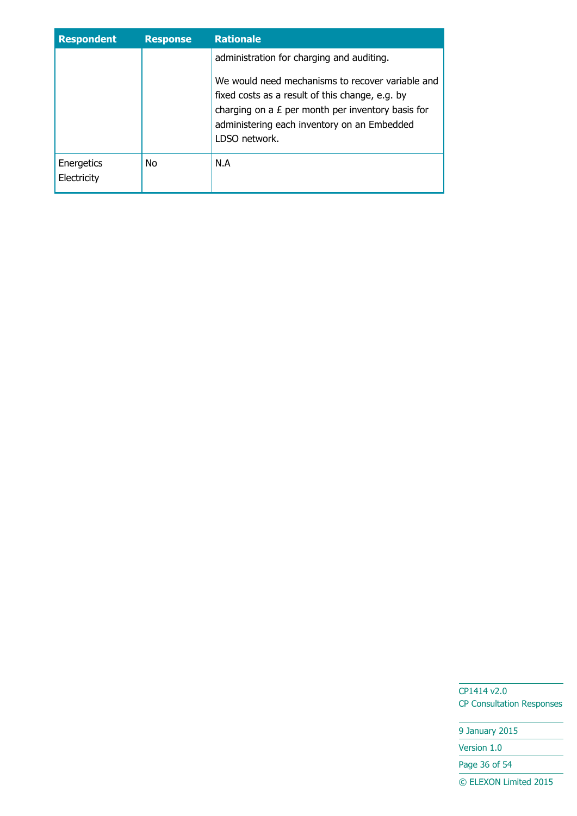| <b>Respondent</b>         | <b>Response</b> | <b>Rationale</b>                                                                                                                                                                                                                                                        |
|---------------------------|-----------------|-------------------------------------------------------------------------------------------------------------------------------------------------------------------------------------------------------------------------------------------------------------------------|
|                           |                 | administration for charging and auditing.<br>We would need mechanisms to recover variable and<br>fixed costs as a result of this change, e.g. by<br>charging on a $E$ per month per inventory basis for<br>administering each inventory on an Embedded<br>LDSO network. |
| Energetics<br>Electricity | <b>No</b>       | N.A                                                                                                                                                                                                                                                                     |

9 January 2015

Version 1.0

Page 36 of 54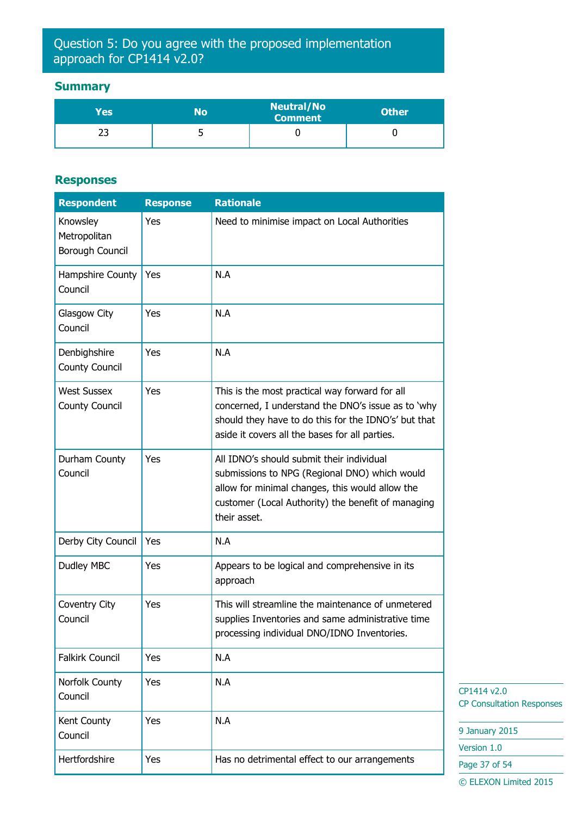## Question 5: Do you agree with the proposed implementation approach for CP1414 v2.0?

### **Summary**

| Yes       | No | <b>Neutral/No</b><br><b>Comment</b> | <b>Other</b> |
|-----------|----|-------------------------------------|--------------|
| <u>__</u> | ັ  |                                     |              |

#### **Responses**

| <b>Respondent</b>                                  | <b>Response</b> | <b>Rationale</b>                                                                                                                                                                                                    |                                                 |
|----------------------------------------------------|-----------------|---------------------------------------------------------------------------------------------------------------------------------------------------------------------------------------------------------------------|-------------------------------------------------|
| Knowsley<br>Metropolitan<br><b>Borough Council</b> | Yes             | Need to minimise impact on Local Authorities                                                                                                                                                                        |                                                 |
| Hampshire County<br>Council                        | Yes             | N.A                                                                                                                                                                                                                 |                                                 |
| Glasgow City<br>Council                            | Yes             | N.A                                                                                                                                                                                                                 |                                                 |
| Denbighshire<br><b>County Council</b>              | Yes             | N.A                                                                                                                                                                                                                 |                                                 |
| <b>West Sussex</b><br><b>County Council</b>        | Yes             | This is the most practical way forward for all<br>concerned, I understand the DNO's issue as to 'why<br>should they have to do this for the IDNO's' but that<br>aside it covers all the bases for all parties.      |                                                 |
| Durham County<br>Council                           | Yes             | All IDNO's should submit their individual<br>submissions to NPG (Regional DNO) which would<br>allow for minimal changes, this would allow the<br>customer (Local Authority) the benefit of managing<br>their asset. |                                                 |
| Derby City Council                                 | Yes             | N.A                                                                                                                                                                                                                 |                                                 |
| Dudley MBC                                         | Yes             | Appears to be logical and comprehensive in its<br>approach                                                                                                                                                          |                                                 |
| Coventry City<br>Council                           | Yes             | This will streamline the maintenance of unmetered<br>supplies Inventories and same administrative time<br>processing individual DNO/IDNO Inventories.                                                               |                                                 |
| <b>Falkirk Council</b>                             | Yes             | N.A                                                                                                                                                                                                                 |                                                 |
| Norfolk County<br>Council                          | Yes             | N.A                                                                                                                                                                                                                 | CP1414 v2.0<br><b>CP Consultation Responses</b> |
| Kent County                                        | Yes             | N.A                                                                                                                                                                                                                 | 9 January 2015                                  |
| Council                                            |                 |                                                                                                                                                                                                                     | Version 1.0                                     |
| Hertfordshire                                      | Yes             | Has no detrimental effect to our arrangements                                                                                                                                                                       | Page 37 of 54                                   |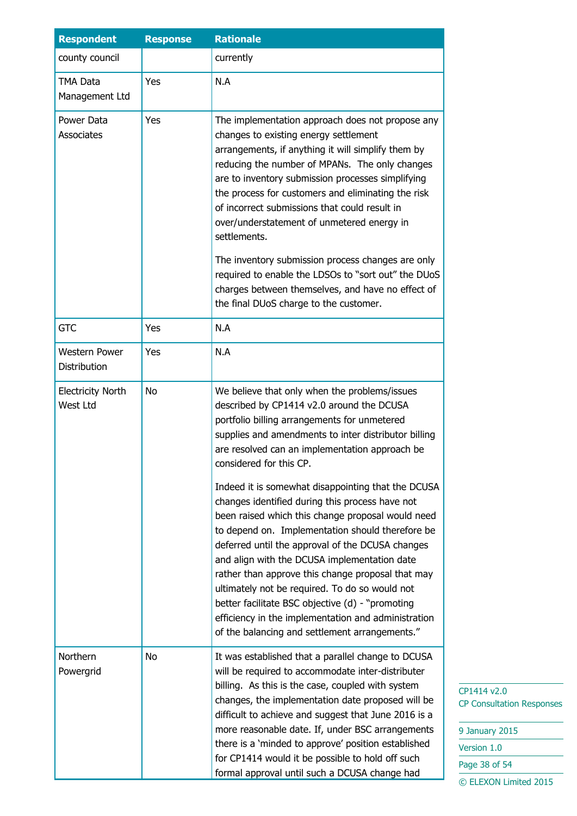| <b>Respondent</b>                    | <b>Response</b> | <b>Rationale</b>                                                                                                                                                                                                                                                                                                                                                                                                                                                                                                                                                                                                                                                                                                                                                                                                                                                          |  |
|--------------------------------------|-----------------|---------------------------------------------------------------------------------------------------------------------------------------------------------------------------------------------------------------------------------------------------------------------------------------------------------------------------------------------------------------------------------------------------------------------------------------------------------------------------------------------------------------------------------------------------------------------------------------------------------------------------------------------------------------------------------------------------------------------------------------------------------------------------------------------------------------------------------------------------------------------------|--|
| county council                       |                 | currently                                                                                                                                                                                                                                                                                                                                                                                                                                                                                                                                                                                                                                                                                                                                                                                                                                                                 |  |
| <b>TMA Data</b><br>Management Ltd    | Yes             | N.A                                                                                                                                                                                                                                                                                                                                                                                                                                                                                                                                                                                                                                                                                                                                                                                                                                                                       |  |
| Power Data<br>Associates             | Yes             | The implementation approach does not propose any<br>changes to existing energy settlement<br>arrangements, if anything it will simplify them by<br>reducing the number of MPANs. The only changes<br>are to inventory submission processes simplifying<br>the process for customers and eliminating the risk<br>of incorrect submissions that could result in<br>over/understatement of unmetered energy in<br>settlements.                                                                                                                                                                                                                                                                                                                                                                                                                                               |  |
|                                      |                 | The inventory submission process changes are only<br>required to enable the LDSOs to "sort out" the DUoS<br>charges between themselves, and have no effect of<br>the final DUoS charge to the customer.                                                                                                                                                                                                                                                                                                                                                                                                                                                                                                                                                                                                                                                                   |  |
| <b>GTC</b>                           | Yes             | N.A                                                                                                                                                                                                                                                                                                                                                                                                                                                                                                                                                                                                                                                                                                                                                                                                                                                                       |  |
| <b>Western Power</b><br>Distribution | Yes             | N.A                                                                                                                                                                                                                                                                                                                                                                                                                                                                                                                                                                                                                                                                                                                                                                                                                                                                       |  |
| <b>Electricity North</b><br>West Ltd | No              | We believe that only when the problems/issues<br>described by CP1414 v2.0 around the DCUSA<br>portfolio billing arrangements for unmetered<br>supplies and amendments to inter distributor billing<br>are resolved can an implementation approach be<br>considered for this CP.<br>Indeed it is somewhat disappointing that the DCUSA<br>changes identified during this process have not<br>been raised which this change proposal would need<br>to depend on. Implementation should therefore be<br>deferred until the approval of the DCUSA changes<br>and align with the DCUSA implementation date<br>rather than approve this change proposal that may<br>ultimately not be required. To do so would not<br>better facilitate BSC objective (d) - "promoting<br>efficiency in the implementation and administration<br>of the balancing and settlement arrangements." |  |
| Northern<br>Powergrid                | No              | It was established that a parallel change to DCUSA<br>will be required to accommodate inter-distributer<br>billing. As this is the case, coupled with system<br>changes, the implementation date proposed will be<br>difficult to achieve and suggest that June 2016 is a<br>more reasonable date. If, under BSC arrangements<br>there is a 'minded to approve' position established<br>for CP1414 would it be possible to hold off such<br>formal approval until such a DCUSA change had                                                                                                                                                                                                                                                                                                                                                                                 |  |

414 v2.0 **Consultation Responses** 

| 9 January 2015        |
|-----------------------|
| Version 1.0           |
| Page 38 of 54         |
| © ELEXON Limited 2015 |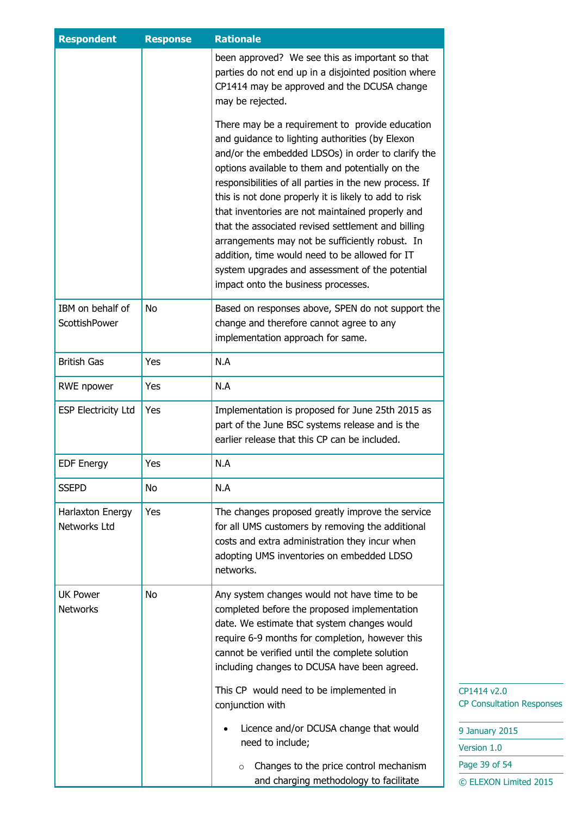| <b>Respondent</b>                  | <b>Response</b> | <b>Rationale</b>                                                                                                                                                                                                                                                                                                                                                                                                                                                                                                                                                                                                                         |                                                 |
|------------------------------------|-----------------|------------------------------------------------------------------------------------------------------------------------------------------------------------------------------------------------------------------------------------------------------------------------------------------------------------------------------------------------------------------------------------------------------------------------------------------------------------------------------------------------------------------------------------------------------------------------------------------------------------------------------------------|-------------------------------------------------|
|                                    |                 | been approved? We see this as important so that<br>parties do not end up in a disjointed position where<br>CP1414 may be approved and the DCUSA change<br>may be rejected.                                                                                                                                                                                                                                                                                                                                                                                                                                                               |                                                 |
|                                    |                 | There may be a requirement to provide education<br>and guidance to lighting authorities (by Elexon<br>and/or the embedded LDSOs) in order to clarify the<br>options available to them and potentially on the<br>responsibilities of all parties in the new process. If<br>this is not done properly it is likely to add to risk<br>that inventories are not maintained properly and<br>that the associated revised settlement and billing<br>arrangements may not be sufficiently robust. In<br>addition, time would need to be allowed for IT<br>system upgrades and assessment of the potential<br>impact onto the business processes. |                                                 |
| IBM on behalf of<br>ScottishPower  | No              | Based on responses above, SPEN do not support the<br>change and therefore cannot agree to any<br>implementation approach for same.                                                                                                                                                                                                                                                                                                                                                                                                                                                                                                       |                                                 |
| <b>British Gas</b>                 | Yes             | N.A                                                                                                                                                                                                                                                                                                                                                                                                                                                                                                                                                                                                                                      |                                                 |
| RWE npower                         | Yes             | N.A                                                                                                                                                                                                                                                                                                                                                                                                                                                                                                                                                                                                                                      |                                                 |
| <b>ESP Electricity Ltd</b>         | Yes             | Implementation is proposed for June 25th 2015 as<br>part of the June BSC systems release and is the<br>earlier release that this CP can be included.                                                                                                                                                                                                                                                                                                                                                                                                                                                                                     |                                                 |
| <b>EDF Energy</b>                  | Yes             | N.A                                                                                                                                                                                                                                                                                                                                                                                                                                                                                                                                                                                                                                      |                                                 |
| <b>SSEPD</b>                       | No              | N.A                                                                                                                                                                                                                                                                                                                                                                                                                                                                                                                                                                                                                                      |                                                 |
| Harlaxton Energy<br>Networks Ltd   | Yes             | The changes proposed greatly improve the service<br>for all UMS customers by removing the additional<br>costs and extra administration they incur when<br>adopting UMS inventories on embedded LDSO<br>networks.                                                                                                                                                                                                                                                                                                                                                                                                                         |                                                 |
| <b>UK Power</b><br><b>Networks</b> | No              | Any system changes would not have time to be<br>completed before the proposed implementation<br>date. We estimate that system changes would<br>require 6-9 months for completion, however this<br>cannot be verified until the complete solution<br>including changes to DCUSA have been agreed.                                                                                                                                                                                                                                                                                                                                         |                                                 |
|                                    |                 | This CP would need to be implemented in<br>conjunction with                                                                                                                                                                                                                                                                                                                                                                                                                                                                                                                                                                              | CP1414 v2.0<br><b>CP Consultation Responses</b> |
|                                    |                 | Licence and/or DCUSA change that would<br>need to include;                                                                                                                                                                                                                                                                                                                                                                                                                                                                                                                                                                               | 9 January 2015<br>Version 1.0                   |
|                                    |                 | Changes to the price control mechanism<br>$\circ$                                                                                                                                                                                                                                                                                                                                                                                                                                                                                                                                                                                        | Page 39 of 54                                   |
|                                    |                 | and charging methodology to facilitate                                                                                                                                                                                                                                                                                                                                                                                                                                                                                                                                                                                                   | © ELEXON Limited 2015                           |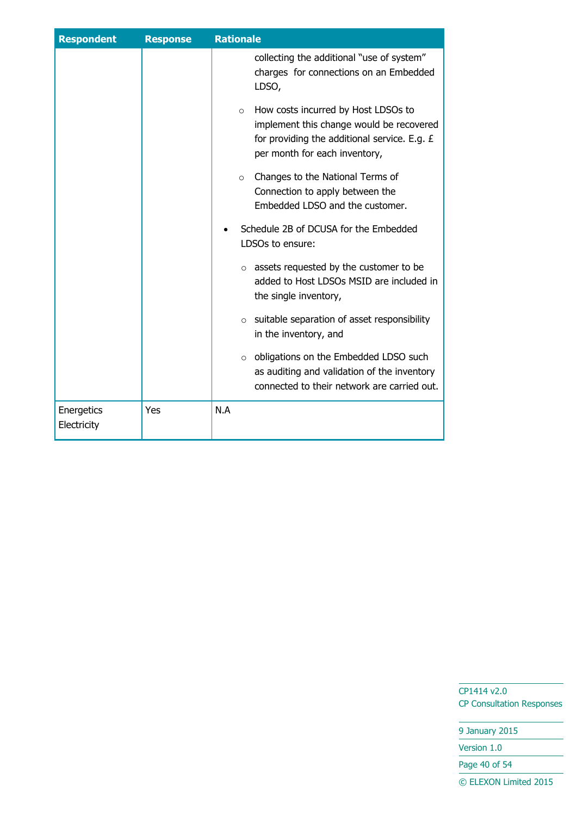| <b>Respondent</b>         | <b>Response</b> | <b>Rationale</b>                                                                                                                                                            |
|---------------------------|-----------------|-----------------------------------------------------------------------------------------------------------------------------------------------------------------------------|
|                           |                 | collecting the additional "use of system"<br>charges for connections on an Embedded<br>LDSO,                                                                                |
|                           |                 | How costs incurred by Host LDSOs to<br>$\circ$<br>implement this change would be recovered<br>for providing the additional service. E.g. £<br>per month for each inventory, |
|                           |                 | Changes to the National Terms of<br>$\Omega$<br>Connection to apply between the<br>Embedded LDSO and the customer.                                                          |
|                           |                 | Schedule 2B of DCUSA for the Embedded<br>LDSOs to ensure:                                                                                                                   |
|                           |                 | $\circ$ assets requested by the customer to be<br>added to Host LDSOs MSID are included in<br>the single inventory,                                                         |
|                           |                 | suitable separation of asset responsibility<br>$\circ$<br>in the inventory, and                                                                                             |
|                           |                 | obligations on the Embedded LDSO such<br>$\circ$<br>as auditing and validation of the inventory<br>connected to their network are carried out.                              |
| Energetics<br>Electricity | Yes             | N.A                                                                                                                                                                         |

9 January 2015

Version 1.0

Page 40 of 54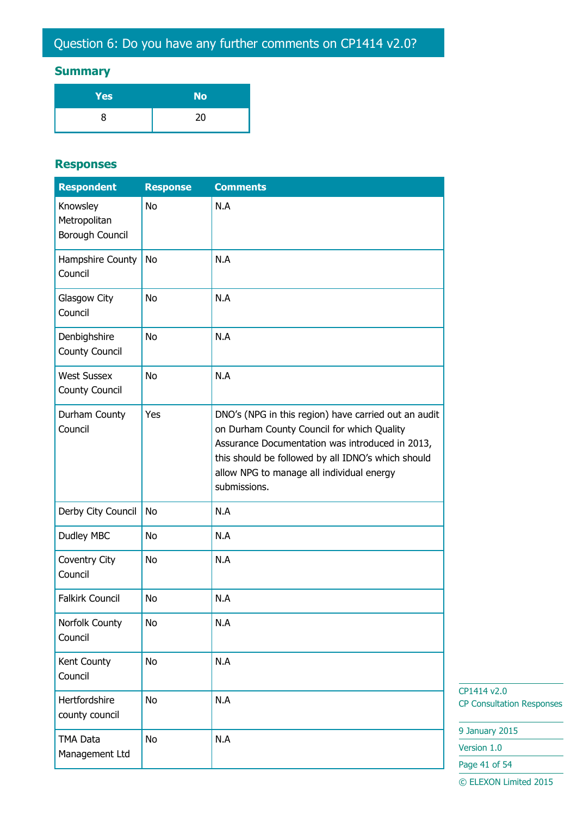## **Summary**

| Yes | <b>No</b> |
|-----|-----------|
|     | 20        |

#### **Responses**

| <b>Respondent</b>                           | <b>Response</b> | <b>Comments</b>                                                                                                                                                                                                                                                          |
|---------------------------------------------|-----------------|--------------------------------------------------------------------------------------------------------------------------------------------------------------------------------------------------------------------------------------------------------------------------|
| Knowsley<br>Metropolitan<br>Borough Council | <b>No</b>       | N.A                                                                                                                                                                                                                                                                      |
| Hampshire County<br>Council                 | <b>No</b>       | N.A                                                                                                                                                                                                                                                                      |
| Glasgow City<br>Council                     | No              | N.A                                                                                                                                                                                                                                                                      |
| Denbighshire<br>County Council              | No              | N.A                                                                                                                                                                                                                                                                      |
| <b>West Sussex</b><br><b>County Council</b> | <b>No</b>       | N.A                                                                                                                                                                                                                                                                      |
| Durham County<br>Council                    | Yes             | DNO's (NPG in this region) have carried out an audit<br>on Durham County Council for which Quality<br>Assurance Documentation was introduced in 2013,<br>this should be followed by all IDNO's which should<br>allow NPG to manage all individual energy<br>submissions. |
| Derby City Council                          | No              | N.A                                                                                                                                                                                                                                                                      |
| Dudley MBC                                  | No              | N.A                                                                                                                                                                                                                                                                      |
| Coventry City<br>Council                    | <b>No</b>       | N.A                                                                                                                                                                                                                                                                      |
| <b>Falkirk Council</b>                      | No              | N.A                                                                                                                                                                                                                                                                      |
| Norfolk County<br>Council                   | <b>No</b>       | N.A                                                                                                                                                                                                                                                                      |
| Kent County<br>Council                      | No              | N.A                                                                                                                                                                                                                                                                      |
| Hertfordshire<br>county council             | No              | N.A                                                                                                                                                                                                                                                                      |
| TMA Data<br>Management Ltd                  | No              | N.A                                                                                                                                                                                                                                                                      |

CP1414 v2.0 CP Consultation Responses

9 January 2015

Version 1.0

Page 41 of 54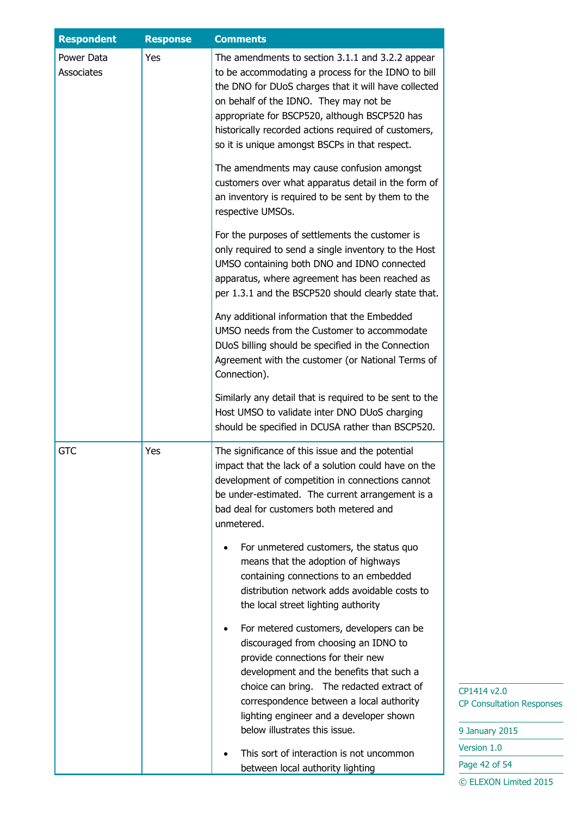| <b>Respondent</b>        | <b>Response</b> | <b>Comments</b>                                                                                                                                                                                                                                                                                                                                                                                                                                                                                                                                                                                                                                                                                                                                                                                                                                                                                                                                                                                                                                                                                              |  |
|--------------------------|-----------------|--------------------------------------------------------------------------------------------------------------------------------------------------------------------------------------------------------------------------------------------------------------------------------------------------------------------------------------------------------------------------------------------------------------------------------------------------------------------------------------------------------------------------------------------------------------------------------------------------------------------------------------------------------------------------------------------------------------------------------------------------------------------------------------------------------------------------------------------------------------------------------------------------------------------------------------------------------------------------------------------------------------------------------------------------------------------------------------------------------------|--|
| Power Data<br>Associates | Yes             | The amendments to section 3.1.1 and 3.2.2 appear<br>to be accommodating a process for the IDNO to bill<br>the DNO for DUoS charges that it will have collected<br>on behalf of the IDNO. They may not be<br>appropriate for BSCP520, although BSCP520 has<br>historically recorded actions required of customers,<br>so it is unique amongst BSCPs in that respect.<br>The amendments may cause confusion amongst<br>customers over what apparatus detail in the form of<br>an inventory is required to be sent by them to the<br>respective UMSOs.<br>For the purposes of settlements the customer is<br>only required to send a single inventory to the Host<br>UMSO containing both DNO and IDNO connected<br>apparatus, where agreement has been reached as<br>per 1.3.1 and the BSCP520 should clearly state that.<br>Any additional information that the Embedded<br>UMSO needs from the Customer to accommodate<br>DUoS billing should be specified in the Connection<br>Agreement with the customer (or National Terms of<br>Connection).<br>Similarly any detail that is required to be sent to the |  |
| <b>GTC</b>               | Yes             | Host UMSO to validate inter DNO DUoS charging<br>should be specified in DCUSA rather than BSCP520.<br>The significance of this issue and the potential<br>impact that the lack of a solution could have on the<br>development of competition in connections cannot<br>be under-estimated. The current arrangement is a<br>bad deal for customers both metered and<br>unmetered.<br>For unmetered customers, the status quo<br>means that the adoption of highways                                                                                                                                                                                                                                                                                                                                                                                                                                                                                                                                                                                                                                            |  |
|                          |                 | containing connections to an embedded<br>distribution network adds avoidable costs to<br>the local street lighting authority<br>For metered customers, developers can be<br>discouraged from choosing an IDNO to<br>provide connections for their new<br>development and the benefits that such a<br>choice can bring. The redacted extract of<br>correspondence between a local authority<br>lighting engineer and a developer shown<br>below illustrates this issue.<br>This sort of interaction is not uncommon<br>between local authority lighting                                                                                                                                                                                                                                                                                                                                                                                                                                                                                                                                                       |  |

 $14 v2.0$ Consultation Responses

nuary 2015  $ion 1.0$ e 42 of 54 © ELEXON Limited 2015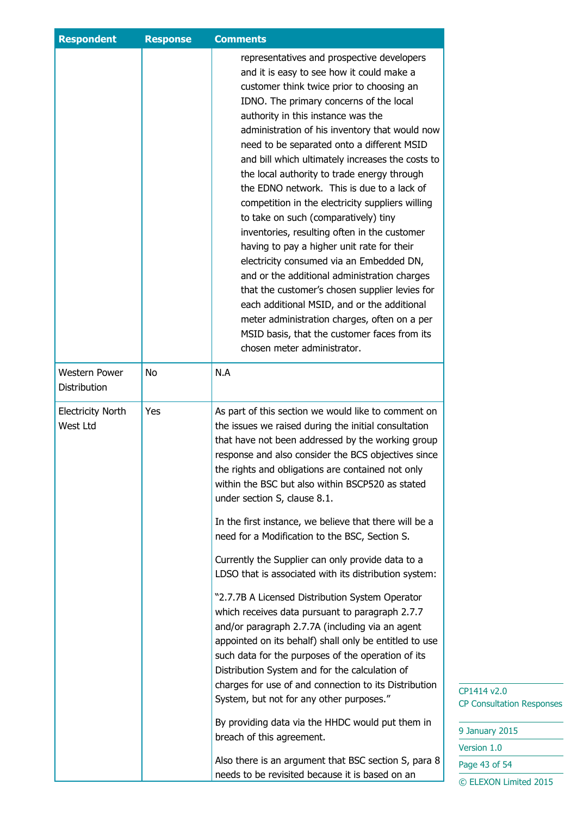|                                             | representatives and prospective developers<br>and it is easy to see how it could make a<br>customer think twice prior to choosing an                                                                                                                                                                                                                                                                                                                                                                                                                                                                                                                                                                                                                                                                                                                                                                                                                                                                                                                                                                                                                                |  |
|---------------------------------------------|---------------------------------------------------------------------------------------------------------------------------------------------------------------------------------------------------------------------------------------------------------------------------------------------------------------------------------------------------------------------------------------------------------------------------------------------------------------------------------------------------------------------------------------------------------------------------------------------------------------------------------------------------------------------------------------------------------------------------------------------------------------------------------------------------------------------------------------------------------------------------------------------------------------------------------------------------------------------------------------------------------------------------------------------------------------------------------------------------------------------------------------------------------------------|--|
|                                             | IDNO. The primary concerns of the local<br>authority in this instance was the<br>administration of his inventory that would now<br>need to be separated onto a different MSID<br>and bill which ultimately increases the costs to<br>the local authority to trade energy through<br>the EDNO network. This is due to a lack of<br>competition in the electricity suppliers willing<br>to take on such (comparatively) tiny<br>inventories, resulting often in the customer<br>having to pay a higher unit rate for their<br>electricity consumed via an Embedded DN,<br>and or the additional administration charges<br>that the customer's chosen supplier levies for<br>each additional MSID, and or the additional<br>meter administration charges, often on a per<br>MSID basis, that the customer faces from its<br>chosen meter administrator.<br>N.A                                                                                                                                                                                                                                                                                                         |  |
| Western Power<br>No<br>Distribution         |                                                                                                                                                                                                                                                                                                                                                                                                                                                                                                                                                                                                                                                                                                                                                                                                                                                                                                                                                                                                                                                                                                                                                                     |  |
| Yes<br><b>Electricity North</b><br>West Ltd | As part of this section we would like to comment on<br>the issues we raised during the initial consultation<br>that have not been addressed by the working group<br>response and also consider the BCS objectives since<br>the rights and obligations are contained not only<br>within the BSC but also within BSCP520 as stated<br>under section S, clause 8.1.<br>In the first instance, we believe that there will be a<br>need for a Modification to the BSC, Section S.<br>Currently the Supplier can only provide data to a<br>LDSO that is associated with its distribution system:<br>"2.7.7B A Licensed Distribution System Operator<br>which receives data pursuant to paragraph 2.7.7<br>and/or paragraph 2.7.7A (including via an agent<br>appointed on its behalf) shall only be entitled to use<br>such data for the purposes of the operation of its<br>Distribution System and for the calculation of<br>charges for use of and connection to its Distribution<br>System, but not for any other purposes."<br>By providing data via the HHDC would put them in<br>breach of this agreement.<br>Also there is an argument that BSC section S, para 8 |  |

January 2015 ersion 1.0 age 43 of 54 © ELEXON Limited 2015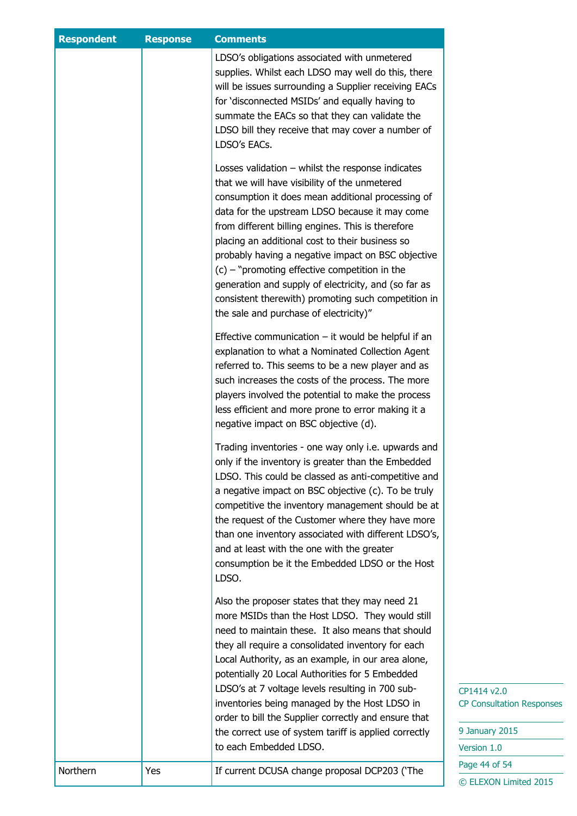| <b>Respondent</b> | <b>Response</b> | <b>Comments</b>                                                                                                                                                                                                                                                                                                                                                                                                                                                                                                                                                                       |                                                 |
|-------------------|-----------------|---------------------------------------------------------------------------------------------------------------------------------------------------------------------------------------------------------------------------------------------------------------------------------------------------------------------------------------------------------------------------------------------------------------------------------------------------------------------------------------------------------------------------------------------------------------------------------------|-------------------------------------------------|
|                   |                 | LDSO's obligations associated with unmetered<br>supplies. Whilst each LDSO may well do this, there<br>will be issues surrounding a Supplier receiving EACs<br>for 'disconnected MSIDs' and equally having to<br>summate the EACs so that they can validate the<br>LDSO bill they receive that may cover a number of<br>LDSO's EACs.                                                                                                                                                                                                                                                   |                                                 |
|                   |                 | Losses validation $-$ whilst the response indicates<br>that we will have visibility of the unmetered<br>consumption it does mean additional processing of<br>data for the upstream LDSO because it may come<br>from different billing engines. This is therefore<br>placing an additional cost to their business so<br>probably having a negative impact on BSC objective<br>$(c)$ – "promoting effective competition in the<br>generation and supply of electricity, and (so far as<br>consistent therewith) promoting such competition in<br>the sale and purchase of electricity)" |                                                 |
|                   |                 | Effective communication $-$ it would be helpful if an<br>explanation to what a Nominated Collection Agent<br>referred to. This seems to be a new player and as<br>such increases the costs of the process. The more<br>players involved the potential to make the process<br>less efficient and more prone to error making it a<br>negative impact on BSC objective (d).                                                                                                                                                                                                              |                                                 |
|                   |                 | Trading inventories - one way only i.e. upwards and<br>only if the inventory is greater than the Embedded<br>LDSO. This could be classed as anti-competitive and<br>a negative impact on BSC objective (c). To be truly<br>competitive the inventory management should be at<br>the request of the Customer where they have more<br>than one inventory associated with different LDSO's,<br>and at least with the one with the greater<br>consumption be it the Embedded LDSO or the Host<br>LDSO.                                                                                    |                                                 |
|                   |                 | Also the proposer states that they may need 21<br>more MSIDs than the Host LDSO. They would still<br>need to maintain these. It also means that should<br>they all require a consolidated inventory for each<br>Local Authority, as an example, in our area alone,<br>potentially 20 Local Authorities for 5 Embedded<br>LDSO's at 7 voltage levels resulting in 700 sub-<br>inventories being managed by the Host LDSO in                                                                                                                                                            | CP1414 v2.0<br><b>CP Consultation Responses</b> |
|                   |                 | order to bill the Supplier correctly and ensure that<br>the correct use of system tariff is applied correctly<br>to each Embedded LDSO.                                                                                                                                                                                                                                                                                                                                                                                                                                               | 9 January 2015<br>Version 1.0                   |
| Northern          | Yes             | If current DCUSA change proposal DCP203 ('The                                                                                                                                                                                                                                                                                                                                                                                                                                                                                                                                         | Page 44 of 54<br>© ELEXON Limited 2015          |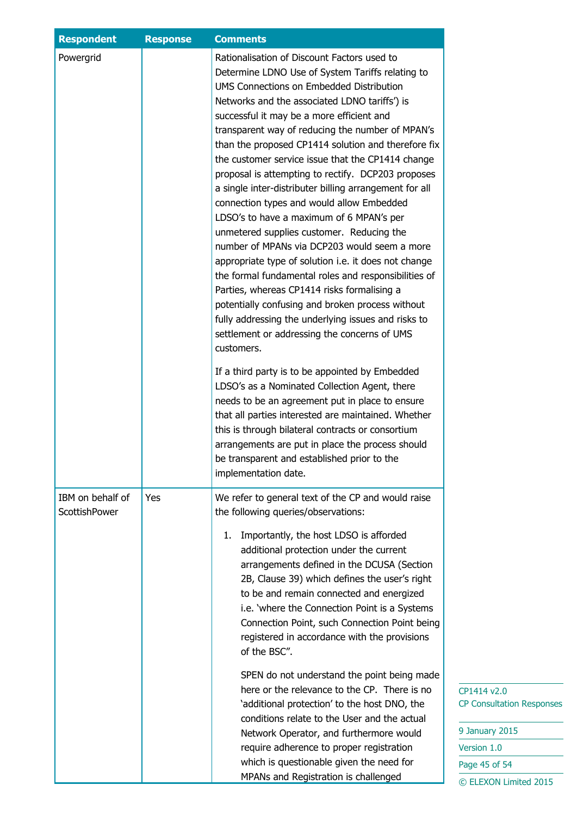| <b>Respondent</b>                 | <b>Response</b> | <b>Comments</b>                                                                                                                                                                                                                                                                                                                                                                                                                                                                                                                                                                                                                                                                                                                                                                                                                                                                                                                                                                                                                                         |
|-----------------------------------|-----------------|---------------------------------------------------------------------------------------------------------------------------------------------------------------------------------------------------------------------------------------------------------------------------------------------------------------------------------------------------------------------------------------------------------------------------------------------------------------------------------------------------------------------------------------------------------------------------------------------------------------------------------------------------------------------------------------------------------------------------------------------------------------------------------------------------------------------------------------------------------------------------------------------------------------------------------------------------------------------------------------------------------------------------------------------------------|
| Powergrid                         |                 | Rationalisation of Discount Factors used to<br>Determine LDNO Use of System Tariffs relating to<br>UMS Connections on Embedded Distribution<br>Networks and the associated LDNO tariffs') is<br>successful it may be a more efficient and<br>transparent way of reducing the number of MPAN's<br>than the proposed CP1414 solution and therefore fix<br>the customer service issue that the CP1414 change<br>proposal is attempting to rectify. DCP203 proposes<br>a single inter-distributer billing arrangement for all<br>connection types and would allow Embedded<br>LDSO's to have a maximum of 6 MPAN's per<br>unmetered supplies customer. Reducing the<br>number of MPANs via DCP203 would seem a more<br>appropriate type of solution i.e. it does not change<br>the formal fundamental roles and responsibilities of<br>Parties, whereas CP1414 risks formalising a<br>potentially confusing and broken process without<br>fully addressing the underlying issues and risks to<br>settlement or addressing the concerns of UMS<br>customers. |
|                                   |                 | If a third party is to be appointed by Embedded<br>LDSO's as a Nominated Collection Agent, there<br>needs to be an agreement put in place to ensure<br>that all parties interested are maintained. Whether<br>this is through bilateral contracts or consortium<br>arrangements are put in place the process should<br>be transparent and established prior to the<br>implementation date.                                                                                                                                                                                                                                                                                                                                                                                                                                                                                                                                                                                                                                                              |
| IBM on behalf of<br>ScottishPower | Yes             | We refer to general text of the CP and would raise<br>the following queries/observations:<br>Importantly, the host LDSO is afforded<br>1.<br>additional protection under the current<br>arrangements defined in the DCUSA (Section<br>2B, Clause 39) which defines the user's right<br>to be and remain connected and energized<br>i.e. 'where the Connection Point is a Systems<br>Connection Point, such Connection Point being<br>registered in accordance with the provisions<br>of the BSC".                                                                                                                                                                                                                                                                                                                                                                                                                                                                                                                                                       |
|                                   |                 | SPEN do not understand the point being made<br>here or the relevance to the CP. There is no<br>'additional protection' to the host DNO, the<br>conditions relate to the User and the actual<br>Network Operator, and furthermore would<br>require adherence to proper registration<br>which is questionable given the need for<br>MPANs and Registration is challenged                                                                                                                                                                                                                                                                                                                                                                                                                                                                                                                                                                                                                                                                                  |

 $v2.0$ sultation Responses

ry 2015  $1.0$ of 54 ON Limited 2015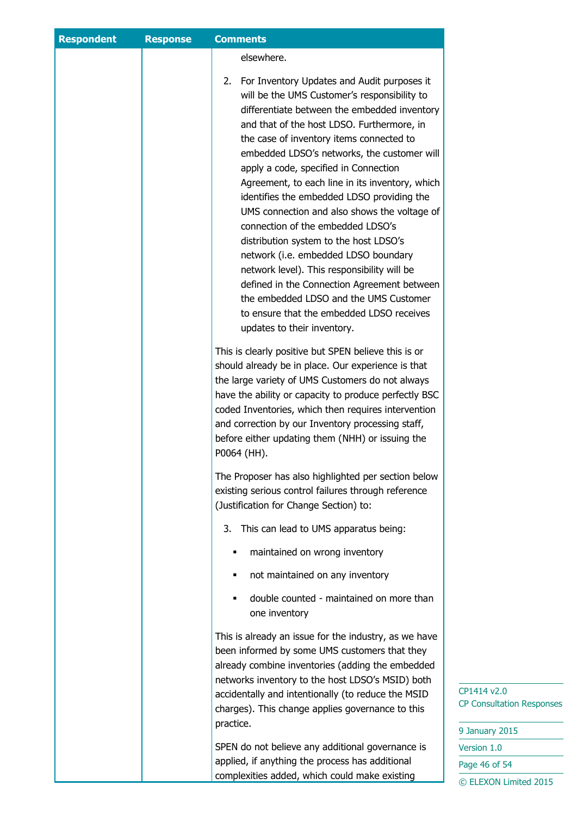| elsewhere.<br>2. For Inventory Updates and Audit purposes it<br>will be the UMS Customer's responsibility to<br>differentiate between the embedded inventory<br>and that of the host LDSO. Furthermore, in<br>the case of inventory items connected to<br>embedded LDSO's networks, the customer will<br>apply a code, specified in Connection<br>Agreement, to each line in its inventory, which<br>identifies the embedded LDSO providing the<br>UMS connection and also shows the voltage of<br>connection of the embedded LDSO's<br>distribution system to the host LDSO's<br>network (i.e. embedded LDSO boundary<br>network level). This responsibility will be<br>defined in the Connection Agreement between<br>the embedded LDSO and the UMS Customer<br>to ensure that the embedded LDSO receives<br>updates to their inventory.<br>This is clearly positive but SPEN believe this is or<br>should already be in place. Our experience is that<br>the large variety of UMS Customers do not always<br>have the ability or capacity to produce perfectly BSC<br>coded Inventories, which then requires intervention<br>and correction by our Inventory processing staff,<br>before either updating them (NHH) or issuing the<br>P0064 (HH).<br>The Proposer has also highlighted per section below<br>existing serious control failures through reference<br>(Justification for Change Section) to:<br>3. This can lead to UMS apparatus being:<br>maintained on wrong inventory<br>not maintained on any inventory<br>٠<br>double counted - maintained on more than<br>п<br>one inventory<br>This is already an issue for the industry, as we have<br>been informed by some UMS customers that they<br>already combine inventories (adding the embedded<br>networks inventory to the host LDSO's MSID) both<br>accidentally and intentionally (to reduce the MSID<br>charges). This change applies governance to this<br>practice.<br>SPEN do not believe any additional governance is<br>applied, if anything the process has additional | <b>Respondent</b> | <b>Response</b> | <b>Comments</b>                               |                                                 |
|-----------------------------------------------------------------------------------------------------------------------------------------------------------------------------------------------------------------------------------------------------------------------------------------------------------------------------------------------------------------------------------------------------------------------------------------------------------------------------------------------------------------------------------------------------------------------------------------------------------------------------------------------------------------------------------------------------------------------------------------------------------------------------------------------------------------------------------------------------------------------------------------------------------------------------------------------------------------------------------------------------------------------------------------------------------------------------------------------------------------------------------------------------------------------------------------------------------------------------------------------------------------------------------------------------------------------------------------------------------------------------------------------------------------------------------------------------------------------------------------------------------------------------------------------------------------------------------------------------------------------------------------------------------------------------------------------------------------------------------------------------------------------------------------------------------------------------------------------------------------------------------------------------------------------------------------------------------------------------------------------------------------------------------------------------|-------------------|-----------------|-----------------------------------------------|-------------------------------------------------|
|                                                                                                                                                                                                                                                                                                                                                                                                                                                                                                                                                                                                                                                                                                                                                                                                                                                                                                                                                                                                                                                                                                                                                                                                                                                                                                                                                                                                                                                                                                                                                                                                                                                                                                                                                                                                                                                                                                                                                                                                                                                     |                   |                 |                                               |                                                 |
|                                                                                                                                                                                                                                                                                                                                                                                                                                                                                                                                                                                                                                                                                                                                                                                                                                                                                                                                                                                                                                                                                                                                                                                                                                                                                                                                                                                                                                                                                                                                                                                                                                                                                                                                                                                                                                                                                                                                                                                                                                                     |                   |                 |                                               |                                                 |
|                                                                                                                                                                                                                                                                                                                                                                                                                                                                                                                                                                                                                                                                                                                                                                                                                                                                                                                                                                                                                                                                                                                                                                                                                                                                                                                                                                                                                                                                                                                                                                                                                                                                                                                                                                                                                                                                                                                                                                                                                                                     |                   |                 |                                               |                                                 |
|                                                                                                                                                                                                                                                                                                                                                                                                                                                                                                                                                                                                                                                                                                                                                                                                                                                                                                                                                                                                                                                                                                                                                                                                                                                                                                                                                                                                                                                                                                                                                                                                                                                                                                                                                                                                                                                                                                                                                                                                                                                     |                   |                 |                                               |                                                 |
|                                                                                                                                                                                                                                                                                                                                                                                                                                                                                                                                                                                                                                                                                                                                                                                                                                                                                                                                                                                                                                                                                                                                                                                                                                                                                                                                                                                                                                                                                                                                                                                                                                                                                                                                                                                                                                                                                                                                                                                                                                                     |                   |                 |                                               |                                                 |
|                                                                                                                                                                                                                                                                                                                                                                                                                                                                                                                                                                                                                                                                                                                                                                                                                                                                                                                                                                                                                                                                                                                                                                                                                                                                                                                                                                                                                                                                                                                                                                                                                                                                                                                                                                                                                                                                                                                                                                                                                                                     |                   |                 |                                               |                                                 |
|                                                                                                                                                                                                                                                                                                                                                                                                                                                                                                                                                                                                                                                                                                                                                                                                                                                                                                                                                                                                                                                                                                                                                                                                                                                                                                                                                                                                                                                                                                                                                                                                                                                                                                                                                                                                                                                                                                                                                                                                                                                     |                   |                 |                                               |                                                 |
|                                                                                                                                                                                                                                                                                                                                                                                                                                                                                                                                                                                                                                                                                                                                                                                                                                                                                                                                                                                                                                                                                                                                                                                                                                                                                                                                                                                                                                                                                                                                                                                                                                                                                                                                                                                                                                                                                                                                                                                                                                                     |                   |                 |                                               |                                                 |
|                                                                                                                                                                                                                                                                                                                                                                                                                                                                                                                                                                                                                                                                                                                                                                                                                                                                                                                                                                                                                                                                                                                                                                                                                                                                                                                                                                                                                                                                                                                                                                                                                                                                                                                                                                                                                                                                                                                                                                                                                                                     |                   |                 |                                               |                                                 |
|                                                                                                                                                                                                                                                                                                                                                                                                                                                                                                                                                                                                                                                                                                                                                                                                                                                                                                                                                                                                                                                                                                                                                                                                                                                                                                                                                                                                                                                                                                                                                                                                                                                                                                                                                                                                                                                                                                                                                                                                                                                     |                   |                 |                                               |                                                 |
|                                                                                                                                                                                                                                                                                                                                                                                                                                                                                                                                                                                                                                                                                                                                                                                                                                                                                                                                                                                                                                                                                                                                                                                                                                                                                                                                                                                                                                                                                                                                                                                                                                                                                                                                                                                                                                                                                                                                                                                                                                                     |                   |                 |                                               | CP1414 v2.0<br><b>CP Consultation Responses</b> |
|                                                                                                                                                                                                                                                                                                                                                                                                                                                                                                                                                                                                                                                                                                                                                                                                                                                                                                                                                                                                                                                                                                                                                                                                                                                                                                                                                                                                                                                                                                                                                                                                                                                                                                                                                                                                                                                                                                                                                                                                                                                     |                   |                 |                                               | 9 January 2015                                  |
|                                                                                                                                                                                                                                                                                                                                                                                                                                                                                                                                                                                                                                                                                                                                                                                                                                                                                                                                                                                                                                                                                                                                                                                                                                                                                                                                                                                                                                                                                                                                                                                                                                                                                                                                                                                                                                                                                                                                                                                                                                                     |                   |                 |                                               | Version 1.0                                     |
|                                                                                                                                                                                                                                                                                                                                                                                                                                                                                                                                                                                                                                                                                                                                                                                                                                                                                                                                                                                                                                                                                                                                                                                                                                                                                                                                                                                                                                                                                                                                                                                                                                                                                                                                                                                                                                                                                                                                                                                                                                                     |                   |                 | complexities added, which could make existing | Page 46 of 54<br>© ELEXON Limited 2015          |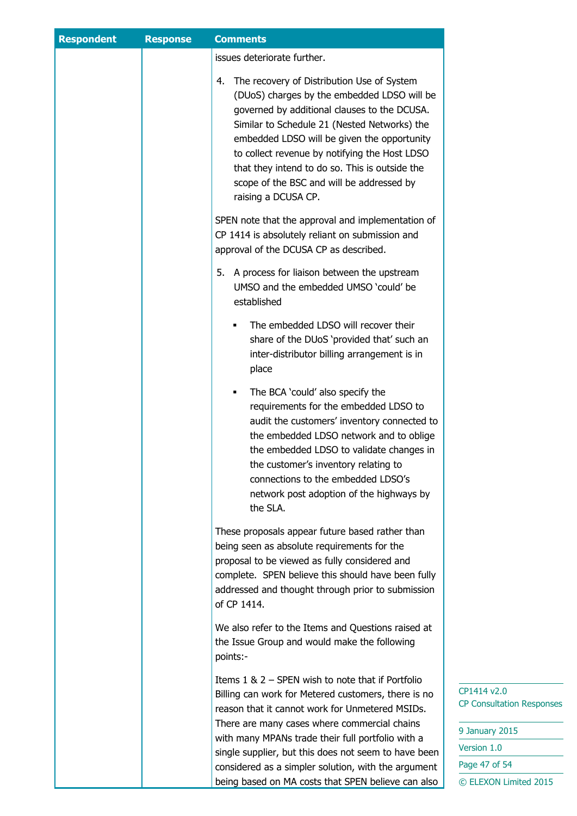| <b>Respondent</b> | <b>Response</b> | <b>Comments</b>                                                                                                                                                                                                                                                                                                                                                                                                       |                                                                                                   |
|-------------------|-----------------|-----------------------------------------------------------------------------------------------------------------------------------------------------------------------------------------------------------------------------------------------------------------------------------------------------------------------------------------------------------------------------------------------------------------------|---------------------------------------------------------------------------------------------------|
|                   |                 | issues deteriorate further.                                                                                                                                                                                                                                                                                                                                                                                           |                                                                                                   |
|                   |                 | The recovery of Distribution Use of System<br>4.<br>(DUoS) charges by the embedded LDSO will be<br>governed by additional clauses to the DCUSA.<br>Similar to Schedule 21 (Nested Networks) the<br>embedded LDSO will be given the opportunity<br>to collect revenue by notifying the Host LDSO<br>that they intend to do so. This is outside the<br>scope of the BSC and will be addressed by<br>raising a DCUSA CP. |                                                                                                   |
|                   |                 | SPEN note that the approval and implementation of<br>CP 1414 is absolutely reliant on submission and<br>approval of the DCUSA CP as described.                                                                                                                                                                                                                                                                        |                                                                                                   |
|                   |                 | A process for liaison between the upstream<br>5.<br>UMSO and the embedded UMSO 'could' be<br>established                                                                                                                                                                                                                                                                                                              |                                                                                                   |
|                   |                 | The embedded LDSO will recover their<br>Е<br>share of the DUoS 'provided that' such an<br>inter-distributor billing arrangement is in<br>place                                                                                                                                                                                                                                                                        |                                                                                                   |
|                   |                 | The BCA 'could' also specify the<br>Е<br>requirements for the embedded LDSO to<br>audit the customers' inventory connected to<br>the embedded LDSO network and to oblige<br>the embedded LDSO to validate changes in<br>the customer's inventory relating to<br>connections to the embedded LDSO's<br>network post adoption of the highways by<br>the SLA.                                                            |                                                                                                   |
|                   |                 | These proposals appear future based rather than<br>being seen as absolute requirements for the<br>proposal to be viewed as fully considered and<br>complete. SPEN believe this should have been fully<br>addressed and thought through prior to submission<br>of CP 1414.                                                                                                                                             |                                                                                                   |
|                   |                 | We also refer to the Items and Questions raised at<br>the Issue Group and would make the following<br>points:-                                                                                                                                                                                                                                                                                                        |                                                                                                   |
|                   |                 | Items $1 \& 2$ – SPEN wish to note that if Portfolio<br>Billing can work for Metered customers, there is no<br>reason that it cannot work for Unmetered MSIDs.<br>There are many cases where commercial chains<br>with many MPANs trade their full portfolio with a<br>single supplier, but this does not seem to have been<br>considered as a simpler solution, with the argument                                    | CP1414 v2.0<br><b>CP Consultation Responses</b><br>9 January 2015<br>Version 1.0<br>Page 47 of 54 |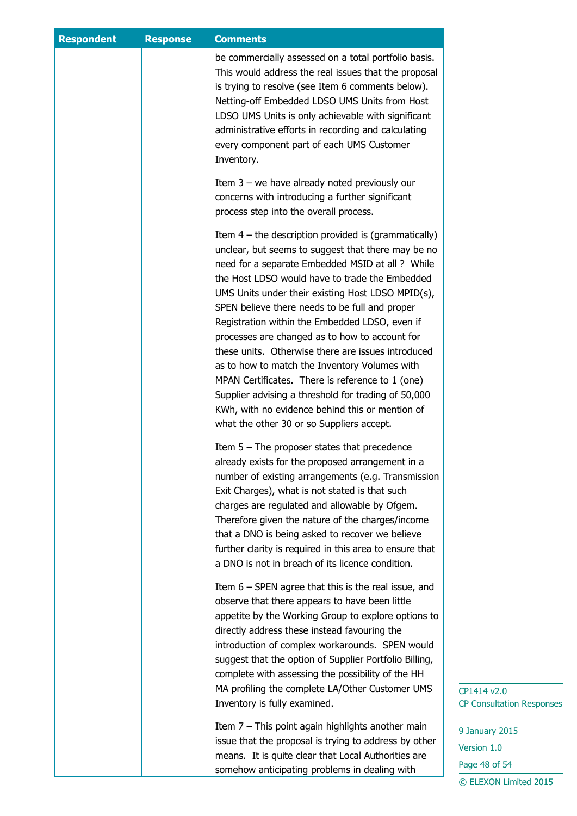| <b>Respondent</b> | <b>Response</b> | <b>Comments</b>                                                                                              |                                  |
|-------------------|-----------------|--------------------------------------------------------------------------------------------------------------|----------------------------------|
|                   |                 | be commercially assessed on a total portfolio basis.                                                         |                                  |
|                   |                 | This would address the real issues that the proposal                                                         |                                  |
|                   |                 | is trying to resolve (see Item 6 comments below).                                                            |                                  |
|                   |                 | Netting-off Embedded LDSO UMS Units from Host                                                                |                                  |
|                   |                 | LDSO UMS Units is only achievable with significant                                                           |                                  |
|                   |                 | administrative efforts in recording and calculating                                                          |                                  |
|                   |                 | every component part of each UMS Customer                                                                    |                                  |
|                   |                 | Inventory.                                                                                                   |                                  |
|                   |                 | Item $3$ – we have already noted previously our                                                              |                                  |
|                   |                 | concerns with introducing a further significant                                                              |                                  |
|                   |                 | process step into the overall process.                                                                       |                                  |
|                   |                 | Item $4$ – the description provided is (grammatically)                                                       |                                  |
|                   |                 | unclear, but seems to suggest that there may be no                                                           |                                  |
|                   |                 | need for a separate Embedded MSID at all ? While                                                             |                                  |
|                   |                 | the Host LDSO would have to trade the Embedded                                                               |                                  |
|                   |                 | UMS Units under their existing Host LDSO MPID(s),                                                            |                                  |
|                   |                 | SPEN believe there needs to be full and proper                                                               |                                  |
|                   |                 | Registration within the Embedded LDSO, even if                                                               |                                  |
|                   |                 | processes are changed as to how to account for                                                               |                                  |
|                   |                 | these units. Otherwise there are issues introduced                                                           |                                  |
|                   |                 | as to how to match the Inventory Volumes with                                                                |                                  |
|                   |                 | MPAN Certificates. There is reference to 1 (one)                                                             |                                  |
|                   |                 | Supplier advising a threshold for trading of 50,000                                                          |                                  |
|                   |                 | KWh, with no evidence behind this or mention of                                                              |                                  |
|                   |                 | what the other 30 or so Suppliers accept.                                                                    |                                  |
|                   |                 | Item $5$ – The proposer states that precedence                                                               |                                  |
|                   |                 | already exists for the proposed arrangement in a                                                             |                                  |
|                   |                 | number of existing arrangements (e.g. Transmission                                                           |                                  |
|                   |                 | Exit Charges), what is not stated is that such                                                               |                                  |
|                   |                 | charges are regulated and allowable by Ofgem.                                                                |                                  |
|                   |                 | Therefore given the nature of the charges/income                                                             |                                  |
|                   |                 | that a DNO is being asked to recover we believe                                                              |                                  |
|                   |                 | further clarity is required in this area to ensure that                                                      |                                  |
|                   |                 | a DNO is not in breach of its licence condition.                                                             |                                  |
|                   |                 | Item $6$ – SPEN agree that this is the real issue, and                                                       |                                  |
|                   |                 | observe that there appears to have been little                                                               |                                  |
|                   |                 | appetite by the Working Group to explore options to                                                          |                                  |
|                   |                 | directly address these instead favouring the                                                                 |                                  |
|                   |                 | introduction of complex workarounds. SPEN would                                                              |                                  |
|                   |                 | suggest that the option of Supplier Portfolio Billing,                                                       |                                  |
|                   |                 | complete with assessing the possibility of the HH                                                            |                                  |
|                   |                 | MA profiling the complete LA/Other Customer UMS                                                              | CP1414 v2.0                      |
|                   |                 | Inventory is fully examined.                                                                                 | <b>CP Consultation Responses</b> |
|                   |                 | Item $7$ – This point again highlights another main                                                          | 9 January 2015                   |
|                   |                 | issue that the proposal is trying to address by other<br>means. It is quite clear that Local Authorities are | Version 1.0                      |
|                   |                 | somehow anticipating problems in dealing with                                                                | Page 48 of 54                    |
|                   |                 |                                                                                                              | © ELEXON Limited 2015            |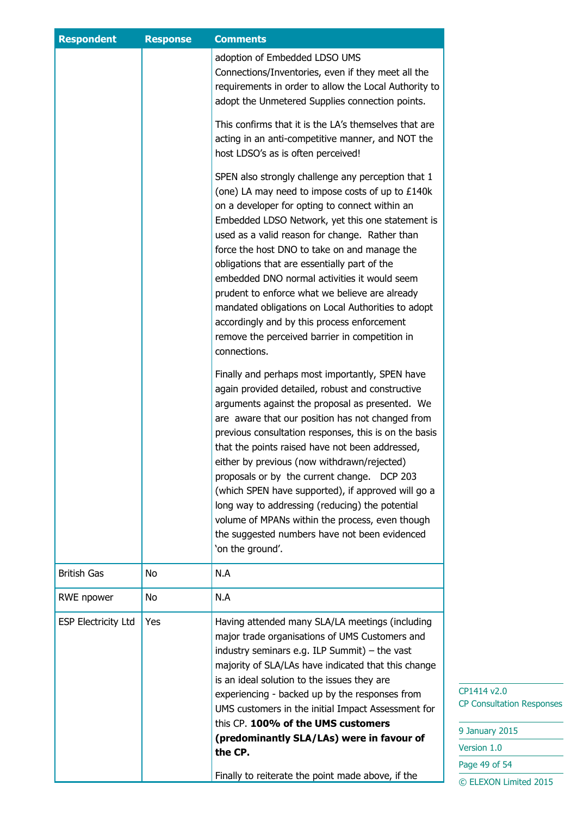| <b>Respondent</b>          | <b>Response</b> | <b>Comments</b>                                                                                                                                                                                                                                                                                                                                                                                                                                                                                                                                                                                                                                       |
|----------------------------|-----------------|-------------------------------------------------------------------------------------------------------------------------------------------------------------------------------------------------------------------------------------------------------------------------------------------------------------------------------------------------------------------------------------------------------------------------------------------------------------------------------------------------------------------------------------------------------------------------------------------------------------------------------------------------------|
|                            |                 | adoption of Embedded LDSO UMS<br>Connections/Inventories, even if they meet all the<br>requirements in order to allow the Local Authority to<br>adopt the Unmetered Supplies connection points.                                                                                                                                                                                                                                                                                                                                                                                                                                                       |
|                            |                 | This confirms that it is the LA's themselves that are<br>acting in an anti-competitive manner, and NOT the<br>host LDSO's as is often perceived!                                                                                                                                                                                                                                                                                                                                                                                                                                                                                                      |
|                            |                 | SPEN also strongly challenge any perception that 1<br>(one) LA may need to impose costs of up to £140k<br>on a developer for opting to connect within an<br>Embedded LDSO Network, yet this one statement is<br>used as a valid reason for change. Rather than<br>force the host DNO to take on and manage the<br>obligations that are essentially part of the<br>embedded DNO normal activities it would seem<br>prudent to enforce what we believe are already<br>mandated obligations on Local Authorities to adopt<br>accordingly and by this process enforcement<br>remove the perceived barrier in competition in<br>connections.               |
|                            |                 | Finally and perhaps most importantly, SPEN have<br>again provided detailed, robust and constructive<br>arguments against the proposal as presented. We<br>are aware that our position has not changed from<br>previous consultation responses, this is on the basis<br>that the points raised have not been addressed,<br>either by previous (now withdrawn/rejected)<br>proposals or by the current change. DCP 203<br>(which SPEN have supported), if approved will go a<br>long way to addressing (reducing) the potential<br>volume of MPANs within the process, even though<br>the suggested numbers have not been evidenced<br>'on the ground'. |
| <b>British Gas</b>         | No              | N.A                                                                                                                                                                                                                                                                                                                                                                                                                                                                                                                                                                                                                                                   |
| RWE npower                 | No              | N.A                                                                                                                                                                                                                                                                                                                                                                                                                                                                                                                                                                                                                                                   |
| <b>ESP Electricity Ltd</b> | Yes             | Having attended many SLA/LA meetings (including<br>major trade organisations of UMS Customers and<br>industry seminars e.g. ILP Summit) $-$ the vast<br>majority of SLA/LAs have indicated that this change<br>is an ideal solution to the issues they are<br>experiencing - backed up by the responses from<br>UMS customers in the initial Impact Assessment for<br>this CP. 100% of the UMS customers<br>(predominantly SLA/LAs) were in favour of<br>the CP.                                                                                                                                                                                      |
|                            |                 | Finally to reiterate the point made above, if the                                                                                                                                                                                                                                                                                                                                                                                                                                                                                                                                                                                                     |

 $14 v2.0$ onsultation Responses

uary 2015  $\mathsf{on}\ 1.0$ 49 of 54 **EXON Limited 2015**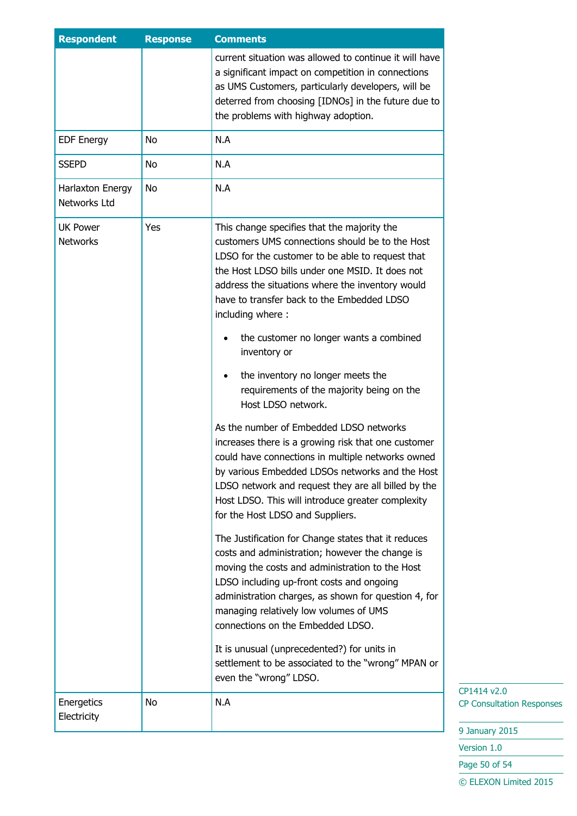| <b>Respondent</b>                  | <b>Response</b> | <b>Comments</b>                                                                                                                                                                                                                                                                                                                                        |
|------------------------------------|-----------------|--------------------------------------------------------------------------------------------------------------------------------------------------------------------------------------------------------------------------------------------------------------------------------------------------------------------------------------------------------|
|                                    |                 | current situation was allowed to continue it will have<br>a significant impact on competition in connections<br>as UMS Customers, particularly developers, will be<br>deterred from choosing [IDNOs] in the future due to<br>the problems with highway adoption.                                                                                       |
| <b>EDF Energy</b>                  | No              | N.A                                                                                                                                                                                                                                                                                                                                                    |
| <b>SSEPD</b>                       | No              | N.A                                                                                                                                                                                                                                                                                                                                                    |
| Harlaxton Energy<br>Networks Ltd   | No              | N.A                                                                                                                                                                                                                                                                                                                                                    |
| <b>UK Power</b><br><b>Networks</b> | Yes             | This change specifies that the majority the<br>customers UMS connections should be to the Host<br>LDSO for the customer to be able to request that<br>the Host LDSO bills under one MSID. It does not<br>address the situations where the inventory would<br>have to transfer back to the Embedded LDSO<br>including where:                            |
|                                    |                 | the customer no longer wants a combined<br>inventory or                                                                                                                                                                                                                                                                                                |
|                                    |                 | the inventory no longer meets the<br>requirements of the majority being on the<br>Host LDSO network.                                                                                                                                                                                                                                                   |
|                                    |                 | As the number of Embedded LDSO networks<br>increases there is a growing risk that one customer<br>could have connections in multiple networks owned<br>by various Embedded LDSOs networks and the Host<br>LDSO network and request they are all billed by the<br>Host LDSO. This will introduce greater complexity<br>for the Host LDSO and Suppliers. |
|                                    |                 | The Justification for Change states that it reduces<br>costs and administration; however the change is<br>moving the costs and administration to the Host<br>LDSO including up-front costs and ongoing<br>administration charges, as shown for question 4, for<br>managing relatively low volumes of UMS<br>connections on the Embedded LDSO.          |
|                                    |                 | It is unusual (unprecedented?) for units in<br>settlement to be associated to the "wrong" MPAN or<br>even the "wrong" LDSO.                                                                                                                                                                                                                            |
| Energetics<br>Electricity          | No              | N.A                                                                                                                                                                                                                                                                                                                                                    |

9 January 2015

Version 1.0

Page 50 of 54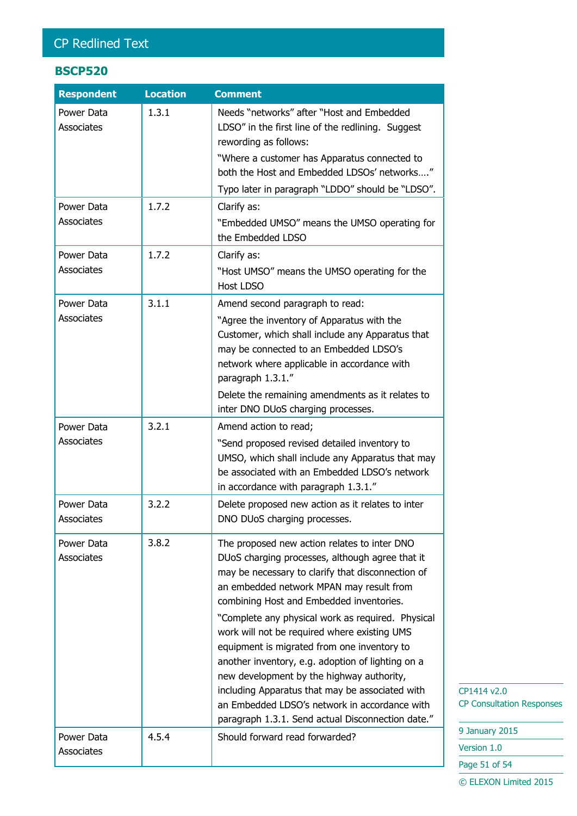# CP Redlined Text

## **BSCP520**

| <b>Respondent</b>        | <b>Location</b> | <b>Comment</b>                                                                                                                                                                                                                                                                                                                                                                                                                                                                                                                                                                                                                                              |
|--------------------------|-----------------|-------------------------------------------------------------------------------------------------------------------------------------------------------------------------------------------------------------------------------------------------------------------------------------------------------------------------------------------------------------------------------------------------------------------------------------------------------------------------------------------------------------------------------------------------------------------------------------------------------------------------------------------------------------|
| Power Data<br>Associates | 1.3.1           | Needs "networks" after "Host and Embedded<br>LDSO" in the first line of the redlining. Suggest<br>rewording as follows:<br>"Where a customer has Apparatus connected to<br>both the Host and Embedded LDSOs' networks"<br>Typo later in paragraph "LDDO" should be "LDSO".                                                                                                                                                                                                                                                                                                                                                                                  |
| Power Data<br>Associates | 1.7.2           | Clarify as:<br>"Embedded UMSO" means the UMSO operating for<br>the Embedded LDSO                                                                                                                                                                                                                                                                                                                                                                                                                                                                                                                                                                            |
| Power Data<br>Associates | 1.7.2           | Clarify as:<br>"Host UMSO" means the UMSO operating for the<br><b>Host LDSO</b>                                                                                                                                                                                                                                                                                                                                                                                                                                                                                                                                                                             |
| Power Data<br>Associates | 3.1.1           | Amend second paragraph to read:<br>"Agree the inventory of Apparatus with the<br>Customer, which shall include any Apparatus that<br>may be connected to an Embedded LDSO's<br>network where applicable in accordance with<br>paragraph 1.3.1."<br>Delete the remaining amendments as it relates to<br>inter DNO DUoS charging processes.                                                                                                                                                                                                                                                                                                                   |
| Power Data<br>Associates | 3.2.1           | Amend action to read;<br>"Send proposed revised detailed inventory to<br>UMSO, which shall include any Apparatus that may<br>be associated with an Embedded LDSO's network<br>in accordance with paragraph 1.3.1."                                                                                                                                                                                                                                                                                                                                                                                                                                          |
| Power Data<br>Associates | 3.2.2           | Delete proposed new action as it relates to inter<br>DNO DUoS charging processes.                                                                                                                                                                                                                                                                                                                                                                                                                                                                                                                                                                           |
| Power Data<br>Associates | 3.8.2           | The proposed new action relates to inter DNO<br>DUoS charging processes, although agree that it<br>may be necessary to clarify that disconnection of<br>an embedded network MPAN may result from<br>combining Host and Embedded inventories.<br>"Complete any physical work as required. Physical<br>work will not be required where existing UMS<br>equipment is migrated from one inventory to<br>another inventory, e.g. adoption of lighting on a<br>new development by the highway authority,<br>including Apparatus that may be associated with<br>an Embedded LDSO's network in accordance with<br>paragraph 1.3.1. Send actual Disconnection date." |
| Power Data<br>Associates | 4.5.4           | Should forward read forwarded?                                                                                                                                                                                                                                                                                                                                                                                                                                                                                                                                                                                                                              |

CP1414 v2.0 CP Consultation Responses

9 January 2015 Version 1.0 Page 51 of 54 © ELEXON Limited 2015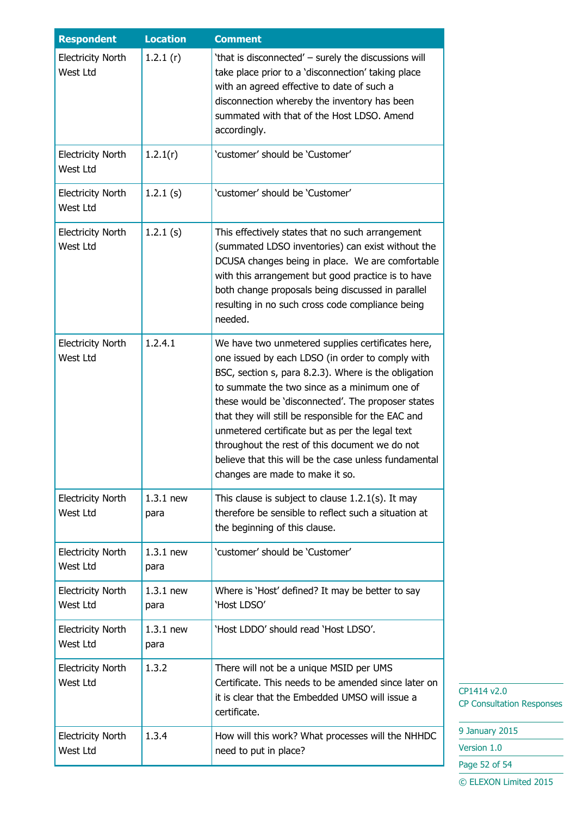| <b>Respondent</b>                    | <b>Location</b>     | <b>Comment</b>                                                                                                                                                                                                                                                                                                                                                                                                                                                                                                              |
|--------------------------------------|---------------------|-----------------------------------------------------------------------------------------------------------------------------------------------------------------------------------------------------------------------------------------------------------------------------------------------------------------------------------------------------------------------------------------------------------------------------------------------------------------------------------------------------------------------------|
| <b>Electricity North</b><br>West Ltd | 1.2.1(r)            | 'that is disconnected' - surely the discussions will<br>take place prior to a 'disconnection' taking place<br>with an agreed effective to date of such a<br>disconnection whereby the inventory has been<br>summated with that of the Host LDSO. Amend<br>accordingly.                                                                                                                                                                                                                                                      |
| <b>Electricity North</b><br>West Ltd | 1.2.1(r)            | 'customer' should be 'Customer'                                                                                                                                                                                                                                                                                                                                                                                                                                                                                             |
| <b>Electricity North</b><br>West Ltd | 1.2.1(s)            | 'customer' should be 'Customer'                                                                                                                                                                                                                                                                                                                                                                                                                                                                                             |
| <b>Electricity North</b><br>West Ltd | 1.2.1(s)            | This effectively states that no such arrangement<br>(summated LDSO inventories) can exist without the<br>DCUSA changes being in place. We are comfortable<br>with this arrangement but good practice is to have<br>both change proposals being discussed in parallel<br>resulting in no such cross code compliance being<br>needed.                                                                                                                                                                                         |
| <b>Electricity North</b><br>West Ltd | 1.2.4.1             | We have two unmetered supplies certificates here,<br>one issued by each LDSO (in order to comply with<br>BSC, section s, para 8.2.3). Where is the obligation<br>to summate the two since as a minimum one of<br>these would be 'disconnected'. The proposer states<br>that they will still be responsible for the EAC and<br>unmetered certificate but as per the legal text<br>throughout the rest of this document we do not<br>believe that this will be the case unless fundamental<br>changes are made to make it so. |
| <b>Electricity North</b><br>West Ltd | $1.3.1$ new<br>para | This clause is subject to clause $1.2.1(s)$ . It may<br>therefore be sensible to reflect such a situation at<br>the beginning of this clause.                                                                                                                                                                                                                                                                                                                                                                               |
| <b>Electricity North</b><br>West Ltd | $1.3.1$ new<br>para | 'customer' should be 'Customer'                                                                                                                                                                                                                                                                                                                                                                                                                                                                                             |
| <b>Electricity North</b><br>West Ltd | $1.3.1$ new<br>para | Where is 'Host' defined? It may be better to say<br>'Host LDSO'                                                                                                                                                                                                                                                                                                                                                                                                                                                             |
| <b>Electricity North</b><br>West Ltd | $1.3.1$ new<br>para | 'Host LDDO' should read 'Host LDSO'.                                                                                                                                                                                                                                                                                                                                                                                                                                                                                        |
| <b>Electricity North</b><br>West Ltd | 1.3.2               | There will not be a unique MSID per UMS<br>Certificate. This needs to be amended since later on<br>it is clear that the Embedded UMSO will issue a<br>certificate.                                                                                                                                                                                                                                                                                                                                                          |
| <b>Electricity North</b><br>West Ltd | 1.3.4               | How will this work? What processes will the NHHDC<br>need to put in place?                                                                                                                                                                                                                                                                                                                                                                                                                                                  |

9 January 2015

Version 1.0

Page 52 of 54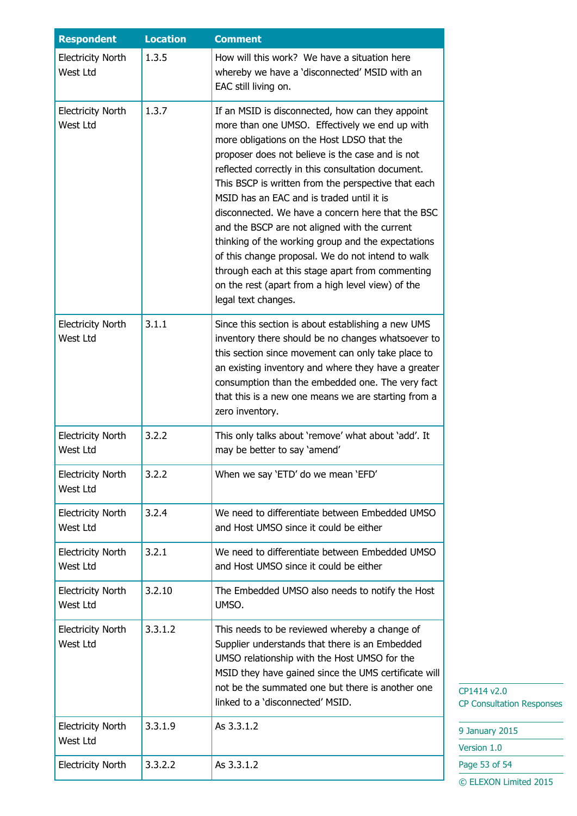| <b>Respondent</b>                    | <b>Location</b> | <b>Comment</b>                                                                                                                                                                                                                                                                                                                                                                                                                                                                                                                                                                                                                                                                                                  |
|--------------------------------------|-----------------|-----------------------------------------------------------------------------------------------------------------------------------------------------------------------------------------------------------------------------------------------------------------------------------------------------------------------------------------------------------------------------------------------------------------------------------------------------------------------------------------------------------------------------------------------------------------------------------------------------------------------------------------------------------------------------------------------------------------|
| <b>Electricity North</b><br>West Ltd | 1.3.5           | How will this work? We have a situation here<br>whereby we have a 'disconnected' MSID with an<br>EAC still living on.                                                                                                                                                                                                                                                                                                                                                                                                                                                                                                                                                                                           |
| <b>Electricity North</b><br>West Ltd | 1.3.7           | If an MSID is disconnected, how can they appoint<br>more than one UMSO. Effectively we end up with<br>more obligations on the Host LDSO that the<br>proposer does not believe is the case and is not<br>reflected correctly in this consultation document.<br>This BSCP is written from the perspective that each<br>MSID has an EAC and is traded until it is<br>disconnected. We have a concern here that the BSC<br>and the BSCP are not aligned with the current<br>thinking of the working group and the expectations<br>of this change proposal. We do not intend to walk<br>through each at this stage apart from commenting<br>on the rest (apart from a high level view) of the<br>legal text changes. |
| <b>Electricity North</b><br>West Ltd | 3.1.1           | Since this section is about establishing a new UMS<br>inventory there should be no changes whatsoever to<br>this section since movement can only take place to<br>an existing inventory and where they have a greater<br>consumption than the embedded one. The very fact<br>that this is a new one means we are starting from a<br>zero inventory.                                                                                                                                                                                                                                                                                                                                                             |
| <b>Electricity North</b><br>West Ltd | 3.2.2           | This only talks about 'remove' what about 'add'. It<br>may be better to say 'amend'                                                                                                                                                                                                                                                                                                                                                                                                                                                                                                                                                                                                                             |
| <b>Electricity North</b><br>West Ltd | 3.2.2           | When we say 'ETD' do we mean 'EFD'                                                                                                                                                                                                                                                                                                                                                                                                                                                                                                                                                                                                                                                                              |
| <b>Electricity North</b><br>West Ltd | 3.2.4           | We need to differentiate between Embedded UMSO<br>and Host UMSO since it could be either                                                                                                                                                                                                                                                                                                                                                                                                                                                                                                                                                                                                                        |
| <b>Electricity North</b><br>West Ltd | 3.2.1           | We need to differentiate between Embedded UMSO<br>and Host UMSO since it could be either                                                                                                                                                                                                                                                                                                                                                                                                                                                                                                                                                                                                                        |
| <b>Electricity North</b><br>West Ltd | 3.2.10          | The Embedded UMSO also needs to notify the Host<br>UMSO.                                                                                                                                                                                                                                                                                                                                                                                                                                                                                                                                                                                                                                                        |
| <b>Electricity North</b><br>West Ltd | 3.3.1.2         | This needs to be reviewed whereby a change of<br>Supplier understands that there is an Embedded<br>UMSO relationship with the Host UMSO for the<br>MSID they have gained since the UMS certificate will<br>not be the summated one but there is another one<br>linked to a 'disconnected' MSID.                                                                                                                                                                                                                                                                                                                                                                                                                 |
| <b>Electricity North</b><br>West Ltd | 3.3.1.9         | As 3.3.1.2                                                                                                                                                                                                                                                                                                                                                                                                                                                                                                                                                                                                                                                                                                      |
| <b>Electricity North</b>             | 3.3.2.2         | As 3.3.1.2                                                                                                                                                                                                                                                                                                                                                                                                                                                                                                                                                                                                                                                                                                      |

9 January 2015

Version 1.0

Page 53 of 54